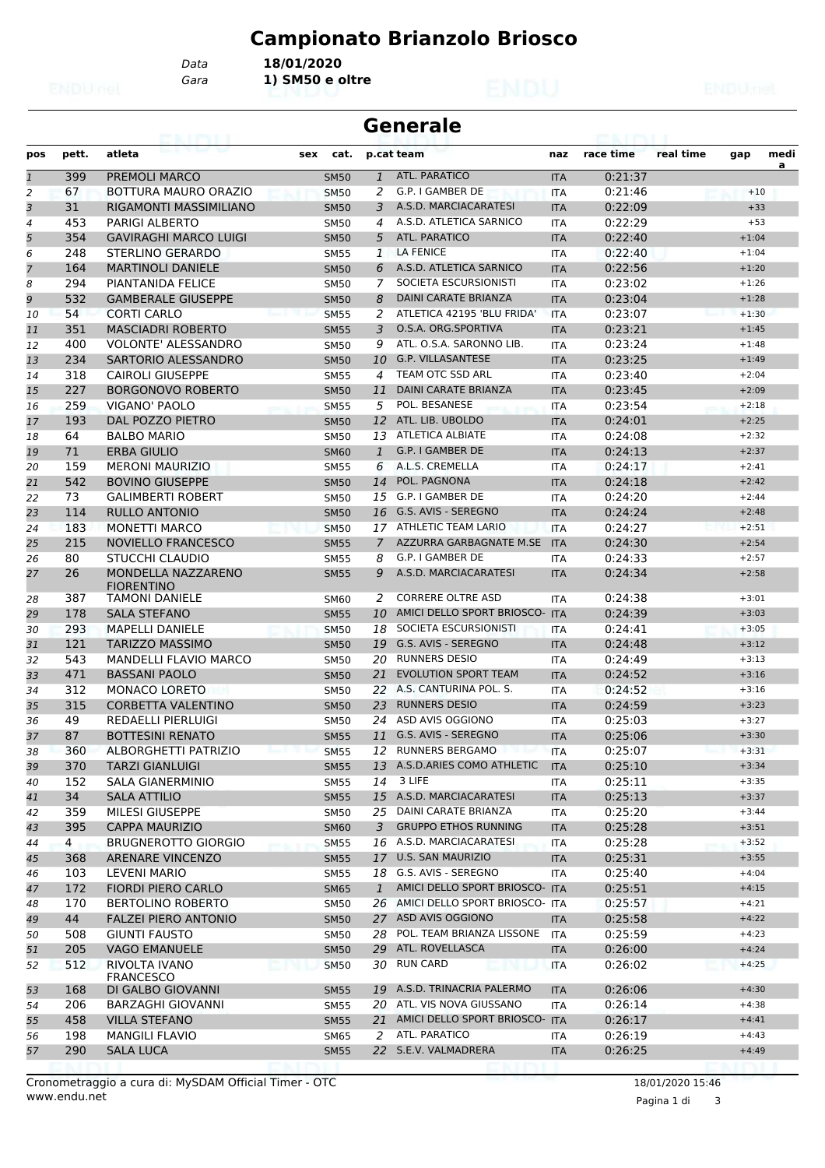*Data* **18/01/2020**

*Gara* **1) SM50 e oltre**

| race time<br>real time<br>pett.<br>atleta<br>cat.<br>p.cat team<br>pos<br>sex<br>naz<br>gap<br>a<br>$\mathbf{1}$<br>399<br>ATL. PARATICO<br><b>PREMOLI MARCO</b><br>$\mathbf{1}$<br>0:21:37<br><b>SM50</b><br><b>ITA</b><br>G.P. I GAMBER DE<br>2<br>67<br>BOTTURA MAURO ORAZIO<br>0:21:46<br><b>SM50</b><br>2<br><b>ITA</b><br>$+10$<br>A.S.D. MARCIACARATESI<br>3<br>0:22:09<br>31<br>RIGAMONTI MASSIMILIANO<br><b>SM50</b><br>3<br><b>ITA</b><br>$+33$<br>A.S.D. ATLETICA SARNICO<br>453<br><b>PARIGI ALBERTO</b><br>4<br>0:22:29<br>4<br><b>SM50</b><br><b>ITA</b><br>$+53$<br>5<br>354<br>ATL. PARATICO<br><b>GAVIRAGHI MARCO LUIGI</b><br>5<br>0:22:40<br><b>SM50</b><br><b>ITA</b><br>$+1:04$<br><b>LA FENICE</b><br>248<br>STERLINO GERARDO<br>0:22:40<br>$+1:04$<br>6<br><b>SM55</b><br>1<br>ITA<br>$\overline{7}$<br>164<br>A.S.D. ATLETICA SARNICO<br>0:22:56<br><b>MARTINOLI DANIELE</b><br>6<br><b>SM50</b><br><b>ITA</b><br>$+1:20$<br>294<br>SOCIETA ESCURSIONISTI<br>0:23:02<br>8<br><b>PIANTANIDA FELICE</b><br>$+1:26$<br><b>SM50</b><br>7<br><b>ITA</b><br>DAINI CARATE BRIANZA<br>532<br><b>GAMBERALE GIUSEPPE</b><br>0:23:04<br>9<br>8<br>$+1:28$<br><b>SM50</b><br><b>ITA</b><br>54<br>ATLETICA 42195 'BLU FRIDA'<br><b>CORTI CARLO</b><br>2<br>0:23:07<br><b>SM55</b><br><b>ITA</b><br>$+1:30$<br>10<br>351<br>O.S.A. ORG.SPORTIVA<br>0:23:21<br><b>MASCIADRI ROBERTO</b><br>3<br>$+1:45$<br>11<br><b>SM55</b><br><b>ITA</b><br>ATL. O.S.A. SARONNO LIB.<br>400<br><b>VOLONTE' ALESSANDRO</b><br>0:23:24<br>$+1:48$<br>12<br><b>SM50</b><br>9<br>ITA<br>13<br>234<br>SARTORIO ALESSANDRO<br>G.P. VILLASANTESE<br>0:23:25<br><b>SM50</b><br>10<br><b>ITA</b><br>$+1:49$<br>TEAM OTC SSD ARL<br>318<br><b>CAIROLI GIUSEPPE</b><br>0:23:40<br>$+2:04$<br>14<br><b>SM55</b><br>4<br>ITA<br>DAINI CARATE BRIANZA<br>227<br>0:23:45<br>15<br><b>BORGONOVO ROBERTO</b><br>$+2:09$<br><b>SM50</b><br>11<br><b>ITA</b><br>POL. BESANESE<br>259<br>VIGANO' PAOLO<br>5<br>0:23:54<br>16<br><b>SM55</b><br>ITA<br>$+2:18$<br>193<br>12 ATL. LIB. UBOLDO<br>DAL POZZO PIETRO<br>0:24:01<br>17<br>$+2:25$<br><b>SM50</b><br><b>ITA</b><br>ATLETICA ALBIATE<br>$+2:32$<br>64<br><b>BALBO MARIO</b><br>0:24:08<br>18<br><b>SM50</b><br>13<br><b>ITA</b><br>G.P. I GAMBER DE<br>19<br>71<br><b>ERBA GIULIO</b><br>0:24:13<br>$+2:37$<br><b>SM60</b><br>$\mathbf{1}$<br><b>ITA</b><br>A.L.S. CREMELLA<br>159<br><b>MERONI MAURIZIO</b><br>0:24:17<br>6<br>$+2:41$<br>20<br><b>SM55</b><br>ITA<br>POL. PAGNONA<br>542<br><b>BOVINO GIUSEPPE</b><br>0:24:18<br>21<br>14<br>$+2:42$<br><b>SM50</b><br><b>ITA</b><br>73<br>G.P. I GAMBER DE<br><b>GALIMBERTI ROBERT</b><br>15<br>0:24:20<br>22<br><b>SM50</b><br>ITA<br>$+2:44$<br>114<br><b>RULLO ANTONIO</b><br>16<br>G.S. AVIS - SEREGNO<br>0:24:24<br>23<br>$+2:48$<br><b>SM50</b><br><b>ITA</b><br>17 ATHLETIC TEAM LARIO<br>183<br><b>MONETTI MARCO</b><br>0:24:27<br>$+2:51$<br>24<br><b>SM50</b><br><b>ITA</b><br>25<br>215<br>NOVIELLO FRANCESCO<br>AZZURRA GARBAGNATE M.SE<br>0:24:30<br>$+2:54$<br><b>SM55</b><br>7<br><b>ITA</b><br>G.P. I GAMBER DE<br>80<br>STUCCHI CLAUDIO<br>0:24:33<br>$+2:57$<br>26<br><b>SM55</b><br>8<br><b>ITA</b><br>A.S.D. MARCIACARATESI<br>0:24:34<br>27<br>26<br>MONDELLA NAZZARENO<br><b>SM55</b><br>9<br><b>ITA</b><br>$+2:58$<br><b>FIORENTINO</b><br><b>CORRERE OLTRE ASD</b><br>387<br><b>TAMONI DANIELE</b><br>0:24:38<br>2<br>$+3:01$<br>28<br>SM60<br>ITA<br>29<br>178<br><b>SALA STEFANO</b><br>10 AMICI DELLO SPORT BRIOSCO- ITA<br>0:24:39<br><b>SM55</b><br>$+3:03$<br>SOCIETA ESCURSIONISTI<br>293<br><b>MAPELLI DANIELE</b><br>18<br>0:24:41<br>$+3:05$<br>30<br><b>SM50</b><br><b>ITA</b><br>121<br>G.S. AVIS - SEREGNO<br><b>TARIZZO MASSIMO</b><br>19<br>0:24:48<br>31<br><b>SM50</b><br><b>ITA</b><br>$+3:12$<br>543<br><b>MANDELLI FLAVIO MARCO</b><br><b>RUNNERS DESIO</b><br>0:24:49<br>32<br><b>SM50</b><br>20<br>$+3:13$<br><b>ITA</b><br>471<br><b>EVOLUTION SPORT TEAM</b><br>33<br><b>BASSANI PAOLO</b><br>21<br>0:24:52<br>$+3:16$<br><b>SM50</b><br><b>ITA</b><br>22 A.S. CANTURINA POL. S.<br>312<br><b>MONACO LORETO</b><br>0:24:52<br><b>SM50</b><br>ITA<br>$+3:16$<br>34<br><b>RUNNERS DESIO</b><br>35<br>315<br><b>CORBETTA VALENTINO</b><br>23<br>0:24:59<br><b>SM50</b><br><b>ITA</b><br>$+3:23$<br>24 ASD AVIS OGGIONO<br>49<br>REDAELLI PIERLUIGI<br>0:25:03<br>$+3:27$<br>36<br><b>SM50</b><br>ITA<br>11 G.S. AVIS - SEREGNO<br>0:25:06<br>37<br>87<br><b>BOTTESINI RENATO</b><br><b>SM55</b><br>$+3:30$<br><b>ITA</b><br>ALBORGHETTI PATRIZIO<br>12 RUNNERS BERGAMO<br>0:25:07<br>360<br><b>SM55</b><br>$+3:31$<br>38<br><b>ITA</b><br>13 A.S.D.ARIES COMO ATHLETIC<br>370<br><b>TARZI GIANLUIGI</b><br>0:25:10<br>$+3:34$<br>39<br><b>SM55</b><br><b>ITA</b><br>3 LIFE<br>14<br>0:25:11<br>152<br>SALA GIANERMINIO<br><b>SM55</b><br>$+3:35$<br>40<br>ITA<br>34<br><b>SALA ATTILIO</b><br>15 A.S.D. MARCIACARATESI<br>0:25:13<br>41<br><b>SM55</b><br><b>ITA</b><br>$+3:37$<br>359<br>25 DAINI CARATE BRIANZA<br><b>MILESI GIUSEPPE</b><br>0:25:20<br>$+3:44$<br><b>SM50</b><br>42<br>ITA<br><b>GRUPPO ETHOS RUNNING</b><br>395<br><b>CAPPA MAURIZIO</b><br>3<br>0:25:28<br>43<br><b>SM60</b><br><b>ITA</b><br>$+3:51$<br><b>BRUGNEROTTO GIORGIO</b><br>16 A.S.D. MARCIACARATESI<br>0:25:28<br>44<br>$\overline{4}$<br><b>SM55</b><br>$+3:52$<br>ITA<br>17 U.S. SAN MAURIZIO<br>45<br><b>ARENARE VINCENZO</b><br>0:25:31<br>$+3:55$<br>368<br><b>SM55</b><br><b>ITA</b><br>18 G.S. AVIS - SEREGNO<br>0:25:40<br>103<br>LEVENI MARIO<br><b>SM55</b><br><b>ITA</b><br>$+4:04$<br>46<br>172<br><b>FIORDI PIERO CARLO</b><br>1 AMICI DELLO SPORT BRIOSCO- ITA<br>0:25:51<br>47<br>$+4:15$<br><b>SM65</b><br>26 AMICI DELLO SPORT BRIOSCO- ITA<br>170<br><b>BERTOLINO ROBERTO</b><br>0:25:57<br>$+4:21$<br><b>SM50</b><br>48<br>44<br><b>FALZEI PIERO ANTONIO</b><br>27 ASD AVIS OGGIONO<br>0:25:58<br>49<br><b>SM50</b><br>$+4:22$<br><b>ITA</b><br>508<br><b>GIUNTI FAUSTO</b><br>28 POL. TEAM BRIANZA LISSONE<br>0:25:59<br>$+4:23$<br><b>SM50</b><br><b>ITA</b><br>50<br>29 ATL. ROVELLASCA<br>205<br><b>VAGO EMANUELE</b><br>0:26:00<br>$+4:24$<br>51<br><b>SM50</b><br><b>ITA</b><br>512<br>RIVOLTA IVANO<br>30 RUN CARD<br>0:26:02<br><b>SM50</b><br>$+4:25$<br>52<br>ITA<br><b>FRANCESCO</b><br>19 A.S.D. TRINACRIA PALERMO<br>0:26:06<br>53<br>168<br>DI GALBO GIOVANNI<br><b>SM55</b><br><b>ITA</b><br>$+4:30$<br>206<br>20 ATL. VIS NOVA GIUSSANO<br>0:26:14<br><b>BARZAGHI GIOVANNI</b><br>$+4:38$<br><b>SM55</b><br><b>ITA</b><br>54<br>21 AMICI DELLO SPORT BRIOSCO- ITA<br>55<br>458<br>0:26:17<br>$+4:41$<br><b>VILLA STEFANO</b><br><b>SM55</b><br>198<br>ATL. PARATICO<br>56<br><b>MANGILI FLAVIO</b><br>2<br>0:26:19<br>$+4:43$<br>SM65<br>ITA<br>22 S.E.V. VALMADRERA<br>290<br><b>SALA LUCA</b><br>0:26:25<br>$+4:49$<br>57<br><b>SM55</b><br><b>ITA</b> | <b>Generale</b> |  |  |  |  |  |  |  |  |      |  |  |
|-------------------------------------------------------------------------------------------------------------------------------------------------------------------------------------------------------------------------------------------------------------------------------------------------------------------------------------------------------------------------------------------------------------------------------------------------------------------------------------------------------------------------------------------------------------------------------------------------------------------------------------------------------------------------------------------------------------------------------------------------------------------------------------------------------------------------------------------------------------------------------------------------------------------------------------------------------------------------------------------------------------------------------------------------------------------------------------------------------------------------------------------------------------------------------------------------------------------------------------------------------------------------------------------------------------------------------------------------------------------------------------------------------------------------------------------------------------------------------------------------------------------------------------------------------------------------------------------------------------------------------------------------------------------------------------------------------------------------------------------------------------------------------------------------------------------------------------------------------------------------------------------------------------------------------------------------------------------------------------------------------------------------------------------------------------------------------------------------------------------------------------------------------------------------------------------------------------------------------------------------------------------------------------------------------------------------------------------------------------------------------------------------------------------------------------------------------------------------------------------------------------------------------------------------------------------------------------------------------------------------------------------------------------------------------------------------------------------------------------------------------------------------------------------------------------------------------------------------------------------------------------------------------------------------------------------------------------------------------------------------------------------------------------------------------------------------------------------------------------------------------------------------------------------------------------------------------------------------------------------------------------------------------------------------------------------------------------------------------------------------------------------------------------------------------------------------------------------------------------------------------------------------------------------------------------------------------------------------------------------------------------------------------------------------------------------------------------------------------------------------------------------------------------------------------------------------------------------------------------------------------------------------------------------------------------------------------------------------------------------------------------------------------------------------------------------------------------------------------------------------------------------------------------------------------------------------------------------------------------------------------------------------------------------------------------------------------------------------------------------------------------------------------------------------------------------------------------------------------------------------------------------------------------------------------------------------------------------------------------------------------------------------------------------------------------------------------------------------------------------------------------------------------------------------------------------------------------------------------------------------------------------------------------------------------------------------------------------------------------------------------------------------------------------------------------------------------------------------------------------------------------------------------------------------------------------------------------------------------------------------------------------------------------------------------------------------------------------------------------------------------------------------------------------------------------------------------------------------------------------------------------------------------------------------------------------------------------------------------------------------------------------------------------------------------------------------------------------------------------------------------------------------------------------------------------------------------------------------------------------------------------------------------------------------------------------------------------------------------------------------------------------------------------------------------------------------------------------------------------------------------------------------------------------------------------------------------------------------------------------------------------------------------------------------------------------------------------------------------------------------------------------------------------------------------------------------------------------------------------------------------------------------------------------------------------------------------------------------------------------------------------------------------------------------------------------------------------------------------------------------------------------------------------------------------------------------------------------------------------------------------------------------------------|-----------------|--|--|--|--|--|--|--|--|------|--|--|
|                                                                                                                                                                                                                                                                                                                                                                                                                                                                                                                                                                                                                                                                                                                                                                                                                                                                                                                                                                                                                                                                                                                                                                                                                                                                                                                                                                                                                                                                                                                                                                                                                                                                                                                                                                                                                                                                                                                                                                                                                                                                                                                                                                                                                                                                                                                                                                                                                                                                                                                                                                                                                                                                                                                                                                                                                                                                                                                                                                                                                                                                                                                                                                                                                                                                                                                                                                                                                                                                                                                                                                                                                                                                                                                                                                                                                                                                                                                                                                                                                                                                                                                                                                                                                                                                                                                                                                                                                                                                                                                                                                                                                                                                                                                                                                                                                                                                                                                                                                                                                                                                                                                                                                                                                                                                                                                                                                                                                                                                                                                                                                                                                                                                                                                                                                                                                                                                                                                                                                                                                                                                                                                                                                                                                                                                                                                                                                                                                                                                                                                                                                                                                                                                                                                                                                                                                                                                                                             |                 |  |  |  |  |  |  |  |  | medi |  |  |
|                                                                                                                                                                                                                                                                                                                                                                                                                                                                                                                                                                                                                                                                                                                                                                                                                                                                                                                                                                                                                                                                                                                                                                                                                                                                                                                                                                                                                                                                                                                                                                                                                                                                                                                                                                                                                                                                                                                                                                                                                                                                                                                                                                                                                                                                                                                                                                                                                                                                                                                                                                                                                                                                                                                                                                                                                                                                                                                                                                                                                                                                                                                                                                                                                                                                                                                                                                                                                                                                                                                                                                                                                                                                                                                                                                                                                                                                                                                                                                                                                                                                                                                                                                                                                                                                                                                                                                                                                                                                                                                                                                                                                                                                                                                                                                                                                                                                                                                                                                                                                                                                                                                                                                                                                                                                                                                                                                                                                                                                                                                                                                                                                                                                                                                                                                                                                                                                                                                                                                                                                                                                                                                                                                                                                                                                                                                                                                                                                                                                                                                                                                                                                                                                                                                                                                                                                                                                                                             |                 |  |  |  |  |  |  |  |  |      |  |  |
|                                                                                                                                                                                                                                                                                                                                                                                                                                                                                                                                                                                                                                                                                                                                                                                                                                                                                                                                                                                                                                                                                                                                                                                                                                                                                                                                                                                                                                                                                                                                                                                                                                                                                                                                                                                                                                                                                                                                                                                                                                                                                                                                                                                                                                                                                                                                                                                                                                                                                                                                                                                                                                                                                                                                                                                                                                                                                                                                                                                                                                                                                                                                                                                                                                                                                                                                                                                                                                                                                                                                                                                                                                                                                                                                                                                                                                                                                                                                                                                                                                                                                                                                                                                                                                                                                                                                                                                                                                                                                                                                                                                                                                                                                                                                                                                                                                                                                                                                                                                                                                                                                                                                                                                                                                                                                                                                                                                                                                                                                                                                                                                                                                                                                                                                                                                                                                                                                                                                                                                                                                                                                                                                                                                                                                                                                                                                                                                                                                                                                                                                                                                                                                                                                                                                                                                                                                                                                                             |                 |  |  |  |  |  |  |  |  |      |  |  |
|                                                                                                                                                                                                                                                                                                                                                                                                                                                                                                                                                                                                                                                                                                                                                                                                                                                                                                                                                                                                                                                                                                                                                                                                                                                                                                                                                                                                                                                                                                                                                                                                                                                                                                                                                                                                                                                                                                                                                                                                                                                                                                                                                                                                                                                                                                                                                                                                                                                                                                                                                                                                                                                                                                                                                                                                                                                                                                                                                                                                                                                                                                                                                                                                                                                                                                                                                                                                                                                                                                                                                                                                                                                                                                                                                                                                                                                                                                                                                                                                                                                                                                                                                                                                                                                                                                                                                                                                                                                                                                                                                                                                                                                                                                                                                                                                                                                                                                                                                                                                                                                                                                                                                                                                                                                                                                                                                                                                                                                                                                                                                                                                                                                                                                                                                                                                                                                                                                                                                                                                                                                                                                                                                                                                                                                                                                                                                                                                                                                                                                                                                                                                                                                                                                                                                                                                                                                                                                             |                 |  |  |  |  |  |  |  |  |      |  |  |
|                                                                                                                                                                                                                                                                                                                                                                                                                                                                                                                                                                                                                                                                                                                                                                                                                                                                                                                                                                                                                                                                                                                                                                                                                                                                                                                                                                                                                                                                                                                                                                                                                                                                                                                                                                                                                                                                                                                                                                                                                                                                                                                                                                                                                                                                                                                                                                                                                                                                                                                                                                                                                                                                                                                                                                                                                                                                                                                                                                                                                                                                                                                                                                                                                                                                                                                                                                                                                                                                                                                                                                                                                                                                                                                                                                                                                                                                                                                                                                                                                                                                                                                                                                                                                                                                                                                                                                                                                                                                                                                                                                                                                                                                                                                                                                                                                                                                                                                                                                                                                                                                                                                                                                                                                                                                                                                                                                                                                                                                                                                                                                                                                                                                                                                                                                                                                                                                                                                                                                                                                                                                                                                                                                                                                                                                                                                                                                                                                                                                                                                                                                                                                                                                                                                                                                                                                                                                                                             |                 |  |  |  |  |  |  |  |  |      |  |  |
|                                                                                                                                                                                                                                                                                                                                                                                                                                                                                                                                                                                                                                                                                                                                                                                                                                                                                                                                                                                                                                                                                                                                                                                                                                                                                                                                                                                                                                                                                                                                                                                                                                                                                                                                                                                                                                                                                                                                                                                                                                                                                                                                                                                                                                                                                                                                                                                                                                                                                                                                                                                                                                                                                                                                                                                                                                                                                                                                                                                                                                                                                                                                                                                                                                                                                                                                                                                                                                                                                                                                                                                                                                                                                                                                                                                                                                                                                                                                                                                                                                                                                                                                                                                                                                                                                                                                                                                                                                                                                                                                                                                                                                                                                                                                                                                                                                                                                                                                                                                                                                                                                                                                                                                                                                                                                                                                                                                                                                                                                                                                                                                                                                                                                                                                                                                                                                                                                                                                                                                                                                                                                                                                                                                                                                                                                                                                                                                                                                                                                                                                                                                                                                                                                                                                                                                                                                                                                                             |                 |  |  |  |  |  |  |  |  |      |  |  |
|                                                                                                                                                                                                                                                                                                                                                                                                                                                                                                                                                                                                                                                                                                                                                                                                                                                                                                                                                                                                                                                                                                                                                                                                                                                                                                                                                                                                                                                                                                                                                                                                                                                                                                                                                                                                                                                                                                                                                                                                                                                                                                                                                                                                                                                                                                                                                                                                                                                                                                                                                                                                                                                                                                                                                                                                                                                                                                                                                                                                                                                                                                                                                                                                                                                                                                                                                                                                                                                                                                                                                                                                                                                                                                                                                                                                                                                                                                                                                                                                                                                                                                                                                                                                                                                                                                                                                                                                                                                                                                                                                                                                                                                                                                                                                                                                                                                                                                                                                                                                                                                                                                                                                                                                                                                                                                                                                                                                                                                                                                                                                                                                                                                                                                                                                                                                                                                                                                                                                                                                                                                                                                                                                                                                                                                                                                                                                                                                                                                                                                                                                                                                                                                                                                                                                                                                                                                                                                             |                 |  |  |  |  |  |  |  |  |      |  |  |
|                                                                                                                                                                                                                                                                                                                                                                                                                                                                                                                                                                                                                                                                                                                                                                                                                                                                                                                                                                                                                                                                                                                                                                                                                                                                                                                                                                                                                                                                                                                                                                                                                                                                                                                                                                                                                                                                                                                                                                                                                                                                                                                                                                                                                                                                                                                                                                                                                                                                                                                                                                                                                                                                                                                                                                                                                                                                                                                                                                                                                                                                                                                                                                                                                                                                                                                                                                                                                                                                                                                                                                                                                                                                                                                                                                                                                                                                                                                                                                                                                                                                                                                                                                                                                                                                                                                                                                                                                                                                                                                                                                                                                                                                                                                                                                                                                                                                                                                                                                                                                                                                                                                                                                                                                                                                                                                                                                                                                                                                                                                                                                                                                                                                                                                                                                                                                                                                                                                                                                                                                                                                                                                                                                                                                                                                                                                                                                                                                                                                                                                                                                                                                                                                                                                                                                                                                                                                                                             |                 |  |  |  |  |  |  |  |  |      |  |  |
|                                                                                                                                                                                                                                                                                                                                                                                                                                                                                                                                                                                                                                                                                                                                                                                                                                                                                                                                                                                                                                                                                                                                                                                                                                                                                                                                                                                                                                                                                                                                                                                                                                                                                                                                                                                                                                                                                                                                                                                                                                                                                                                                                                                                                                                                                                                                                                                                                                                                                                                                                                                                                                                                                                                                                                                                                                                                                                                                                                                                                                                                                                                                                                                                                                                                                                                                                                                                                                                                                                                                                                                                                                                                                                                                                                                                                                                                                                                                                                                                                                                                                                                                                                                                                                                                                                                                                                                                                                                                                                                                                                                                                                                                                                                                                                                                                                                                                                                                                                                                                                                                                                                                                                                                                                                                                                                                                                                                                                                                                                                                                                                                                                                                                                                                                                                                                                                                                                                                                                                                                                                                                                                                                                                                                                                                                                                                                                                                                                                                                                                                                                                                                                                                                                                                                                                                                                                                                                             |                 |  |  |  |  |  |  |  |  |      |  |  |
|                                                                                                                                                                                                                                                                                                                                                                                                                                                                                                                                                                                                                                                                                                                                                                                                                                                                                                                                                                                                                                                                                                                                                                                                                                                                                                                                                                                                                                                                                                                                                                                                                                                                                                                                                                                                                                                                                                                                                                                                                                                                                                                                                                                                                                                                                                                                                                                                                                                                                                                                                                                                                                                                                                                                                                                                                                                                                                                                                                                                                                                                                                                                                                                                                                                                                                                                                                                                                                                                                                                                                                                                                                                                                                                                                                                                                                                                                                                                                                                                                                                                                                                                                                                                                                                                                                                                                                                                                                                                                                                                                                                                                                                                                                                                                                                                                                                                                                                                                                                                                                                                                                                                                                                                                                                                                                                                                                                                                                                                                                                                                                                                                                                                                                                                                                                                                                                                                                                                                                                                                                                                                                                                                                                                                                                                                                                                                                                                                                                                                                                                                                                                                                                                                                                                                                                                                                                                                                             |                 |  |  |  |  |  |  |  |  |      |  |  |
|                                                                                                                                                                                                                                                                                                                                                                                                                                                                                                                                                                                                                                                                                                                                                                                                                                                                                                                                                                                                                                                                                                                                                                                                                                                                                                                                                                                                                                                                                                                                                                                                                                                                                                                                                                                                                                                                                                                                                                                                                                                                                                                                                                                                                                                                                                                                                                                                                                                                                                                                                                                                                                                                                                                                                                                                                                                                                                                                                                                                                                                                                                                                                                                                                                                                                                                                                                                                                                                                                                                                                                                                                                                                                                                                                                                                                                                                                                                                                                                                                                                                                                                                                                                                                                                                                                                                                                                                                                                                                                                                                                                                                                                                                                                                                                                                                                                                                                                                                                                                                                                                                                                                                                                                                                                                                                                                                                                                                                                                                                                                                                                                                                                                                                                                                                                                                                                                                                                                                                                                                                                                                                                                                                                                                                                                                                                                                                                                                                                                                                                                                                                                                                                                                                                                                                                                                                                                                                             |                 |  |  |  |  |  |  |  |  |      |  |  |
|                                                                                                                                                                                                                                                                                                                                                                                                                                                                                                                                                                                                                                                                                                                                                                                                                                                                                                                                                                                                                                                                                                                                                                                                                                                                                                                                                                                                                                                                                                                                                                                                                                                                                                                                                                                                                                                                                                                                                                                                                                                                                                                                                                                                                                                                                                                                                                                                                                                                                                                                                                                                                                                                                                                                                                                                                                                                                                                                                                                                                                                                                                                                                                                                                                                                                                                                                                                                                                                                                                                                                                                                                                                                                                                                                                                                                                                                                                                                                                                                                                                                                                                                                                                                                                                                                                                                                                                                                                                                                                                                                                                                                                                                                                                                                                                                                                                                                                                                                                                                                                                                                                                                                                                                                                                                                                                                                                                                                                                                                                                                                                                                                                                                                                                                                                                                                                                                                                                                                                                                                                                                                                                                                                                                                                                                                                                                                                                                                                                                                                                                                                                                                                                                                                                                                                                                                                                                                                             |                 |  |  |  |  |  |  |  |  |      |  |  |
|                                                                                                                                                                                                                                                                                                                                                                                                                                                                                                                                                                                                                                                                                                                                                                                                                                                                                                                                                                                                                                                                                                                                                                                                                                                                                                                                                                                                                                                                                                                                                                                                                                                                                                                                                                                                                                                                                                                                                                                                                                                                                                                                                                                                                                                                                                                                                                                                                                                                                                                                                                                                                                                                                                                                                                                                                                                                                                                                                                                                                                                                                                                                                                                                                                                                                                                                                                                                                                                                                                                                                                                                                                                                                                                                                                                                                                                                                                                                                                                                                                                                                                                                                                                                                                                                                                                                                                                                                                                                                                                                                                                                                                                                                                                                                                                                                                                                                                                                                                                                                                                                                                                                                                                                                                                                                                                                                                                                                                                                                                                                                                                                                                                                                                                                                                                                                                                                                                                                                                                                                                                                                                                                                                                                                                                                                                                                                                                                                                                                                                                                                                                                                                                                                                                                                                                                                                                                                                             |                 |  |  |  |  |  |  |  |  |      |  |  |
|                                                                                                                                                                                                                                                                                                                                                                                                                                                                                                                                                                                                                                                                                                                                                                                                                                                                                                                                                                                                                                                                                                                                                                                                                                                                                                                                                                                                                                                                                                                                                                                                                                                                                                                                                                                                                                                                                                                                                                                                                                                                                                                                                                                                                                                                                                                                                                                                                                                                                                                                                                                                                                                                                                                                                                                                                                                                                                                                                                                                                                                                                                                                                                                                                                                                                                                                                                                                                                                                                                                                                                                                                                                                                                                                                                                                                                                                                                                                                                                                                                                                                                                                                                                                                                                                                                                                                                                                                                                                                                                                                                                                                                                                                                                                                                                                                                                                                                                                                                                                                                                                                                                                                                                                                                                                                                                                                                                                                                                                                                                                                                                                                                                                                                                                                                                                                                                                                                                                                                                                                                                                                                                                                                                                                                                                                                                                                                                                                                                                                                                                                                                                                                                                                                                                                                                                                                                                                                             |                 |  |  |  |  |  |  |  |  |      |  |  |
|                                                                                                                                                                                                                                                                                                                                                                                                                                                                                                                                                                                                                                                                                                                                                                                                                                                                                                                                                                                                                                                                                                                                                                                                                                                                                                                                                                                                                                                                                                                                                                                                                                                                                                                                                                                                                                                                                                                                                                                                                                                                                                                                                                                                                                                                                                                                                                                                                                                                                                                                                                                                                                                                                                                                                                                                                                                                                                                                                                                                                                                                                                                                                                                                                                                                                                                                                                                                                                                                                                                                                                                                                                                                                                                                                                                                                                                                                                                                                                                                                                                                                                                                                                                                                                                                                                                                                                                                                                                                                                                                                                                                                                                                                                                                                                                                                                                                                                                                                                                                                                                                                                                                                                                                                                                                                                                                                                                                                                                                                                                                                                                                                                                                                                                                                                                                                                                                                                                                                                                                                                                                                                                                                                                                                                                                                                                                                                                                                                                                                                                                                                                                                                                                                                                                                                                                                                                                                                             |                 |  |  |  |  |  |  |  |  |      |  |  |
|                                                                                                                                                                                                                                                                                                                                                                                                                                                                                                                                                                                                                                                                                                                                                                                                                                                                                                                                                                                                                                                                                                                                                                                                                                                                                                                                                                                                                                                                                                                                                                                                                                                                                                                                                                                                                                                                                                                                                                                                                                                                                                                                                                                                                                                                                                                                                                                                                                                                                                                                                                                                                                                                                                                                                                                                                                                                                                                                                                                                                                                                                                                                                                                                                                                                                                                                                                                                                                                                                                                                                                                                                                                                                                                                                                                                                                                                                                                                                                                                                                                                                                                                                                                                                                                                                                                                                                                                                                                                                                                                                                                                                                                                                                                                                                                                                                                                                                                                                                                                                                                                                                                                                                                                                                                                                                                                                                                                                                                                                                                                                                                                                                                                                                                                                                                                                                                                                                                                                                                                                                                                                                                                                                                                                                                                                                                                                                                                                                                                                                                                                                                                                                                                                                                                                                                                                                                                                                             |                 |  |  |  |  |  |  |  |  |      |  |  |
|                                                                                                                                                                                                                                                                                                                                                                                                                                                                                                                                                                                                                                                                                                                                                                                                                                                                                                                                                                                                                                                                                                                                                                                                                                                                                                                                                                                                                                                                                                                                                                                                                                                                                                                                                                                                                                                                                                                                                                                                                                                                                                                                                                                                                                                                                                                                                                                                                                                                                                                                                                                                                                                                                                                                                                                                                                                                                                                                                                                                                                                                                                                                                                                                                                                                                                                                                                                                                                                                                                                                                                                                                                                                                                                                                                                                                                                                                                                                                                                                                                                                                                                                                                                                                                                                                                                                                                                                                                                                                                                                                                                                                                                                                                                                                                                                                                                                                                                                                                                                                                                                                                                                                                                                                                                                                                                                                                                                                                                                                                                                                                                                                                                                                                                                                                                                                                                                                                                                                                                                                                                                                                                                                                                                                                                                                                                                                                                                                                                                                                                                                                                                                                                                                                                                                                                                                                                                                                             |                 |  |  |  |  |  |  |  |  |      |  |  |
|                                                                                                                                                                                                                                                                                                                                                                                                                                                                                                                                                                                                                                                                                                                                                                                                                                                                                                                                                                                                                                                                                                                                                                                                                                                                                                                                                                                                                                                                                                                                                                                                                                                                                                                                                                                                                                                                                                                                                                                                                                                                                                                                                                                                                                                                                                                                                                                                                                                                                                                                                                                                                                                                                                                                                                                                                                                                                                                                                                                                                                                                                                                                                                                                                                                                                                                                                                                                                                                                                                                                                                                                                                                                                                                                                                                                                                                                                                                                                                                                                                                                                                                                                                                                                                                                                                                                                                                                                                                                                                                                                                                                                                                                                                                                                                                                                                                                                                                                                                                                                                                                                                                                                                                                                                                                                                                                                                                                                                                                                                                                                                                                                                                                                                                                                                                                                                                                                                                                                                                                                                                                                                                                                                                                                                                                                                                                                                                                                                                                                                                                                                                                                                                                                                                                                                                                                                                                                                             |                 |  |  |  |  |  |  |  |  |      |  |  |
|                                                                                                                                                                                                                                                                                                                                                                                                                                                                                                                                                                                                                                                                                                                                                                                                                                                                                                                                                                                                                                                                                                                                                                                                                                                                                                                                                                                                                                                                                                                                                                                                                                                                                                                                                                                                                                                                                                                                                                                                                                                                                                                                                                                                                                                                                                                                                                                                                                                                                                                                                                                                                                                                                                                                                                                                                                                                                                                                                                                                                                                                                                                                                                                                                                                                                                                                                                                                                                                                                                                                                                                                                                                                                                                                                                                                                                                                                                                                                                                                                                                                                                                                                                                                                                                                                                                                                                                                                                                                                                                                                                                                                                                                                                                                                                                                                                                                                                                                                                                                                                                                                                                                                                                                                                                                                                                                                                                                                                                                                                                                                                                                                                                                                                                                                                                                                                                                                                                                                                                                                                                                                                                                                                                                                                                                                                                                                                                                                                                                                                                                                                                                                                                                                                                                                                                                                                                                                                             |                 |  |  |  |  |  |  |  |  |      |  |  |
|                                                                                                                                                                                                                                                                                                                                                                                                                                                                                                                                                                                                                                                                                                                                                                                                                                                                                                                                                                                                                                                                                                                                                                                                                                                                                                                                                                                                                                                                                                                                                                                                                                                                                                                                                                                                                                                                                                                                                                                                                                                                                                                                                                                                                                                                                                                                                                                                                                                                                                                                                                                                                                                                                                                                                                                                                                                                                                                                                                                                                                                                                                                                                                                                                                                                                                                                                                                                                                                                                                                                                                                                                                                                                                                                                                                                                                                                                                                                                                                                                                                                                                                                                                                                                                                                                                                                                                                                                                                                                                                                                                                                                                                                                                                                                                                                                                                                                                                                                                                                                                                                                                                                                                                                                                                                                                                                                                                                                                                                                                                                                                                                                                                                                                                                                                                                                                                                                                                                                                                                                                                                                                                                                                                                                                                                                                                                                                                                                                                                                                                                                                                                                                                                                                                                                                                                                                                                                                             |                 |  |  |  |  |  |  |  |  |      |  |  |
|                                                                                                                                                                                                                                                                                                                                                                                                                                                                                                                                                                                                                                                                                                                                                                                                                                                                                                                                                                                                                                                                                                                                                                                                                                                                                                                                                                                                                                                                                                                                                                                                                                                                                                                                                                                                                                                                                                                                                                                                                                                                                                                                                                                                                                                                                                                                                                                                                                                                                                                                                                                                                                                                                                                                                                                                                                                                                                                                                                                                                                                                                                                                                                                                                                                                                                                                                                                                                                                                                                                                                                                                                                                                                                                                                                                                                                                                                                                                                                                                                                                                                                                                                                                                                                                                                                                                                                                                                                                                                                                                                                                                                                                                                                                                                                                                                                                                                                                                                                                                                                                                                                                                                                                                                                                                                                                                                                                                                                                                                                                                                                                                                                                                                                                                                                                                                                                                                                                                                                                                                                                                                                                                                                                                                                                                                                                                                                                                                                                                                                                                                                                                                                                                                                                                                                                                                                                                                                             |                 |  |  |  |  |  |  |  |  |      |  |  |
|                                                                                                                                                                                                                                                                                                                                                                                                                                                                                                                                                                                                                                                                                                                                                                                                                                                                                                                                                                                                                                                                                                                                                                                                                                                                                                                                                                                                                                                                                                                                                                                                                                                                                                                                                                                                                                                                                                                                                                                                                                                                                                                                                                                                                                                                                                                                                                                                                                                                                                                                                                                                                                                                                                                                                                                                                                                                                                                                                                                                                                                                                                                                                                                                                                                                                                                                                                                                                                                                                                                                                                                                                                                                                                                                                                                                                                                                                                                                                                                                                                                                                                                                                                                                                                                                                                                                                                                                                                                                                                                                                                                                                                                                                                                                                                                                                                                                                                                                                                                                                                                                                                                                                                                                                                                                                                                                                                                                                                                                                                                                                                                                                                                                                                                                                                                                                                                                                                                                                                                                                                                                                                                                                                                                                                                                                                                                                                                                                                                                                                                                                                                                                                                                                                                                                                                                                                                                                                             |                 |  |  |  |  |  |  |  |  |      |  |  |
|                                                                                                                                                                                                                                                                                                                                                                                                                                                                                                                                                                                                                                                                                                                                                                                                                                                                                                                                                                                                                                                                                                                                                                                                                                                                                                                                                                                                                                                                                                                                                                                                                                                                                                                                                                                                                                                                                                                                                                                                                                                                                                                                                                                                                                                                                                                                                                                                                                                                                                                                                                                                                                                                                                                                                                                                                                                                                                                                                                                                                                                                                                                                                                                                                                                                                                                                                                                                                                                                                                                                                                                                                                                                                                                                                                                                                                                                                                                                                                                                                                                                                                                                                                                                                                                                                                                                                                                                                                                                                                                                                                                                                                                                                                                                                                                                                                                                                                                                                                                                                                                                                                                                                                                                                                                                                                                                                                                                                                                                                                                                                                                                                                                                                                                                                                                                                                                                                                                                                                                                                                                                                                                                                                                                                                                                                                                                                                                                                                                                                                                                                                                                                                                                                                                                                                                                                                                                                                             |                 |  |  |  |  |  |  |  |  |      |  |  |
|                                                                                                                                                                                                                                                                                                                                                                                                                                                                                                                                                                                                                                                                                                                                                                                                                                                                                                                                                                                                                                                                                                                                                                                                                                                                                                                                                                                                                                                                                                                                                                                                                                                                                                                                                                                                                                                                                                                                                                                                                                                                                                                                                                                                                                                                                                                                                                                                                                                                                                                                                                                                                                                                                                                                                                                                                                                                                                                                                                                                                                                                                                                                                                                                                                                                                                                                                                                                                                                                                                                                                                                                                                                                                                                                                                                                                                                                                                                                                                                                                                                                                                                                                                                                                                                                                                                                                                                                                                                                                                                                                                                                                                                                                                                                                                                                                                                                                                                                                                                                                                                                                                                                                                                                                                                                                                                                                                                                                                                                                                                                                                                                                                                                                                                                                                                                                                                                                                                                                                                                                                                                                                                                                                                                                                                                                                                                                                                                                                                                                                                                                                                                                                                                                                                                                                                                                                                                                                             |                 |  |  |  |  |  |  |  |  |      |  |  |
|                                                                                                                                                                                                                                                                                                                                                                                                                                                                                                                                                                                                                                                                                                                                                                                                                                                                                                                                                                                                                                                                                                                                                                                                                                                                                                                                                                                                                                                                                                                                                                                                                                                                                                                                                                                                                                                                                                                                                                                                                                                                                                                                                                                                                                                                                                                                                                                                                                                                                                                                                                                                                                                                                                                                                                                                                                                                                                                                                                                                                                                                                                                                                                                                                                                                                                                                                                                                                                                                                                                                                                                                                                                                                                                                                                                                                                                                                                                                                                                                                                                                                                                                                                                                                                                                                                                                                                                                                                                                                                                                                                                                                                                                                                                                                                                                                                                                                                                                                                                                                                                                                                                                                                                                                                                                                                                                                                                                                                                                                                                                                                                                                                                                                                                                                                                                                                                                                                                                                                                                                                                                                                                                                                                                                                                                                                                                                                                                                                                                                                                                                                                                                                                                                                                                                                                                                                                                                                             |                 |  |  |  |  |  |  |  |  |      |  |  |
|                                                                                                                                                                                                                                                                                                                                                                                                                                                                                                                                                                                                                                                                                                                                                                                                                                                                                                                                                                                                                                                                                                                                                                                                                                                                                                                                                                                                                                                                                                                                                                                                                                                                                                                                                                                                                                                                                                                                                                                                                                                                                                                                                                                                                                                                                                                                                                                                                                                                                                                                                                                                                                                                                                                                                                                                                                                                                                                                                                                                                                                                                                                                                                                                                                                                                                                                                                                                                                                                                                                                                                                                                                                                                                                                                                                                                                                                                                                                                                                                                                                                                                                                                                                                                                                                                                                                                                                                                                                                                                                                                                                                                                                                                                                                                                                                                                                                                                                                                                                                                                                                                                                                                                                                                                                                                                                                                                                                                                                                                                                                                                                                                                                                                                                                                                                                                                                                                                                                                                                                                                                                                                                                                                                                                                                                                                                                                                                                                                                                                                                                                                                                                                                                                                                                                                                                                                                                                                             |                 |  |  |  |  |  |  |  |  |      |  |  |
|                                                                                                                                                                                                                                                                                                                                                                                                                                                                                                                                                                                                                                                                                                                                                                                                                                                                                                                                                                                                                                                                                                                                                                                                                                                                                                                                                                                                                                                                                                                                                                                                                                                                                                                                                                                                                                                                                                                                                                                                                                                                                                                                                                                                                                                                                                                                                                                                                                                                                                                                                                                                                                                                                                                                                                                                                                                                                                                                                                                                                                                                                                                                                                                                                                                                                                                                                                                                                                                                                                                                                                                                                                                                                                                                                                                                                                                                                                                                                                                                                                                                                                                                                                                                                                                                                                                                                                                                                                                                                                                                                                                                                                                                                                                                                                                                                                                                                                                                                                                                                                                                                                                                                                                                                                                                                                                                                                                                                                                                                                                                                                                                                                                                                                                                                                                                                                                                                                                                                                                                                                                                                                                                                                                                                                                                                                                                                                                                                                                                                                                                                                                                                                                                                                                                                                                                                                                                                                             |                 |  |  |  |  |  |  |  |  |      |  |  |
|                                                                                                                                                                                                                                                                                                                                                                                                                                                                                                                                                                                                                                                                                                                                                                                                                                                                                                                                                                                                                                                                                                                                                                                                                                                                                                                                                                                                                                                                                                                                                                                                                                                                                                                                                                                                                                                                                                                                                                                                                                                                                                                                                                                                                                                                                                                                                                                                                                                                                                                                                                                                                                                                                                                                                                                                                                                                                                                                                                                                                                                                                                                                                                                                                                                                                                                                                                                                                                                                                                                                                                                                                                                                                                                                                                                                                                                                                                                                                                                                                                                                                                                                                                                                                                                                                                                                                                                                                                                                                                                                                                                                                                                                                                                                                                                                                                                                                                                                                                                                                                                                                                                                                                                                                                                                                                                                                                                                                                                                                                                                                                                                                                                                                                                                                                                                                                                                                                                                                                                                                                                                                                                                                                                                                                                                                                                                                                                                                                                                                                                                                                                                                                                                                                                                                                                                                                                                                                             |                 |  |  |  |  |  |  |  |  |      |  |  |
|                                                                                                                                                                                                                                                                                                                                                                                                                                                                                                                                                                                                                                                                                                                                                                                                                                                                                                                                                                                                                                                                                                                                                                                                                                                                                                                                                                                                                                                                                                                                                                                                                                                                                                                                                                                                                                                                                                                                                                                                                                                                                                                                                                                                                                                                                                                                                                                                                                                                                                                                                                                                                                                                                                                                                                                                                                                                                                                                                                                                                                                                                                                                                                                                                                                                                                                                                                                                                                                                                                                                                                                                                                                                                                                                                                                                                                                                                                                                                                                                                                                                                                                                                                                                                                                                                                                                                                                                                                                                                                                                                                                                                                                                                                                                                                                                                                                                                                                                                                                                                                                                                                                                                                                                                                                                                                                                                                                                                                                                                                                                                                                                                                                                                                                                                                                                                                                                                                                                                                                                                                                                                                                                                                                                                                                                                                                                                                                                                                                                                                                                                                                                                                                                                                                                                                                                                                                                                                             |                 |  |  |  |  |  |  |  |  |      |  |  |
|                                                                                                                                                                                                                                                                                                                                                                                                                                                                                                                                                                                                                                                                                                                                                                                                                                                                                                                                                                                                                                                                                                                                                                                                                                                                                                                                                                                                                                                                                                                                                                                                                                                                                                                                                                                                                                                                                                                                                                                                                                                                                                                                                                                                                                                                                                                                                                                                                                                                                                                                                                                                                                                                                                                                                                                                                                                                                                                                                                                                                                                                                                                                                                                                                                                                                                                                                                                                                                                                                                                                                                                                                                                                                                                                                                                                                                                                                                                                                                                                                                                                                                                                                                                                                                                                                                                                                                                                                                                                                                                                                                                                                                                                                                                                                                                                                                                                                                                                                                                                                                                                                                                                                                                                                                                                                                                                                                                                                                                                                                                                                                                                                                                                                                                                                                                                                                                                                                                                                                                                                                                                                                                                                                                                                                                                                                                                                                                                                                                                                                                                                                                                                                                                                                                                                                                                                                                                                                             |                 |  |  |  |  |  |  |  |  |      |  |  |
|                                                                                                                                                                                                                                                                                                                                                                                                                                                                                                                                                                                                                                                                                                                                                                                                                                                                                                                                                                                                                                                                                                                                                                                                                                                                                                                                                                                                                                                                                                                                                                                                                                                                                                                                                                                                                                                                                                                                                                                                                                                                                                                                                                                                                                                                                                                                                                                                                                                                                                                                                                                                                                                                                                                                                                                                                                                                                                                                                                                                                                                                                                                                                                                                                                                                                                                                                                                                                                                                                                                                                                                                                                                                                                                                                                                                                                                                                                                                                                                                                                                                                                                                                                                                                                                                                                                                                                                                                                                                                                                                                                                                                                                                                                                                                                                                                                                                                                                                                                                                                                                                                                                                                                                                                                                                                                                                                                                                                                                                                                                                                                                                                                                                                                                                                                                                                                                                                                                                                                                                                                                                                                                                                                                                                                                                                                                                                                                                                                                                                                                                                                                                                                                                                                                                                                                                                                                                                                             |                 |  |  |  |  |  |  |  |  |      |  |  |
|                                                                                                                                                                                                                                                                                                                                                                                                                                                                                                                                                                                                                                                                                                                                                                                                                                                                                                                                                                                                                                                                                                                                                                                                                                                                                                                                                                                                                                                                                                                                                                                                                                                                                                                                                                                                                                                                                                                                                                                                                                                                                                                                                                                                                                                                                                                                                                                                                                                                                                                                                                                                                                                                                                                                                                                                                                                                                                                                                                                                                                                                                                                                                                                                                                                                                                                                                                                                                                                                                                                                                                                                                                                                                                                                                                                                                                                                                                                                                                                                                                                                                                                                                                                                                                                                                                                                                                                                                                                                                                                                                                                                                                                                                                                                                                                                                                                                                                                                                                                                                                                                                                                                                                                                                                                                                                                                                                                                                                                                                                                                                                                                                                                                                                                                                                                                                                                                                                                                                                                                                                                                                                                                                                                                                                                                                                                                                                                                                                                                                                                                                                                                                                                                                                                                                                                                                                                                                                             |                 |  |  |  |  |  |  |  |  |      |  |  |
|                                                                                                                                                                                                                                                                                                                                                                                                                                                                                                                                                                                                                                                                                                                                                                                                                                                                                                                                                                                                                                                                                                                                                                                                                                                                                                                                                                                                                                                                                                                                                                                                                                                                                                                                                                                                                                                                                                                                                                                                                                                                                                                                                                                                                                                                                                                                                                                                                                                                                                                                                                                                                                                                                                                                                                                                                                                                                                                                                                                                                                                                                                                                                                                                                                                                                                                                                                                                                                                                                                                                                                                                                                                                                                                                                                                                                                                                                                                                                                                                                                                                                                                                                                                                                                                                                                                                                                                                                                                                                                                                                                                                                                                                                                                                                                                                                                                                                                                                                                                                                                                                                                                                                                                                                                                                                                                                                                                                                                                                                                                                                                                                                                                                                                                                                                                                                                                                                                                                                                                                                                                                                                                                                                                                                                                                                                                                                                                                                                                                                                                                                                                                                                                                                                                                                                                                                                                                                                             |                 |  |  |  |  |  |  |  |  |      |  |  |
|                                                                                                                                                                                                                                                                                                                                                                                                                                                                                                                                                                                                                                                                                                                                                                                                                                                                                                                                                                                                                                                                                                                                                                                                                                                                                                                                                                                                                                                                                                                                                                                                                                                                                                                                                                                                                                                                                                                                                                                                                                                                                                                                                                                                                                                                                                                                                                                                                                                                                                                                                                                                                                                                                                                                                                                                                                                                                                                                                                                                                                                                                                                                                                                                                                                                                                                                                                                                                                                                                                                                                                                                                                                                                                                                                                                                                                                                                                                                                                                                                                                                                                                                                                                                                                                                                                                                                                                                                                                                                                                                                                                                                                                                                                                                                                                                                                                                                                                                                                                                                                                                                                                                                                                                                                                                                                                                                                                                                                                                                                                                                                                                                                                                                                                                                                                                                                                                                                                                                                                                                                                                                                                                                                                                                                                                                                                                                                                                                                                                                                                                                                                                                                                                                                                                                                                                                                                                                                             |                 |  |  |  |  |  |  |  |  |      |  |  |
|                                                                                                                                                                                                                                                                                                                                                                                                                                                                                                                                                                                                                                                                                                                                                                                                                                                                                                                                                                                                                                                                                                                                                                                                                                                                                                                                                                                                                                                                                                                                                                                                                                                                                                                                                                                                                                                                                                                                                                                                                                                                                                                                                                                                                                                                                                                                                                                                                                                                                                                                                                                                                                                                                                                                                                                                                                                                                                                                                                                                                                                                                                                                                                                                                                                                                                                                                                                                                                                                                                                                                                                                                                                                                                                                                                                                                                                                                                                                                                                                                                                                                                                                                                                                                                                                                                                                                                                                                                                                                                                                                                                                                                                                                                                                                                                                                                                                                                                                                                                                                                                                                                                                                                                                                                                                                                                                                                                                                                                                                                                                                                                                                                                                                                                                                                                                                                                                                                                                                                                                                                                                                                                                                                                                                                                                                                                                                                                                                                                                                                                                                                                                                                                                                                                                                                                                                                                                                                             |                 |  |  |  |  |  |  |  |  |      |  |  |
|                                                                                                                                                                                                                                                                                                                                                                                                                                                                                                                                                                                                                                                                                                                                                                                                                                                                                                                                                                                                                                                                                                                                                                                                                                                                                                                                                                                                                                                                                                                                                                                                                                                                                                                                                                                                                                                                                                                                                                                                                                                                                                                                                                                                                                                                                                                                                                                                                                                                                                                                                                                                                                                                                                                                                                                                                                                                                                                                                                                                                                                                                                                                                                                                                                                                                                                                                                                                                                                                                                                                                                                                                                                                                                                                                                                                                                                                                                                                                                                                                                                                                                                                                                                                                                                                                                                                                                                                                                                                                                                                                                                                                                                                                                                                                                                                                                                                                                                                                                                                                                                                                                                                                                                                                                                                                                                                                                                                                                                                                                                                                                                                                                                                                                                                                                                                                                                                                                                                                                                                                                                                                                                                                                                                                                                                                                                                                                                                                                                                                                                                                                                                                                                                                                                                                                                                                                                                                                             |                 |  |  |  |  |  |  |  |  |      |  |  |
|                                                                                                                                                                                                                                                                                                                                                                                                                                                                                                                                                                                                                                                                                                                                                                                                                                                                                                                                                                                                                                                                                                                                                                                                                                                                                                                                                                                                                                                                                                                                                                                                                                                                                                                                                                                                                                                                                                                                                                                                                                                                                                                                                                                                                                                                                                                                                                                                                                                                                                                                                                                                                                                                                                                                                                                                                                                                                                                                                                                                                                                                                                                                                                                                                                                                                                                                                                                                                                                                                                                                                                                                                                                                                                                                                                                                                                                                                                                                                                                                                                                                                                                                                                                                                                                                                                                                                                                                                                                                                                                                                                                                                                                                                                                                                                                                                                                                                                                                                                                                                                                                                                                                                                                                                                                                                                                                                                                                                                                                                                                                                                                                                                                                                                                                                                                                                                                                                                                                                                                                                                                                                                                                                                                                                                                                                                                                                                                                                                                                                                                                                                                                                                                                                                                                                                                                                                                                                                             |                 |  |  |  |  |  |  |  |  |      |  |  |
|                                                                                                                                                                                                                                                                                                                                                                                                                                                                                                                                                                                                                                                                                                                                                                                                                                                                                                                                                                                                                                                                                                                                                                                                                                                                                                                                                                                                                                                                                                                                                                                                                                                                                                                                                                                                                                                                                                                                                                                                                                                                                                                                                                                                                                                                                                                                                                                                                                                                                                                                                                                                                                                                                                                                                                                                                                                                                                                                                                                                                                                                                                                                                                                                                                                                                                                                                                                                                                                                                                                                                                                                                                                                                                                                                                                                                                                                                                                                                                                                                                                                                                                                                                                                                                                                                                                                                                                                                                                                                                                                                                                                                                                                                                                                                                                                                                                                                                                                                                                                                                                                                                                                                                                                                                                                                                                                                                                                                                                                                                                                                                                                                                                                                                                                                                                                                                                                                                                                                                                                                                                                                                                                                                                                                                                                                                                                                                                                                                                                                                                                                                                                                                                                                                                                                                                                                                                                                                             |                 |  |  |  |  |  |  |  |  |      |  |  |
|                                                                                                                                                                                                                                                                                                                                                                                                                                                                                                                                                                                                                                                                                                                                                                                                                                                                                                                                                                                                                                                                                                                                                                                                                                                                                                                                                                                                                                                                                                                                                                                                                                                                                                                                                                                                                                                                                                                                                                                                                                                                                                                                                                                                                                                                                                                                                                                                                                                                                                                                                                                                                                                                                                                                                                                                                                                                                                                                                                                                                                                                                                                                                                                                                                                                                                                                                                                                                                                                                                                                                                                                                                                                                                                                                                                                                                                                                                                                                                                                                                                                                                                                                                                                                                                                                                                                                                                                                                                                                                                                                                                                                                                                                                                                                                                                                                                                                                                                                                                                                                                                                                                                                                                                                                                                                                                                                                                                                                                                                                                                                                                                                                                                                                                                                                                                                                                                                                                                                                                                                                                                                                                                                                                                                                                                                                                                                                                                                                                                                                                                                                                                                                                                                                                                                                                                                                                                                                             |                 |  |  |  |  |  |  |  |  |      |  |  |
|                                                                                                                                                                                                                                                                                                                                                                                                                                                                                                                                                                                                                                                                                                                                                                                                                                                                                                                                                                                                                                                                                                                                                                                                                                                                                                                                                                                                                                                                                                                                                                                                                                                                                                                                                                                                                                                                                                                                                                                                                                                                                                                                                                                                                                                                                                                                                                                                                                                                                                                                                                                                                                                                                                                                                                                                                                                                                                                                                                                                                                                                                                                                                                                                                                                                                                                                                                                                                                                                                                                                                                                                                                                                                                                                                                                                                                                                                                                                                                                                                                                                                                                                                                                                                                                                                                                                                                                                                                                                                                                                                                                                                                                                                                                                                                                                                                                                                                                                                                                                                                                                                                                                                                                                                                                                                                                                                                                                                                                                                                                                                                                                                                                                                                                                                                                                                                                                                                                                                                                                                                                                                                                                                                                                                                                                                                                                                                                                                                                                                                                                                                                                                                                                                                                                                                                                                                                                                                             |                 |  |  |  |  |  |  |  |  |      |  |  |
|                                                                                                                                                                                                                                                                                                                                                                                                                                                                                                                                                                                                                                                                                                                                                                                                                                                                                                                                                                                                                                                                                                                                                                                                                                                                                                                                                                                                                                                                                                                                                                                                                                                                                                                                                                                                                                                                                                                                                                                                                                                                                                                                                                                                                                                                                                                                                                                                                                                                                                                                                                                                                                                                                                                                                                                                                                                                                                                                                                                                                                                                                                                                                                                                                                                                                                                                                                                                                                                                                                                                                                                                                                                                                                                                                                                                                                                                                                                                                                                                                                                                                                                                                                                                                                                                                                                                                                                                                                                                                                                                                                                                                                                                                                                                                                                                                                                                                                                                                                                                                                                                                                                                                                                                                                                                                                                                                                                                                                                                                                                                                                                                                                                                                                                                                                                                                                                                                                                                                                                                                                                                                                                                                                                                                                                                                                                                                                                                                                                                                                                                                                                                                                                                                                                                                                                                                                                                                                             |                 |  |  |  |  |  |  |  |  |      |  |  |
|                                                                                                                                                                                                                                                                                                                                                                                                                                                                                                                                                                                                                                                                                                                                                                                                                                                                                                                                                                                                                                                                                                                                                                                                                                                                                                                                                                                                                                                                                                                                                                                                                                                                                                                                                                                                                                                                                                                                                                                                                                                                                                                                                                                                                                                                                                                                                                                                                                                                                                                                                                                                                                                                                                                                                                                                                                                                                                                                                                                                                                                                                                                                                                                                                                                                                                                                                                                                                                                                                                                                                                                                                                                                                                                                                                                                                                                                                                                                                                                                                                                                                                                                                                                                                                                                                                                                                                                                                                                                                                                                                                                                                                                                                                                                                                                                                                                                                                                                                                                                                                                                                                                                                                                                                                                                                                                                                                                                                                                                                                                                                                                                                                                                                                                                                                                                                                                                                                                                                                                                                                                                                                                                                                                                                                                                                                                                                                                                                                                                                                                                                                                                                                                                                                                                                                                                                                                                                                             |                 |  |  |  |  |  |  |  |  |      |  |  |
|                                                                                                                                                                                                                                                                                                                                                                                                                                                                                                                                                                                                                                                                                                                                                                                                                                                                                                                                                                                                                                                                                                                                                                                                                                                                                                                                                                                                                                                                                                                                                                                                                                                                                                                                                                                                                                                                                                                                                                                                                                                                                                                                                                                                                                                                                                                                                                                                                                                                                                                                                                                                                                                                                                                                                                                                                                                                                                                                                                                                                                                                                                                                                                                                                                                                                                                                                                                                                                                                                                                                                                                                                                                                                                                                                                                                                                                                                                                                                                                                                                                                                                                                                                                                                                                                                                                                                                                                                                                                                                                                                                                                                                                                                                                                                                                                                                                                                                                                                                                                                                                                                                                                                                                                                                                                                                                                                                                                                                                                                                                                                                                                                                                                                                                                                                                                                                                                                                                                                                                                                                                                                                                                                                                                                                                                                                                                                                                                                                                                                                                                                                                                                                                                                                                                                                                                                                                                                                             |                 |  |  |  |  |  |  |  |  |      |  |  |
|                                                                                                                                                                                                                                                                                                                                                                                                                                                                                                                                                                                                                                                                                                                                                                                                                                                                                                                                                                                                                                                                                                                                                                                                                                                                                                                                                                                                                                                                                                                                                                                                                                                                                                                                                                                                                                                                                                                                                                                                                                                                                                                                                                                                                                                                                                                                                                                                                                                                                                                                                                                                                                                                                                                                                                                                                                                                                                                                                                                                                                                                                                                                                                                                                                                                                                                                                                                                                                                                                                                                                                                                                                                                                                                                                                                                                                                                                                                                                                                                                                                                                                                                                                                                                                                                                                                                                                                                                                                                                                                                                                                                                                                                                                                                                                                                                                                                                                                                                                                                                                                                                                                                                                                                                                                                                                                                                                                                                                                                                                                                                                                                                                                                                                                                                                                                                                                                                                                                                                                                                                                                                                                                                                                                                                                                                                                                                                                                                                                                                                                                                                                                                                                                                                                                                                                                                                                                                                             |                 |  |  |  |  |  |  |  |  |      |  |  |
|                                                                                                                                                                                                                                                                                                                                                                                                                                                                                                                                                                                                                                                                                                                                                                                                                                                                                                                                                                                                                                                                                                                                                                                                                                                                                                                                                                                                                                                                                                                                                                                                                                                                                                                                                                                                                                                                                                                                                                                                                                                                                                                                                                                                                                                                                                                                                                                                                                                                                                                                                                                                                                                                                                                                                                                                                                                                                                                                                                                                                                                                                                                                                                                                                                                                                                                                                                                                                                                                                                                                                                                                                                                                                                                                                                                                                                                                                                                                                                                                                                                                                                                                                                                                                                                                                                                                                                                                                                                                                                                                                                                                                                                                                                                                                                                                                                                                                                                                                                                                                                                                                                                                                                                                                                                                                                                                                                                                                                                                                                                                                                                                                                                                                                                                                                                                                                                                                                                                                                                                                                                                                                                                                                                                                                                                                                                                                                                                                                                                                                                                                                                                                                                                                                                                                                                                                                                                                                             |                 |  |  |  |  |  |  |  |  |      |  |  |
|                                                                                                                                                                                                                                                                                                                                                                                                                                                                                                                                                                                                                                                                                                                                                                                                                                                                                                                                                                                                                                                                                                                                                                                                                                                                                                                                                                                                                                                                                                                                                                                                                                                                                                                                                                                                                                                                                                                                                                                                                                                                                                                                                                                                                                                                                                                                                                                                                                                                                                                                                                                                                                                                                                                                                                                                                                                                                                                                                                                                                                                                                                                                                                                                                                                                                                                                                                                                                                                                                                                                                                                                                                                                                                                                                                                                                                                                                                                                                                                                                                                                                                                                                                                                                                                                                                                                                                                                                                                                                                                                                                                                                                                                                                                                                                                                                                                                                                                                                                                                                                                                                                                                                                                                                                                                                                                                                                                                                                                                                                                                                                                                                                                                                                                                                                                                                                                                                                                                                                                                                                                                                                                                                                                                                                                                                                                                                                                                                                                                                                                                                                                                                                                                                                                                                                                                                                                                                                             |                 |  |  |  |  |  |  |  |  |      |  |  |
|                                                                                                                                                                                                                                                                                                                                                                                                                                                                                                                                                                                                                                                                                                                                                                                                                                                                                                                                                                                                                                                                                                                                                                                                                                                                                                                                                                                                                                                                                                                                                                                                                                                                                                                                                                                                                                                                                                                                                                                                                                                                                                                                                                                                                                                                                                                                                                                                                                                                                                                                                                                                                                                                                                                                                                                                                                                                                                                                                                                                                                                                                                                                                                                                                                                                                                                                                                                                                                                                                                                                                                                                                                                                                                                                                                                                                                                                                                                                                                                                                                                                                                                                                                                                                                                                                                                                                                                                                                                                                                                                                                                                                                                                                                                                                                                                                                                                                                                                                                                                                                                                                                                                                                                                                                                                                                                                                                                                                                                                                                                                                                                                                                                                                                                                                                                                                                                                                                                                                                                                                                                                                                                                                                                                                                                                                                                                                                                                                                                                                                                                                                                                                                                                                                                                                                                                                                                                                                             |                 |  |  |  |  |  |  |  |  |      |  |  |
|                                                                                                                                                                                                                                                                                                                                                                                                                                                                                                                                                                                                                                                                                                                                                                                                                                                                                                                                                                                                                                                                                                                                                                                                                                                                                                                                                                                                                                                                                                                                                                                                                                                                                                                                                                                                                                                                                                                                                                                                                                                                                                                                                                                                                                                                                                                                                                                                                                                                                                                                                                                                                                                                                                                                                                                                                                                                                                                                                                                                                                                                                                                                                                                                                                                                                                                                                                                                                                                                                                                                                                                                                                                                                                                                                                                                                                                                                                                                                                                                                                                                                                                                                                                                                                                                                                                                                                                                                                                                                                                                                                                                                                                                                                                                                                                                                                                                                                                                                                                                                                                                                                                                                                                                                                                                                                                                                                                                                                                                                                                                                                                                                                                                                                                                                                                                                                                                                                                                                                                                                                                                                                                                                                                                                                                                                                                                                                                                                                                                                                                                                                                                                                                                                                                                                                                                                                                                                                             |                 |  |  |  |  |  |  |  |  |      |  |  |
|                                                                                                                                                                                                                                                                                                                                                                                                                                                                                                                                                                                                                                                                                                                                                                                                                                                                                                                                                                                                                                                                                                                                                                                                                                                                                                                                                                                                                                                                                                                                                                                                                                                                                                                                                                                                                                                                                                                                                                                                                                                                                                                                                                                                                                                                                                                                                                                                                                                                                                                                                                                                                                                                                                                                                                                                                                                                                                                                                                                                                                                                                                                                                                                                                                                                                                                                                                                                                                                                                                                                                                                                                                                                                                                                                                                                                                                                                                                                                                                                                                                                                                                                                                                                                                                                                                                                                                                                                                                                                                                                                                                                                                                                                                                                                                                                                                                                                                                                                                                                                                                                                                                                                                                                                                                                                                                                                                                                                                                                                                                                                                                                                                                                                                                                                                                                                                                                                                                                                                                                                                                                                                                                                                                                                                                                                                                                                                                                                                                                                                                                                                                                                                                                                                                                                                                                                                                                                                             |                 |  |  |  |  |  |  |  |  |      |  |  |
|                                                                                                                                                                                                                                                                                                                                                                                                                                                                                                                                                                                                                                                                                                                                                                                                                                                                                                                                                                                                                                                                                                                                                                                                                                                                                                                                                                                                                                                                                                                                                                                                                                                                                                                                                                                                                                                                                                                                                                                                                                                                                                                                                                                                                                                                                                                                                                                                                                                                                                                                                                                                                                                                                                                                                                                                                                                                                                                                                                                                                                                                                                                                                                                                                                                                                                                                                                                                                                                                                                                                                                                                                                                                                                                                                                                                                                                                                                                                                                                                                                                                                                                                                                                                                                                                                                                                                                                                                                                                                                                                                                                                                                                                                                                                                                                                                                                                                                                                                                                                                                                                                                                                                                                                                                                                                                                                                                                                                                                                                                                                                                                                                                                                                                                                                                                                                                                                                                                                                                                                                                                                                                                                                                                                                                                                                                                                                                                                                                                                                                                                                                                                                                                                                                                                                                                                                                                                                                             |                 |  |  |  |  |  |  |  |  |      |  |  |
|                                                                                                                                                                                                                                                                                                                                                                                                                                                                                                                                                                                                                                                                                                                                                                                                                                                                                                                                                                                                                                                                                                                                                                                                                                                                                                                                                                                                                                                                                                                                                                                                                                                                                                                                                                                                                                                                                                                                                                                                                                                                                                                                                                                                                                                                                                                                                                                                                                                                                                                                                                                                                                                                                                                                                                                                                                                                                                                                                                                                                                                                                                                                                                                                                                                                                                                                                                                                                                                                                                                                                                                                                                                                                                                                                                                                                                                                                                                                                                                                                                                                                                                                                                                                                                                                                                                                                                                                                                                                                                                                                                                                                                                                                                                                                                                                                                                                                                                                                                                                                                                                                                                                                                                                                                                                                                                                                                                                                                                                                                                                                                                                                                                                                                                                                                                                                                                                                                                                                                                                                                                                                                                                                                                                                                                                                                                                                                                                                                                                                                                                                                                                                                                                                                                                                                                                                                                                                                             |                 |  |  |  |  |  |  |  |  |      |  |  |
|                                                                                                                                                                                                                                                                                                                                                                                                                                                                                                                                                                                                                                                                                                                                                                                                                                                                                                                                                                                                                                                                                                                                                                                                                                                                                                                                                                                                                                                                                                                                                                                                                                                                                                                                                                                                                                                                                                                                                                                                                                                                                                                                                                                                                                                                                                                                                                                                                                                                                                                                                                                                                                                                                                                                                                                                                                                                                                                                                                                                                                                                                                                                                                                                                                                                                                                                                                                                                                                                                                                                                                                                                                                                                                                                                                                                                                                                                                                                                                                                                                                                                                                                                                                                                                                                                                                                                                                                                                                                                                                                                                                                                                                                                                                                                                                                                                                                                                                                                                                                                                                                                                                                                                                                                                                                                                                                                                                                                                                                                                                                                                                                                                                                                                                                                                                                                                                                                                                                                                                                                                                                                                                                                                                                                                                                                                                                                                                                                                                                                                                                                                                                                                                                                                                                                                                                                                                                                                             |                 |  |  |  |  |  |  |  |  |      |  |  |
|                                                                                                                                                                                                                                                                                                                                                                                                                                                                                                                                                                                                                                                                                                                                                                                                                                                                                                                                                                                                                                                                                                                                                                                                                                                                                                                                                                                                                                                                                                                                                                                                                                                                                                                                                                                                                                                                                                                                                                                                                                                                                                                                                                                                                                                                                                                                                                                                                                                                                                                                                                                                                                                                                                                                                                                                                                                                                                                                                                                                                                                                                                                                                                                                                                                                                                                                                                                                                                                                                                                                                                                                                                                                                                                                                                                                                                                                                                                                                                                                                                                                                                                                                                                                                                                                                                                                                                                                                                                                                                                                                                                                                                                                                                                                                                                                                                                                                                                                                                                                                                                                                                                                                                                                                                                                                                                                                                                                                                                                                                                                                                                                                                                                                                                                                                                                                                                                                                                                                                                                                                                                                                                                                                                                                                                                                                                                                                                                                                                                                                                                                                                                                                                                                                                                                                                                                                                                                                             |                 |  |  |  |  |  |  |  |  |      |  |  |
|                                                                                                                                                                                                                                                                                                                                                                                                                                                                                                                                                                                                                                                                                                                                                                                                                                                                                                                                                                                                                                                                                                                                                                                                                                                                                                                                                                                                                                                                                                                                                                                                                                                                                                                                                                                                                                                                                                                                                                                                                                                                                                                                                                                                                                                                                                                                                                                                                                                                                                                                                                                                                                                                                                                                                                                                                                                                                                                                                                                                                                                                                                                                                                                                                                                                                                                                                                                                                                                                                                                                                                                                                                                                                                                                                                                                                                                                                                                                                                                                                                                                                                                                                                                                                                                                                                                                                                                                                                                                                                                                                                                                                                                                                                                                                                                                                                                                                                                                                                                                                                                                                                                                                                                                                                                                                                                                                                                                                                                                                                                                                                                                                                                                                                                                                                                                                                                                                                                                                                                                                                                                                                                                                                                                                                                                                                                                                                                                                                                                                                                                                                                                                                                                                                                                                                                                                                                                                                             |                 |  |  |  |  |  |  |  |  |      |  |  |
|                                                                                                                                                                                                                                                                                                                                                                                                                                                                                                                                                                                                                                                                                                                                                                                                                                                                                                                                                                                                                                                                                                                                                                                                                                                                                                                                                                                                                                                                                                                                                                                                                                                                                                                                                                                                                                                                                                                                                                                                                                                                                                                                                                                                                                                                                                                                                                                                                                                                                                                                                                                                                                                                                                                                                                                                                                                                                                                                                                                                                                                                                                                                                                                                                                                                                                                                                                                                                                                                                                                                                                                                                                                                                                                                                                                                                                                                                                                                                                                                                                                                                                                                                                                                                                                                                                                                                                                                                                                                                                                                                                                                                                                                                                                                                                                                                                                                                                                                                                                                                                                                                                                                                                                                                                                                                                                                                                                                                                                                                                                                                                                                                                                                                                                                                                                                                                                                                                                                                                                                                                                                                                                                                                                                                                                                                                                                                                                                                                                                                                                                                                                                                                                                                                                                                                                                                                                                                                             |                 |  |  |  |  |  |  |  |  |      |  |  |
|                                                                                                                                                                                                                                                                                                                                                                                                                                                                                                                                                                                                                                                                                                                                                                                                                                                                                                                                                                                                                                                                                                                                                                                                                                                                                                                                                                                                                                                                                                                                                                                                                                                                                                                                                                                                                                                                                                                                                                                                                                                                                                                                                                                                                                                                                                                                                                                                                                                                                                                                                                                                                                                                                                                                                                                                                                                                                                                                                                                                                                                                                                                                                                                                                                                                                                                                                                                                                                                                                                                                                                                                                                                                                                                                                                                                                                                                                                                                                                                                                                                                                                                                                                                                                                                                                                                                                                                                                                                                                                                                                                                                                                                                                                                                                                                                                                                                                                                                                                                                                                                                                                                                                                                                                                                                                                                                                                                                                                                                                                                                                                                                                                                                                                                                                                                                                                                                                                                                                                                                                                                                                                                                                                                                                                                                                                                                                                                                                                                                                                                                                                                                                                                                                                                                                                                                                                                                                                             |                 |  |  |  |  |  |  |  |  |      |  |  |

Pagina 1 di 3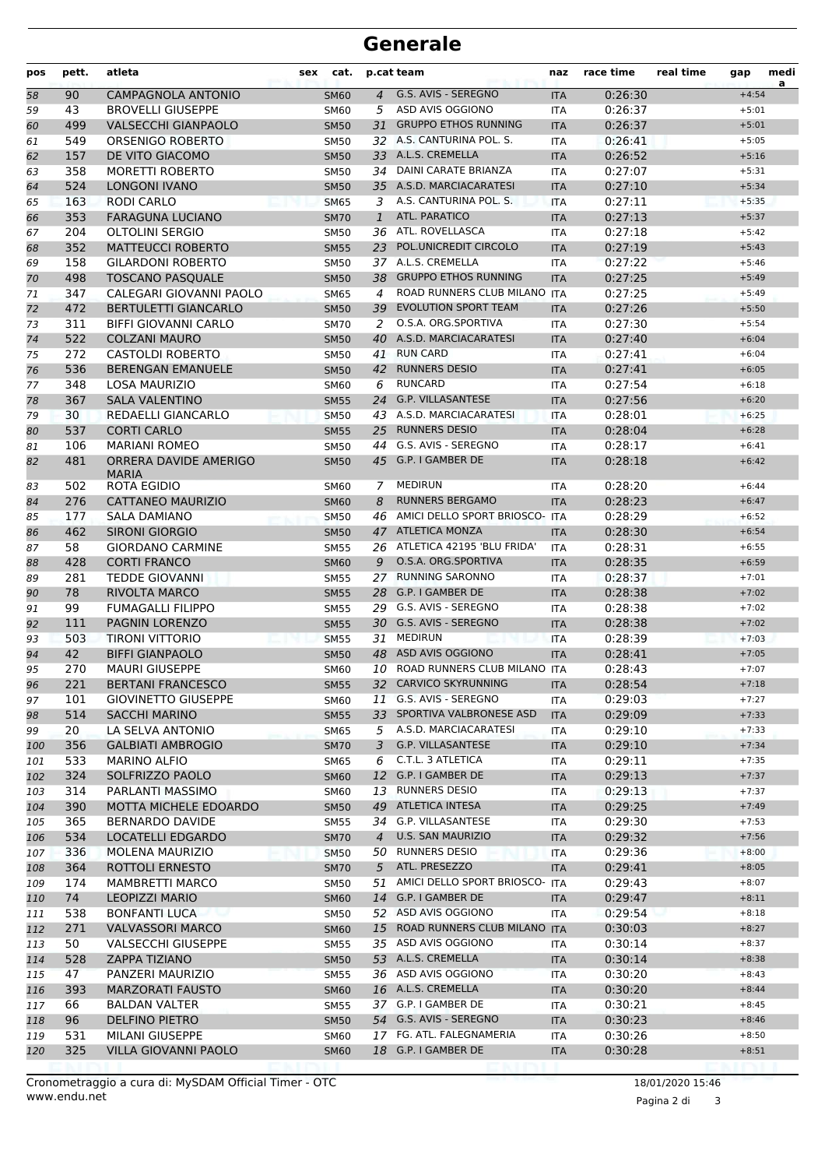| pos | pett. | atleta                      | sex | cat.        |                | p.cat team                      | naz        | race time | real time | gap     | medi<br>$\overline{a}$ |
|-----|-------|-----------------------------|-----|-------------|----------------|---------------------------------|------------|-----------|-----------|---------|------------------------|
| 58  | 90    | <b>CAMPAGNOLA ANTONIO</b>   |     | <b>SM60</b> | $\overline{4}$ | G.S. AVIS - SEREGNO             | <b>ITA</b> | 0:26:30   |           | $+4:54$ |                        |
| 59  | 43    | <b>BROVELLI GIUSEPPE</b>    |     | SM60        | 5              | ASD AVIS OGGIONO                | <b>ITA</b> | 0:26:37   |           | $+5:01$ |                        |
| 60  | 499   | <b>VALSECCHI GIANPAOLO</b>  |     | <b>SM50</b> | 31             | <b>GRUPPO ETHOS RUNNING</b>     | <b>ITA</b> | 0:26:37   |           | $+5:01$ |                        |
| 61  | 549   | ORSENIGO ROBERTO            |     | SM50        |                | 32 A.S. CANTURINA POL. S.       | <b>ITA</b> | 0:26:41   |           | $+5:05$ |                        |
| 62  | 157   | DE VITO GIACOMO             |     | <b>SM50</b> |                | 33 A.L.S. CREMELLA              | <b>ITA</b> | 0:26:52   |           | $+5:16$ |                        |
| 63  | 358   | <b>MORETTI ROBERTO</b>      |     | SM50        |                | 34 DAINI CARATE BRIANZA         | <b>ITA</b> | 0:27:07   |           | $+5:31$ |                        |
| 64  | 524   | <b>LONGONI IVANO</b>        |     | <b>SM50</b> |                | 35 A.S.D. MARCIACARATESI        | <b>ITA</b> | 0:27:10   |           | $+5:34$ |                        |
| 65  | 163   | <b>RODI CARLO</b>           |     | <b>SM65</b> | 3              | A.S. CANTURINA POL. S.          | <b>ITA</b> | 0:27:11   |           | $+5:35$ |                        |
| 66  | 353   | <b>FARAGUNA LUCIANO</b>     |     | <b>SM70</b> | $\mathbf{1}$   | ATL. PARATICO                   | <b>ITA</b> | 0:27:13   |           | $+5:37$ |                        |
| 67  | 204   | <b>OLTOLINI SERGIO</b>      |     | SM50        | 36             | ATL. ROVELLASCA                 | <b>ITA</b> | 0:27:18   |           | $+5:42$ |                        |
| 68  | 352   | <b>MATTEUCCI ROBERTO</b>    |     | <b>SM55</b> |                | 23 POL.UNICREDIT CIRCOLO        | <b>ITA</b> | 0:27:19   |           | $+5:43$ |                        |
| 69  | 158   | <b>GILARDONI ROBERTO</b>    |     | <b>SM50</b> |                | 37 A.L.S. CREMELLA              | <b>ITA</b> | 0:27:22   |           | $+5:46$ |                        |
| 70  | 498   | <b>TOSCANO PASQUALE</b>     |     | <b>SM50</b> |                | 38 GRUPPO ETHOS RUNNING         | <b>ITA</b> | 0:27:25   |           | $+5:49$ |                        |
| 71  | 347   | CALEGARI GIOVANNI PAOLO     |     | SM65        | 4              | ROAD RUNNERS CLUB MILANO ITA    |            | 0:27:25   |           | $+5:49$ |                        |
| 72  | 472   | <b>BERTULETTI GIANCARLO</b> |     | <b>SM50</b> | 39             | <b>EVOLUTION SPORT TEAM</b>     | <b>ITA</b> | 0:27:26   |           | $+5:50$ |                        |
| 73  | 311   | <b>BIFFI GIOVANNI CARLO</b> |     | <b>SM70</b> | 2              | O.S.A. ORG.SPORTIVA             | <b>ITA</b> | 0:27:30   |           | $+5:54$ |                        |
| 74  | 522   | <b>COLZANI MAURO</b>        |     | <b>SM50</b> |                | 40 A.S.D. MARCIACARATESI        | <b>ITA</b> | 0:27:40   |           | $+6:04$ |                        |
| 75  | 272   | <b>CASTOLDI ROBERTO</b>     |     | <b>SM50</b> | 41             | <b>RUN CARD</b>                 | <b>ITA</b> | 0:27:41   |           | $+6:04$ |                        |
| 76  | 536   | <b>BERENGAN EMANUELE</b>    |     | <b>SM50</b> |                | 42 RUNNERS DESIO                | <b>ITA</b> | 0:27:41   |           | $+6:05$ |                        |
| 77  | 348   | <b>LOSA MAURIZIO</b>        |     | SM60        | 6              | <b>RUNCARD</b>                  | <b>ITA</b> | 0:27:54   |           | $+6:18$ |                        |
| 78  | 367   | <b>SALA VALENTINO</b>       |     | <b>SM55</b> | 24             | <b>G.P. VILLASANTESE</b>        | <b>ITA</b> | 0:27:56   |           | $+6:20$ |                        |
| 79  | 30    | REDAELLI GIANCARLO          |     | <b>SM50</b> |                | 43 A.S.D. MARCIACARATESI        | <b>ITA</b> | 0:28:01   |           | $+6:25$ |                        |
| 80  | 537   | <b>CORTI CARLO</b>          |     | <b>SM55</b> | 25             | <b>RUNNERS DESIO</b>            | <b>ITA</b> | 0:28:04   |           | $+6:28$ |                        |
| 81  | 106   | <b>MARIANI ROMEO</b>        |     | <b>SM50</b> | 44             | G.S. AVIS - SEREGNO             | <b>ITA</b> | 0:28:17   |           | $+6:41$ |                        |
| 82  | 481   | ORRERA DAVIDE AMERIGO       |     | <b>SM50</b> | 45             | G.P. I GAMBER DE                | <b>ITA</b> | 0:28:18   |           | $+6:42$ |                        |
| 83  | 502   | <b>MARIA</b><br>ROTA EGIDIO |     | SM60        | $\mathcal{I}$  | <b>MEDIRUN</b>                  | ITA        | 0:28:20   |           | $+6:44$ |                        |
| 84  | 276   | <b>CATTANEO MAURIZIO</b>    |     | <b>SM60</b> | 8              | <b>RUNNERS BERGAMO</b>          | <b>ITA</b> | 0:28:23   |           | $+6:47$ |                        |
| 85  | 177   | <b>SALA DAMIANO</b>         |     | <b>SM50</b> | 46             | AMICI DELLO SPORT BRIOSCO-      | <b>ITA</b> | 0:28:29   |           | $+6:52$ |                        |
| 86  | 462   | <b>SIRONI GIORGIO</b>       |     | <b>SM50</b> | 47             | <b>ATLETICA MONZA</b>           | <b>ITA</b> | 0:28:30   |           | $+6:54$ |                        |
| 87  | 58    | <b>GIORDANO CARMINE</b>     |     | <b>SM55</b> |                | 26 ATLETICA 42195 'BLU FRIDA'   | <b>ITA</b> | 0:28:31   |           | $+6:55$ |                        |
| 88  | 428   | <b>CORTI FRANCO</b>         |     | <b>SM60</b> | 9              | O.S.A. ORG.SPORTIVA             | <b>ITA</b> | 0:28:35   |           | $+6:59$ |                        |
| 89  | 281   | <b>TEDDE GIOVANNI</b>       |     | <b>SM55</b> | 27             | <b>RUNNING SARONNO</b>          | ITA        | 0:28:37   |           | $+7:01$ |                        |
| 90  | 78    | <b>RIVOLTA MARCO</b>        |     | <b>SM55</b> |                | 28 G.P. I GAMBER DE             | <b>ITA</b> | 0:28:38   |           | $+7:02$ |                        |
| 91  | 99    | <b>FUMAGALLI FILIPPO</b>    |     | <b>SM55</b> | 29             | G.S. AVIS - SEREGNO             | <b>ITA</b> | 0:28:38   |           | $+7:02$ |                        |
| 92  | 111   | PAGNIN LORENZO              |     | <b>SM55</b> |                | 30 G.S. AVIS - SEREGNO          | <b>ITA</b> | 0:28:38   |           | $+7:02$ |                        |
| 93  | 503   | <b>TIRONI VITTORIO</b>      |     | <b>SM55</b> |                | 31 MEDIRUN                      | <b>ITA</b> | 0:28:39   |           | $+7:03$ |                        |
| 94  | 42    | <b>BIFFI GIANPAOLO</b>      |     | <b>SM50</b> |                | 48 ASD AVIS OGGIONO             | <b>ITA</b> | 0:28:41   |           | $+7:05$ |                        |
| 95  | 270   | <b>MAURI GIUSEPPE</b>       |     | SM60        |                | 10 ROAD RUNNERS CLUB MILANO ITA |            | 0:28:43   |           | $+7:07$ |                        |
| 96  | 221   | <b>BERTANI FRANCESCO</b>    |     | <b>SM55</b> |                | 32 CARVICO SKYRUNNING           | <b>ITA</b> | 0:28:54   |           | $+7:18$ |                        |
| 97  | 101   | <b>GIOVINETTO GIUSEPPE</b>  |     | SM60        |                | 11 G.S. AVIS - SEREGNO          | <b>ITA</b> | 0:29:03   |           | $+7:27$ |                        |
| 98  | 514   | <b>SACCHI MARINO</b>        |     | <b>SM55</b> |                | 33 SPORTIVA VALBRONESE ASD      | <b>ITA</b> | 0:29:09   |           | $+7:33$ |                        |
| 99  | 20    | LA SELVA ANTONIO            |     | <b>SM65</b> |                | 5 A.S.D. MARCIACARATESI         | ITA        | 0:29:10   |           | $+7:33$ |                        |
| 100 | 356   | <b>GALBIATI AMBROGIO</b>    |     | <b>SM70</b> | 3              | <b>G.P. VILLASANTESE</b>        | <b>ITA</b> | 0:29:10   |           | $+7:34$ |                        |
| 101 | 533   | <b>MARINO ALFIO</b>         |     | SM65        |                | 6 C.T.L. 3 ATLETICA             | ITA        | 0:29:11   |           | $+7:35$ |                        |
| 102 | 324   | SOLFRIZZO PAOLO             |     | <b>SM60</b> |                | 12 G.P. I GAMBER DE             | <b>ITA</b> | 0:29:13   |           | $+7:37$ |                        |
| 103 | 314   | PARLANTI MASSIMO            |     | <b>SM60</b> | 13             | <b>RUNNERS DESIO</b>            | ITA        | 0:29:13   |           | $+7:37$ |                        |
| 104 | 390   | MOTTA MICHELE EDOARDO       |     | <b>SM50</b> |                | 49 ATLETICA INTESA              | <b>ITA</b> | 0:29:25   |           | $+7:49$ |                        |
| 105 | 365   | BERNARDO DAVIDE             |     | <b>SM55</b> |                | 34 G.P. VILLASANTESE            | ITA        | 0:29:30   |           | $+7:53$ |                        |
| 106 | 534   | LOCATELLI EDGARDO           |     | <b>SM70</b> | $\overline{4}$ | U.S. SAN MAURIZIO               | <b>ITA</b> | 0:29:32   |           | $+7:56$ |                        |
| 107 | 336   | MOLENA MAURIZIO             |     | <b>SM50</b> |                | 50 RUNNERS DESIO                | ITA        | 0:29:36   |           | $+8:00$ |                        |
| 108 | 364   | ROTTOLI ERNESTO             |     | <b>SM70</b> | 5              | ATL. PRESEZZO                   | <b>ITA</b> | 0:29:41   |           | $+8:05$ |                        |
| 109 | 174   | MAMBRETTI MARCO             |     | SM50        | 51             | AMICI DELLO SPORT BRIOSCO-      | ITA        | 0:29:43   |           | $+8:07$ |                        |
| 110 | 74    | LEOPIZZI MARIO              |     | <b>SM60</b> |                | 14 G.P. I GAMBER DE             | <b>ITA</b> | 0:29:47   |           | $+8:11$ |                        |
| 111 | 538   | <b>BONFANTI LUCA</b>        |     | SM50        |                | 52 ASD AVIS OGGIONO             | ITA        | 0:29:54   |           | $+8:18$ |                        |
| 112 | 271   | <b>VALVASSORI MARCO</b>     |     | <b>SM60</b> |                | 15 ROAD RUNNERS CLUB MILANO ITA |            | 0:30:03   |           | $+8:27$ |                        |
| 113 | 50    | <b>VALSECCHI GIUSEPPE</b>   |     | <b>SM55</b> |                | 35 ASD AVIS OGGIONO             | ITA        | 0:30:14   |           | $+8:37$ |                        |
| 114 | 528   | ZAPPA TIZIANO               |     | <b>SM50</b> |                | 53 A.L.S. CREMELLA              | ITA        | 0:30:14   |           | $+8:38$ |                        |
| 115 | 47    | PANZERI MAURIZIO            |     | SM55        |                | 36 ASD AVIS OGGIONO             | ITA        | 0:30:20   |           | $+8:43$ |                        |
| 116 | 393   | <b>MARZORATI FAUSTO</b>     |     | <b>SM60</b> |                | 16 A.L.S. CREMELLA              | <b>ITA</b> | 0:30:20   |           | $+8:44$ |                        |
| 117 | 66    | BALDAN VALTER               |     | <b>SM55</b> |                | 37 G.P. I GAMBER DE             | ITA        | 0:30:21   |           | $+8:45$ |                        |
| 118 | 96    | <b>DELFINO PIETRO</b>       |     | <b>SM50</b> |                | 54 G.S. AVIS - SEREGNO          | <b>ITA</b> | 0:30:23   |           | $+8:46$ |                        |
| 119 | 531   | MILANI GIUSEPPE             |     | <b>SM60</b> |                | 17 FG. ATL. FALEGNAMERIA        | ITA        | 0:30:26   |           | $+8:50$ |                        |
| 120 | 325   | <b>VILLA GIOVANNI PAOLO</b> |     | <b>SM60</b> |                | 18 G.P. I GAMBER DE             | <b>ITA</b> | 0:30:28   |           | $+8:51$ |                        |

Pagina 2 di 3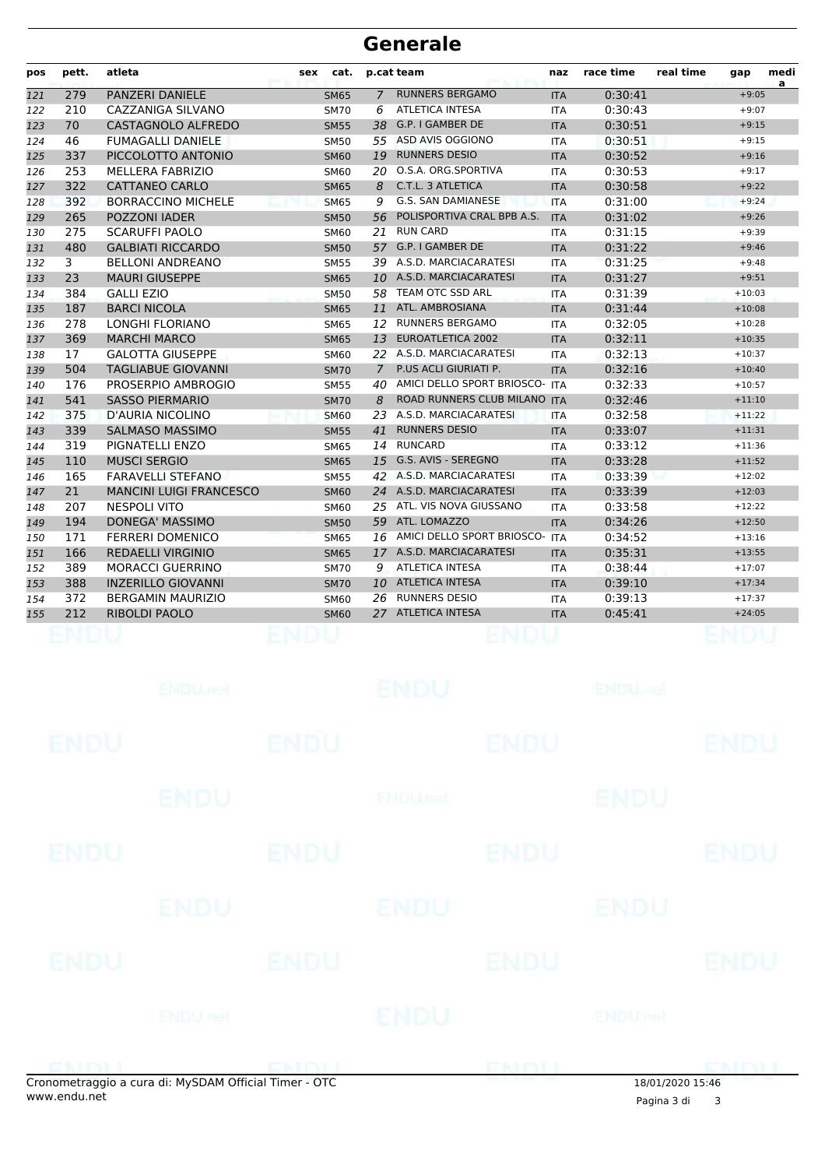| pos | pett. | atleta                         | sex<br>cat. | p.cat team     |                               | naz        | race time | real time | gap      | medi<br>a |
|-----|-------|--------------------------------|-------------|----------------|-------------------------------|------------|-----------|-----------|----------|-----------|
| 121 | 279   | <b>PANZERI DANIELE</b>         | <b>SM65</b> | $\overline{7}$ | <b>RUNNERS BERGAMO</b>        | <b>ITA</b> | 0:30:41   |           | $+9:05$  |           |
| 122 | 210   | CAZZANIGA SILVANO              | <b>SM70</b> | 6              | <b>ATLETICA INTESA</b>        | <b>ITA</b> | 0:30:43   |           | $+9:07$  |           |
| 123 | 70    | <b>CASTAGNOLO ALFREDO</b>      | <b>SM55</b> | 38             | G.P. I GAMBER DE              | <b>ITA</b> | 0:30:51   |           | $+9:15$  |           |
| 124 | 46    | <b>FUMAGALLI DANIELE</b>       | <b>SM50</b> | 55             | ASD AVIS OGGIONO              | <b>ITA</b> | 0:30:51   |           | $+9:15$  |           |
| 125 | 337   | PICCOLOTTO ANTONIO             | <b>SM60</b> | 19             | <b>RUNNERS DESIO</b>          | <b>ITA</b> | 0:30:52   |           | $+9:16$  |           |
| 126 | 253   | <b>MELLERA FABRIZIO</b>        | SM60        | 20             | O.S.A. ORG.SPORTIVA           | <b>ITA</b> | 0:30:53   |           | $+9:17$  |           |
| 127 | 322   | <b>CATTANEO CARLO</b>          | <b>SM65</b> | 8              | C.T.L. 3 ATLETICA             | <b>ITA</b> | 0:30:58   |           | $+9:22$  |           |
| 128 | 392   | <b>BORRACCINO MICHELE</b>      | <b>SM65</b> | 9              | <b>G.S. SAN DAMIANESE</b>     | <b>ITA</b> | 0:31:00   |           | $+9:24$  |           |
| 129 | 265   | POZZONI IADER                  | <b>SM50</b> | 56             | POLISPORTIVA CRAL BPB A.S.    | <b>ITA</b> | 0:31:02   |           | $+9:26$  |           |
| 130 | 275   | <b>SCARUFFI PAOLO</b>          | SM60        | 21             | <b>RUN CARD</b>               | ITA        | 0:31:15   |           | $+9:39$  |           |
| 131 | 480   | <b>GALBIATI RICCARDO</b>       | <b>SM50</b> | 57             | G.P. I GAMBER DE              | <b>ITA</b> | 0:31:22   |           | $+9:46$  |           |
| 132 | 3     | <b>BELLONI ANDREANO</b>        | <b>SM55</b> | 39             | A.S.D. MARCIACARATESI         | <b>ITA</b> | 0:31:25   |           | $+9:48$  |           |
| 133 | 23    | <b>MAURI GIUSEPPE</b>          | <b>SM65</b> | 10             | A.S.D. MARCIACARATESI         | <b>ITA</b> | 0:31:27   |           | $+9:51$  |           |
| 134 | 384   | <b>GALLI EZIO</b>              | <b>SM50</b> | 58             | TEAM OTC SSD ARL              | <b>ITA</b> | 0:31:39   |           | $+10:03$ |           |
| 135 | 187   | <b>BARCI NICOLA</b>            | <b>SM65</b> | 11             | ATL. AMBROSIANA               | <b>ITA</b> | 0:31:44   |           | $+10:08$ |           |
| 136 | 278   | <b>LONGHI FLORIANO</b>         | <b>SM65</b> | 12             | <b>RUNNERS BERGAMO</b>        | <b>ITA</b> | 0:32:05   |           | $+10:28$ |           |
| 137 | 369   | <b>MARCHI MARCO</b>            | <b>SM65</b> | 13             | EUROATLETICA 2002             | <b>ITA</b> | 0:32:11   |           | $+10:35$ |           |
| 138 | 17    | <b>GALOTTA GIUSEPPE</b>        | <b>SM60</b> | 22             | A.S.D. MARCIACARATESI         | <b>ITA</b> | 0:32:13   |           | $+10:37$ |           |
| 139 | 504   | <b>TAGLIABUE GIOVANNI</b>      | <b>SM70</b> | $\overline{7}$ | P.US ACLI GIURIATI P.         | <b>ITA</b> | 0:32:16   |           | $+10:40$ |           |
| 140 | 176   | PROSERPIO AMBROGIO             | <b>SM55</b> | 40             | AMICI DELLO SPORT BRIOSCO-    | <b>ITA</b> | 0:32:33   |           | $+10:57$ |           |
| 141 | 541   | <b>SASSO PIERMARIO</b>         | <b>SM70</b> | 8              | ROAD RUNNERS CLUB MILANO ITA  |            | 0:32:46   |           | $+11:10$ |           |
| 142 | 375   | <b>D'AURIA NICOLINO</b>        | <b>SM60</b> | 23             | A.S.D. MARCIACARATESI         | <b>ITA</b> | 0:32:58   |           | $+11:22$ |           |
| 143 | 339   | <b>SALMASO MASSIMO</b>         | <b>SM55</b> | 41             | <b>RUNNERS DESIO</b>          | <b>ITA</b> | 0:33:07   |           | $+11:31$ |           |
| 144 | 319   | PIGNATELLI ENZO                | <b>SM65</b> | 14             | <b>RUNCARD</b>                | <b>ITA</b> | 0:33:12   |           | $+11:36$ |           |
| 145 | 110   | <b>MUSCI SERGIO</b>            | <b>SM65</b> | 15             | G.S. AVIS - SEREGNO           | <b>ITA</b> | 0:33:28   |           | $+11:52$ |           |
| 146 | 165   | <b>FARAVELLI STEFANO</b>       | <b>SM55</b> |                | 42 A.S.D. MARCIACARATESI      | <b>ITA</b> | 0:33:39   |           | $+12:02$ |           |
| 147 | 21    | <b>MANCINI LUIGI FRANCESCO</b> | <b>SM60</b> |                | 24 A.S.D. MARCIACARATESI      | <b>ITA</b> | 0:33:39   |           | $+12:03$ |           |
| 148 | 207   | <b>NESPOLI VITO</b>            | SM60        | 25             | ATL. VIS NOVA GIUSSANO        | <b>ITA</b> | 0:33:58   |           | $+12:22$ |           |
| 149 | 194   | DONEGA' MASSIMO                | <b>SM50</b> |                | 59 ATL. LOMAZZO               | <b>ITA</b> | 0:34:26   |           | $+12:50$ |           |
| 150 | 171   | <b>FERRERI DOMENICO</b>        | <b>SM65</b> |                | 16 AMICI DELLO SPORT BRIOSCO- | <b>ITA</b> | 0:34:52   |           | $+13:16$ |           |
| 151 | 166   | <b>REDAELLI VIRGINIO</b>       | <b>SM65</b> | 17             | A.S.D. MARCIACARATESI         | <b>ITA</b> | 0:35:31   |           | $+13:55$ |           |
| 152 | 389   | <b>MORACCI GUERRINO</b>        | <b>SM70</b> | 9              | <b>ATLETICA INTESA</b>        | <b>ITA</b> | 0:38:44   |           | $+17:07$ |           |
| 153 | 388   | <b>INZERILLO GIOVANNI</b>      | <b>SM70</b> | 10             | <b>ATLETICA INTESA</b>        | <b>ITA</b> | 0:39:10   |           | $+17:34$ |           |
| 154 | 372   | <b>BERGAMIN MAURIZIO</b>       | SM60        | 26             | <b>RUNNERS DESIO</b>          | <b>ITA</b> | 0:39:13   |           | $+17:37$ |           |
| 155 | 212   | RIBOLDI PAOLO                  | <b>SM60</b> |                | 27 ATLETICA INTESA            | <b>ITA</b> | 0:45:41   |           | $+24:05$ |           |
|     |       |                                |             |                |                               |            |           |           |          |           |

|             | conomatraggio a cura di: MyCDAM Official Timor, OTC |             |                |             | 10/01/202015.4c |              |
|-------------|-----------------------------------------------------|-------------|----------------|-------------|-----------------|--------------|
|             |                                                     |             |                | ENDIJ       |                 | <b>INEST</b> |
|             | <b>ENDU</b> nel                                     |             | ENDU           |             | ENDUmet         |              |
| <b>ENDU</b> |                                                     | <b>ENDU</b> |                | <b>ENDU</b> |                 | <b>ENDU</b>  |
|             | <b>ENDU</b>                                         |             | <b>ENDU</b>    |             | ENDU            |              |
| <b>ENDU</b> |                                                     | <b>ENDU</b> |                | <b>ENDU</b> |                 | <b>ENDU</b>  |
|             | <b>ENDU</b>                                         |             | <b>ENDUnet</b> |             | <b>ENDU</b>     |              |
| <b>ENDU</b> |                                                     | ENDU        |                | <b>ENDU</b> |                 | <b>ENDU</b>  |
|             | <b>ENDUMON</b>                                      |             | <b>ENDU</b>    |             | <b>ENDUmet</b>  |              |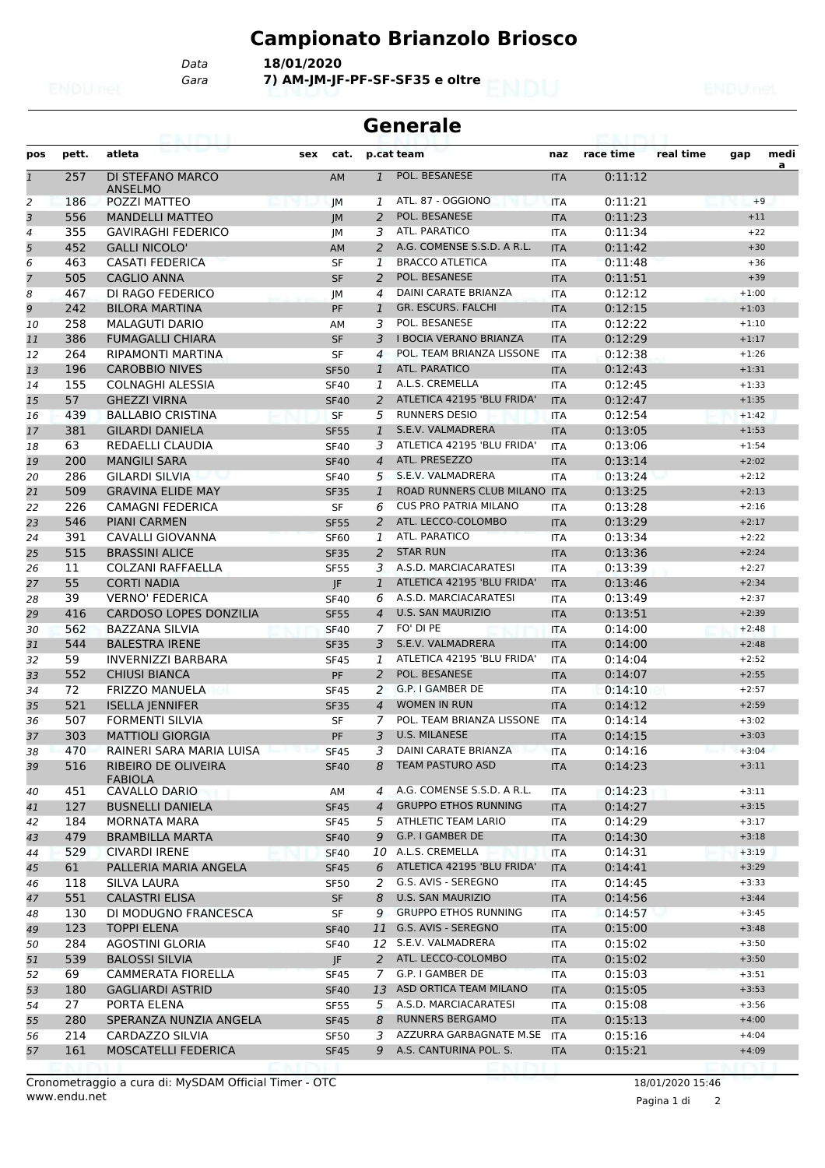*Gara* **7) AM-JM-JF-PF-SF-SF35 e oltre** *Data* **18/01/2020**

|              | <b>Generale</b><br><b>SERVICE</b> |                                       |     |             |                |                               |            |                    |           |         |           |  |  |
|--------------|-----------------------------------|---------------------------------------|-----|-------------|----------------|-------------------------------|------------|--------------------|-----------|---------|-----------|--|--|
| pos          | pett.                             | atleta                                | sex | cat.        |                | p.cat team                    | naz        | race time          | real time | gap     | medi<br>a |  |  |
| $\mathbf{1}$ | 257                               | DI STEFANO MARCO<br><b>ANSELMO</b>    |     | <b>AM</b>   | $\mathbf{1}$   | POL. BESANESE                 | <b>ITA</b> | 0:11:12            |           |         |           |  |  |
| 2            | 186                               | POZZI MATTEO                          |     | JM          | 1              | ATL. 87 - OGGIONO             | <b>ITA</b> | 0:11:21            |           | $+9$    |           |  |  |
| 3            | 556                               | <b>MANDELLI MATTEO</b>                |     | <b>JM</b>   | 2              | POL. BESANESE                 | <b>ITA</b> | 0:11:23            |           | $+11$   |           |  |  |
| 4            | 355                               | <b>GAVIRAGHI FEDERICO</b>             |     | JМ          | 3              | ATL. PARATICO                 | <b>ITA</b> | 0:11:34            |           | $+22$   |           |  |  |
| 5            | 452                               | <b>GALLI NICOLO'</b>                  |     | <b>AM</b>   | 2              | A.G. COMENSE S.S.D. A R.L.    | <b>ITA</b> | 0:11:42            |           | $+30$   |           |  |  |
| 6            | 463                               | <b>CASATI FEDERICA</b>                |     | <b>SF</b>   | 1              | <b>BRACCO ATLETICA</b>        | <b>ITA</b> | 0:11:48            |           | $+36$   |           |  |  |
| 7            | 505                               | <b>CAGLIO ANNA</b>                    |     | <b>SF</b>   | $\overline{2}$ | POL. BESANESE                 | <b>ITA</b> | 0:11:51            |           | $+39$   |           |  |  |
| 8            | 467                               | DI RAGO FEDERICO                      |     | JM          | $\overline{a}$ | DAINI CARATE BRIANZA          | <b>ITA</b> | 0:12:12            |           | $+1:00$ |           |  |  |
| 9            | 242                               | <b>BILORA MARTINA</b>                 |     | PF          | $\mathbf{1}$   | <b>GR. ESCURS. FALCHI</b>     | <b>ITA</b> | 0:12:15            |           | $+1:03$ |           |  |  |
| 10           | 258                               | <b>MALAGUTI DARIO</b>                 |     | AM          | 3              | POL. BESANESE                 | <b>ITA</b> | 0:12:22            |           | $+1:10$ |           |  |  |
| 11           | 386                               | <b>FUMAGALLI CHIARA</b>               |     | <b>SF</b>   | 3              | <b>I BOCIA VERANO BRIANZA</b> | <b>ITA</b> | 0:12:29            |           | $+1:17$ |           |  |  |
| 12           | 264                               | RIPAMONTI MARTINA                     |     | <b>SF</b>   | $\overline{A}$ | POL. TEAM BRIANZA LISSONE     | <b>ITA</b> | 0:12:38            |           | $+1:26$ |           |  |  |
| 13           | 196                               | <b>CAROBBIO NIVES</b>                 |     | <b>SF50</b> | $\mathbf{1}$   | ATL. PARATICO                 | <b>ITA</b> | 0:12:43            |           | $+1:31$ |           |  |  |
| 14           | 155                               | <b>COLNAGHI ALESSIA</b>               |     | <b>SF40</b> | 1              | A.L.S. CREMELLA               | <b>ITA</b> | 0:12:45            |           | $+1:33$ |           |  |  |
| 15           | 57                                | <b>GHEZZI VIRNA</b>                   |     | <b>SF40</b> | 2              | ATLETICA 42195 'BLU FRIDA'    | <b>ITA</b> | 0:12:47            |           | $+1:35$ |           |  |  |
| 16           | 439                               | <b>BALLABIO CRISTINA</b>              |     | <b>SF</b>   | 5              | <b>RUNNERS DESIO</b>          | <b>ITA</b> | 0:12:54            |           | $+1:42$ |           |  |  |
| 17           | 381                               | <b>GILARDI DANIELA</b>                |     | <b>SF55</b> | $\mathbf{1}$   | S.E.V. VALMADRERA             | <b>ITA</b> | 0:13:05            |           | $+1:53$ |           |  |  |
|              | 63                                |                                       |     |             |                | ATLETICA 42195 'BLU FRIDA'    |            | 0:13:06            |           | $+1:54$ |           |  |  |
| 18           |                                   | REDAELLI CLAUDIA                      |     | <b>SF40</b> | 3              | ATL. PRESEZZO                 | <b>ITA</b> |                    |           |         |           |  |  |
| 19           | 200                               | <b>MANGILI SARA</b>                   |     | <b>SF40</b> | $\overline{4}$ |                               | <b>ITA</b> | 0:13:14            |           | $+2:02$ |           |  |  |
| 20           | 286                               | <b>GILARDI SILVIA</b>                 |     | <b>SF40</b> | $5 -$          | S.E.V. VALMADRERA             | <b>ITA</b> | 0:13:24            |           | $+2:12$ |           |  |  |
| 21           | 509                               | <b>GRAVINA ELIDE MAY</b>              |     | <b>SF35</b> | $\mathbf{1}$   | ROAD RUNNERS CLUB MILANO      | <b>ITA</b> | 0:13:25            |           | $+2:13$ |           |  |  |
| 22           | 226                               | <b>CAMAGNI FEDERICA</b>               |     | SF          | 6              | <b>CUS PRO PATRIA MILANO</b>  | <b>ITA</b> | 0:13:28            |           | $+2:16$ |           |  |  |
| 23           | 546                               | <b>PIANI CARMEN</b>                   |     | <b>SF55</b> | 2              | ATL. LECCO-COLOMBO            | <b>ITA</b> | 0:13:29            |           | $+2:17$ |           |  |  |
| 24           | 391                               | <b>CAVALLI GIOVANNA</b>               |     | <b>SF60</b> | $\mathbf{1}$   | ATL. PARATICO                 | <b>ITA</b> | 0:13:34            |           | $+2:22$ |           |  |  |
| 25           | 515                               | <b>BRASSINI ALICE</b>                 |     | <b>SF35</b> | 2              | <b>STAR RUN</b>               | <b>ITA</b> | 0:13:36            |           | $+2:24$ |           |  |  |
| 26           | 11                                | COLZANI RAFFAELLA                     |     | <b>SF55</b> | 3              | A.S.D. MARCIACARATESI         | <b>ITA</b> | 0:13:39            |           | $+2:27$ |           |  |  |
| 27           | 55                                | <b>CORTI NADIA</b>                    |     | JF.         | $\mathbf{1}$   | ATLETICA 42195 'BLU FRIDA'    | <b>ITA</b> | 0:13:46            |           | $+2:34$ |           |  |  |
| 28           | 39                                | <b>VERNO' FEDERICA</b>                |     | <b>SF40</b> | 6              | A.S.D. MARCIACARATESI         | <b>ITA</b> | 0:13:49            |           | $+2:37$ |           |  |  |
| 29           | 416                               | <b>CARDOSO LOPES DONZILIA</b>         |     | <b>SF55</b> | $\overline{4}$ | <b>U.S. SAN MAURIZIO</b>      | <b>ITA</b> | 0:13:51            |           | $+2:39$ |           |  |  |
| 30           | 562                               | <b>BAZZANA SILVIA</b>                 |     | <b>SF40</b> | $7^{\circ}$    | FO' DI PE                     | <b>ITA</b> | 0:14:00            |           | $+2:48$ |           |  |  |
| 31           | 544                               | <b>BALESTRA IRENE</b>                 |     | <b>SF35</b> | 3              | S.E.V. VALMADRERA             | <b>ITA</b> | 0:14:00            |           | $+2:48$ |           |  |  |
| 32           | 59                                | <b>INVERNIZZI BARBARA</b>             |     | <b>SF45</b> | 1              | ATLETICA 42195 'BLU FRIDA'    | <b>ITA</b> | 0:14:04            |           | $+2:52$ |           |  |  |
| 33           | 552                               | <b>CHIUSI BIANCA</b>                  |     | PF          | 2              | POL. BESANESE                 | <b>ITA</b> | 0:14:07            |           | $+2:55$ |           |  |  |
| 34           | 72                                | <b>FRIZZO MANUELA</b>                 |     | <b>SF45</b> | 2              | G.P. I GAMBER DE              | <b>ITA</b> | 0:14:10            |           | $+2:57$ |           |  |  |
| 35           | 521                               | <b>ISELLA JENNIFER</b>                |     | <b>SF35</b> | $\overline{4}$ | <b>WOMEN IN RUN</b>           | <b>ITA</b> | 0:14:12            |           | $+2:59$ |           |  |  |
| 36           | 507                               | <b>FORMENTI SILVIA</b>                |     | <b>SF</b>   | 7              | POL. TEAM BRIANZA LISSONE     | <b>ITA</b> | 0:14:14            |           | $+3:02$ |           |  |  |
| 37           | 303                               | <b>MATTIOLI GIORGIA</b>               |     | PF          | 3              | <b>U.S. MILANESE</b>          | <b>ITA</b> | 0:14:15            |           | $+3:03$ |           |  |  |
| 38           | 470                               | RAINERI SARA MARIA LUISA              |     | <b>SF45</b> | 3              | DAINI CARATE BRIANZA          | <b>ITA</b> | 0:14:16            |           | $+3:04$ |           |  |  |
| 39           | 516                               | RIBEIRO DE OLIVEIRA<br><b>FABIOLA</b> |     | <b>SF40</b> | 8              | <b>TEAM PASTURO ASD</b>       | <b>ITA</b> | 0:14:23            |           | $+3:11$ |           |  |  |
| 40           | 451                               | CAVALLO DARIO                         |     | AM          | $\overline{4}$ | A.G. COMENSE S.S.D. A R.L.    | ITA        | 0:14:23            |           | $+3:11$ |           |  |  |
| 41           | 127                               | <b>BUSNELLI DANIELA</b>               |     | <b>SF45</b> | $\overline{4}$ | <b>GRUPPO ETHOS RUNNING</b>   | <b>ITA</b> | 0:14:27            |           | $+3:15$ |           |  |  |
| 42           | 184                               | <b>MORNATA MARA</b>                   |     | <b>SF45</b> | 5              | ATHLETIC TEAM LARIO           | ITA        | 0:14:29            |           | $+3:17$ |           |  |  |
| 43           | 479                               | <b>BRAMBILLA MARTA</b>                |     | <b>SF40</b> | 9              | G.P. I GAMBER DE              | <b>ITA</b> | 0:14:30            |           | $+3:18$ |           |  |  |
| 44           | 529                               | <b>CIVARDI IRENE</b>                  |     | <b>SF40</b> |                | 10 A.L.S. CREMELLA            | <b>ITA</b> | 0:14:31            |           | $+3:19$ |           |  |  |
| 45           | 61                                | PALLERIA MARIA ANGELA                 |     | <b>SF45</b> |                | 6 ATLETICA 42195 'BLU FRIDA'  | <b>ITA</b> | 0:14:41            |           | $+3:29$ |           |  |  |
| 46           | 118                               | <b>SILVA LAURA</b>                    |     | <b>SF50</b> | 2              | G.S. AVIS - SEREGNO           | ITA        | 0:14:45            |           | $+3:33$ |           |  |  |
| 47           | 551                               | <b>CALASTRI ELISA</b>                 |     | SF          | 8              | <b>U.S. SAN MAURIZIO</b>      | <b>ITA</b> | 0:14:56            |           | $+3:44$ |           |  |  |
| 48           | 130                               | DI MODUGNO FRANCESCA                  |     | SF          | 9              | <b>GRUPPO ETHOS RUNNING</b>   | ITA        | 0:14:57            |           | $+3:45$ |           |  |  |
| 49           | 123                               | <b>TOPPI ELENA</b>                    |     | <b>SF40</b> | 11             | G.S. AVIS - SEREGNO           | <b>ITA</b> | 0:15:00            |           | $+3:48$ |           |  |  |
| 50           | 284                               | <b>AGOSTINI GLORIA</b>                |     | <b>SF40</b> |                | 12 S.E.V. VALMADRERA          | ITA        | 0:15:02            |           | $+3:50$ |           |  |  |
| 51           | 539                               | <b>BALOSSI SILVIA</b>                 |     | JF.         |                | 2 ATL. LECCO-COLOMBO          | <b>ITA</b> | 0:15:02            |           | $+3:50$ |           |  |  |
| 52           | 69                                | CAMMERATA FIORELLA                    |     | <b>SF45</b> | $7^{\circ}$    | G.P. I GAMBER DE              | ITA        | 0:15:03            |           | $+3:51$ |           |  |  |
|              | 180                               | <b>GAGLIARDI ASTRID</b>               |     |             | 13             | ASD ORTICA TEAM MILANO        | <b>ITA</b> |                    |           | $+3:53$ |           |  |  |
| 53           | 27                                |                                       |     | <b>SF40</b> |                | A.S.D. MARCIACARATESI         |            | 0:15:05<br>0:15:08 |           | $+3:56$ |           |  |  |
| 54           |                                   | PORTA ELENA                           |     | <b>SF55</b> | 5              |                               | ITA        |                    |           |         |           |  |  |
| 55           | 280                               | SPERANZA NUNZIA ANGELA                |     | <b>SF45</b> | 8              | RUNNERS BERGAMO               | <b>ITA</b> | 0:15:13            |           | $+4:00$ |           |  |  |
| 56           | 214                               | CARDAZZO SILVIA                       |     | SF50        | 3              | AZZURRA GARBAGNATE M.SE       | ITA        | 0:15:16            |           | $+4:04$ |           |  |  |
| 57           | 161                               | MOSCATELLI FEDERICA                   |     | <b>SF45</b> | 9              | A.S. CANTURINA POL. S.        | <b>ITA</b> | 0:15:21            |           | $+4:09$ |           |  |  |

Pagina 1 di 2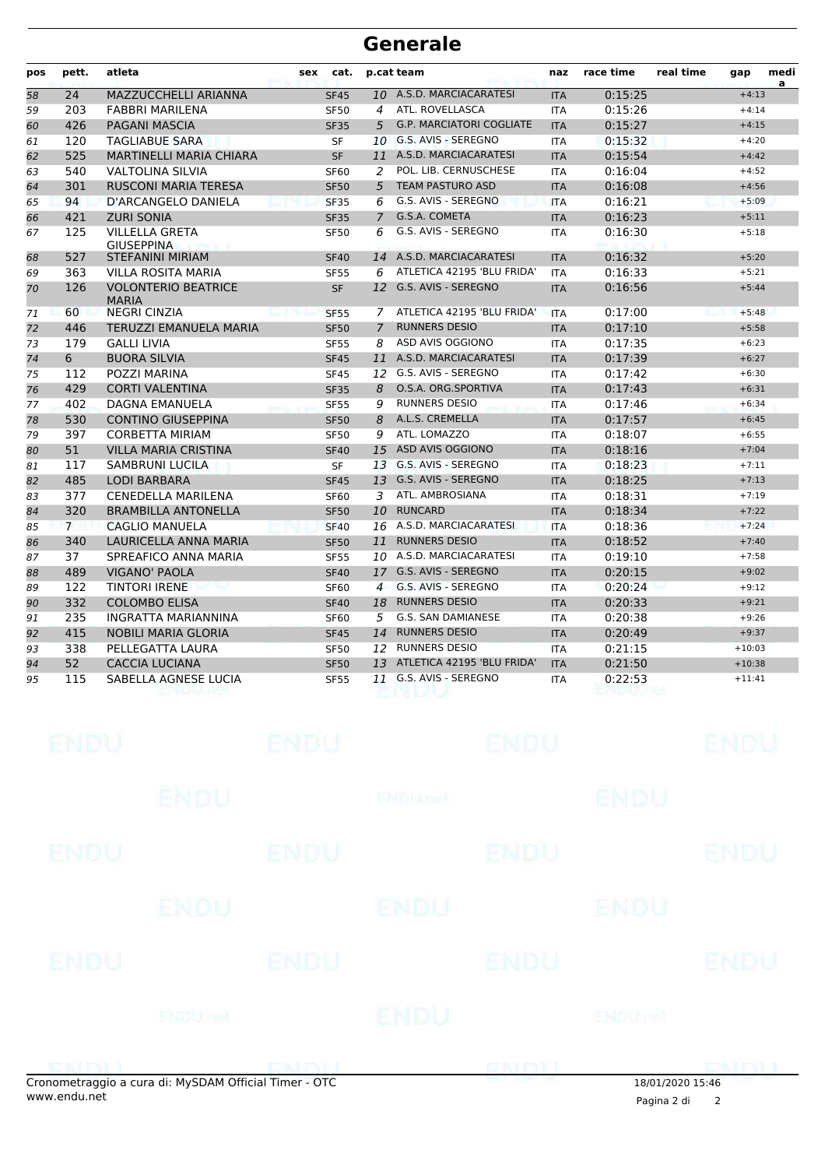| pos | pett.       | atleta                                     | sex | cat.        |                | p.cat team                      | naz        | race time | real time | gap      | medi<br>a |
|-----|-------------|--------------------------------------------|-----|-------------|----------------|---------------------------------|------------|-----------|-----------|----------|-----------|
| 58  | 24          | <b>MAZZUCCHELLI ARIANNA</b>                |     | <b>SF45</b> |                | 10 A.S.D. MARCIACARATESI        | <b>ITA</b> | 0:15:25   |           | $+4:13$  |           |
| 59  | 203         | <b>FABBRI MARILENA</b>                     |     | <b>SF50</b> | 4              | ATL. ROVELLASCA                 | <b>ITA</b> | 0:15:26   |           | $+4:14$  |           |
| 60  | 426         | <b>PAGANI MASCIA</b>                       |     | <b>SF35</b> | 5              | <b>G.P. MARCIATORI COGLIATE</b> | <b>ITA</b> | 0:15:27   |           | $+4:15$  |           |
| 61  | 120         | <b>TAGLIABUE SARA</b>                      |     | <b>SF</b>   |                | 10 G.S. AVIS - SEREGNO          | <b>ITA</b> | 0:15:32   |           | $+4:20$  |           |
| 62  | 525         | <b>MARTINELLI MARIA CHIARA</b>             |     | <b>SF</b>   | 11             | A.S.D. MARCIACARATESI           | <b>ITA</b> | 0:15:54   |           | $+4:42$  |           |
| 63  | 540         | <b>VALTOLINA SILVIA</b>                    |     | <b>SF60</b> | 2              | POL. LIB. CERNUSCHESE           | <b>ITA</b> | 0:16:04   |           | $+4:52$  |           |
| 64  | 301         | <b>RUSCONI MARIA TERESA</b>                |     | <b>SF50</b> | 5              | <b>TEAM PASTURO ASD</b>         | <b>ITA</b> | 0:16:08   |           | $+4:56$  |           |
| 65  | 94          | D'ARCANGELO DANIELA                        |     | <b>SF35</b> | 6              | G.S. AVIS - SEREGNO             | <b>ITA</b> | 0:16:21   |           | $+5:09$  |           |
| 66  | 421         | <b>ZURI SONIA</b>                          |     | <b>SF35</b> | $\overline{7}$ | G.S.A. COMETA                   | <b>ITA</b> | 0:16:23   |           | $+5:11$  |           |
| 67  | 125         | <b>VILLELLA GRETA</b><br><b>GIUSEPPINA</b> |     | <b>SF50</b> | 6              | G.S. AVIS - SEREGNO             | <b>ITA</b> | 0:16:30   |           | $+5:18$  |           |
| 68  | 527         | <b>STEFANINI MIRIAM</b>                    |     | <b>SF40</b> |                | 14 A.S.D. MARCIACARATESI        | <b>ITA</b> | 0:16:32   |           | $+5:20$  |           |
| 69  | 363         | <b>VILLA ROSITA MARIA</b>                  |     | <b>SF55</b> | 6              | ATLETICA 42195 'BLU FRIDA'      | <b>ITA</b> | 0:16:33   |           | $+5:21$  |           |
| 70  | 126         | <b>VOLONTERIO BEATRICE</b><br><b>MARIA</b> |     | <b>SF</b>   | 12             | G.S. AVIS - SEREGNO             | <b>ITA</b> | 0:16:56   |           | $+5:44$  |           |
| 71  | 60          | <b>NEGRI CINZIA</b>                        |     | <b>SF55</b> | 7              | ATLETICA 42195 'BLU FRIDA'      | <b>ITA</b> | 0:17:00   |           | $+5:48$  |           |
| 72  | 446         | TERUZZI EMANUELA MARIA                     |     | <b>SF50</b> | $\overline{7}$ | <b>RUNNERS DESIO</b>            | <b>ITA</b> | 0:17:10   |           | $+5:58$  |           |
| 73  | 179         | <b>GALLI LIVIA</b>                         |     | <b>SF55</b> | 8              | ASD AVIS OGGIONO                | <b>ITA</b> | 0:17:35   |           | $+6:23$  |           |
| 74  | 6           | <b>BUORA SILVIA</b>                        |     | <b>SF45</b> | 11             | A.S.D. MARCIACARATESI           | <b>ITA</b> | 0:17:39   |           | $+6:27$  |           |
| 75  | 112         | POZZI MARINA                               |     | <b>SF45</b> | 12             | G.S. AVIS - SEREGNO             | <b>ITA</b> | 0:17:42   |           | $+6:30$  |           |
| 76  | 429         | <b>CORTI VALENTINA</b>                     |     | <b>SF35</b> | 8              | O.S.A. ORG.SPORTIVA             | <b>ITA</b> | 0:17:43   |           | $+6:31$  |           |
| 77  | 402         | DAGNA EMANUELA                             |     | <b>SF55</b> | 9              | <b>RUNNERS DESIO</b>            | <b>ITA</b> | 0:17:46   |           | $+6:34$  |           |
| 78  | 530         | <b>CONTINO GIUSEPPINA</b>                  |     | <b>SF50</b> | 8              | A.L.S. CREMELLA                 | <b>ITA</b> | 0:17:57   |           | $+6:45$  |           |
| 79  | 397         | <b>CORBETTA MIRIAM</b>                     |     | <b>SF50</b> | 9              | ATL. LOMAZZO                    | <b>ITA</b> | 0:18:07   |           | $+6:55$  |           |
| 80  | 51          | <b>VILLA MARIA CRISTINA</b>                |     | <b>SF40</b> | 15             | ASD AVIS OGGIONO                | <b>ITA</b> | 0:18:16   |           | $+7:04$  |           |
| 81  | 117         | <b>SAMBRUNI LUCILA</b>                     |     | <b>SF</b>   |                | 13 G.S. AVIS - SEREGNO          | <b>ITA</b> | 0:18:23   |           | $+7:11$  |           |
| 82  | 485         | <b>LODI BARBARA</b>                        |     | <b>SF45</b> |                | 13 G.S. AVIS - SEREGNO          | <b>ITA</b> | 0:18:25   |           | $+7:13$  |           |
| 83  | 377         | <b>CENEDELLA MARILENA</b>                  |     | <b>SF60</b> | 3              | ATL. AMBROSIANA                 | <b>ITA</b> | 0:18:31   |           | $+7:19$  |           |
| 84  | 320         | <b>BRAMBILLA ANTONELLA</b>                 |     | <b>SF50</b> | 10             | <b>RUNCARD</b>                  | <b>ITA</b> | 0:18:34   |           | $+7:22$  |           |
| 85  | $7^{\circ}$ | <b>CAGLIO MANUELA</b>                      |     | <b>SF40</b> |                | 16 A.S.D. MARCIACARATESI        | <b>ITA</b> | 0:18:36   |           | $+7:24$  |           |
| 86  | 340         | LAURICELLA ANNA MARIA                      |     | <b>SF50</b> | 11             | <b>RUNNERS DESIO</b>            | <b>ITA</b> | 0:18:52   |           | $+7:40$  |           |
| 87  | 37          | SPREAFICO ANNA MARIA                       |     | <b>SF55</b> |                | 10 A.S.D. MARCIACARATESI        | <b>ITA</b> | 0:19:10   |           | $+7:58$  |           |
| 88  | 489         | <b>VIGANO' PAOLA</b>                       |     | <b>SF40</b> |                | 17 G.S. AVIS - SEREGNO          | <b>ITA</b> | 0:20:15   |           | $+9:02$  |           |
| 89  | 122         | <b>TINTORI IRENE</b>                       |     | SF60        | $\overline{4}$ | G.S. AVIS - SEREGNO             | <b>ITA</b> | 0:20:24   |           | $+9:12$  |           |
| 90  | 332         | <b>COLOMBO ELISA</b>                       |     | <b>SF40</b> | 18             | <b>RUNNERS DESIO</b>            | <b>ITA</b> | 0:20:33   |           | $+9:21$  |           |
| 91  | 235         | INGRATTA MARIANNINA                        |     | <b>SF60</b> | 5              | <b>G.S. SAN DAMIANESE</b>       | <b>ITA</b> | 0:20:38   |           | $+9:26$  |           |
| 92  | 415         | <b>NOBILI MARIA GLORIA</b>                 |     | <b>SF45</b> | 14             | <b>RUNNERS DESIO</b>            | <b>ITA</b> | 0:20:49   |           | $+9:37$  |           |
| 93  | 338         | PELLEGATTA LAURA                           |     | <b>SF50</b> | 12             | <b>RUNNERS DESIO</b>            | <b>ITA</b> | 0:21:15   |           | $+10:03$ |           |
| 94  | 52          | <b>CACCIA LUCIANA</b>                      |     | <b>SF50</b> | 13             | ATLETICA 42195 'BLU FRIDA'      | <b>ITA</b> | 0:21:50   |           | $+10:38$ |           |
| 95  | 115         | SABELLA AGNESE LUCIA                       |     | <b>SF55</b> |                | 11 G.S. AVIS - SEREGNO          | <b>ITA</b> | 0:22:53   |           | $+11:41$ |           |

|             | $\mathbf{C}$ and $\mathbf{C}$ and $\mathbf{C}$ are $\mathbf{C}$ and $\mathbf{C}$ and $\mathbf{C}$ and $\mathbf{C}$ and $\mathbf{C}$ and $\mathbf{C}$ and $\mathbf{C}$ and $\mathbf{C}$ and $\mathbf{C}$ and $\mathbf{C}$ and $\mathbf{C}$ and $\mathbf{C}$ and $\mathbf{C}$ and $\mathbf{C}$ and |             |                |             |         |             |
|-------------|--------------------------------------------------------------------------------------------------------------------------------------------------------------------------------------------------------------------------------------------------------------------------------------------------|-------------|----------------|-------------|---------|-------------|
|             |                                                                                                                                                                                                                                                                                                  |             |                | ENDIJ       |         | emni i      |
|             | <b>ENDU</b> nel                                                                                                                                                                                                                                                                                  |             | ENDU           |             | ENDUmet |             |
| <b>ENDU</b> |                                                                                                                                                                                                                                                                                                  | <b>ENDU</b> |                | <b>ENDU</b> |         | <b>ENDU</b> |
|             | <b>ENDU</b>                                                                                                                                                                                                                                                                                      |             | <b>ENDU</b>    |             | ENDU    |             |
| <b>ENDU</b> |                                                                                                                                                                                                                                                                                                  | <b>ENDU</b> |                | <b>ENDU</b> |         | <b>ENDU</b> |
|             | ENDU                                                                                                                                                                                                                                                                                             |             | <b>ENDUmet</b> |             | ENDU    |             |
| <b>ENDU</b> |                                                                                                                                                                                                                                                                                                  | <b>ENDU</b> |                | <b>ENDU</b> |         | <b>ENDU</b> |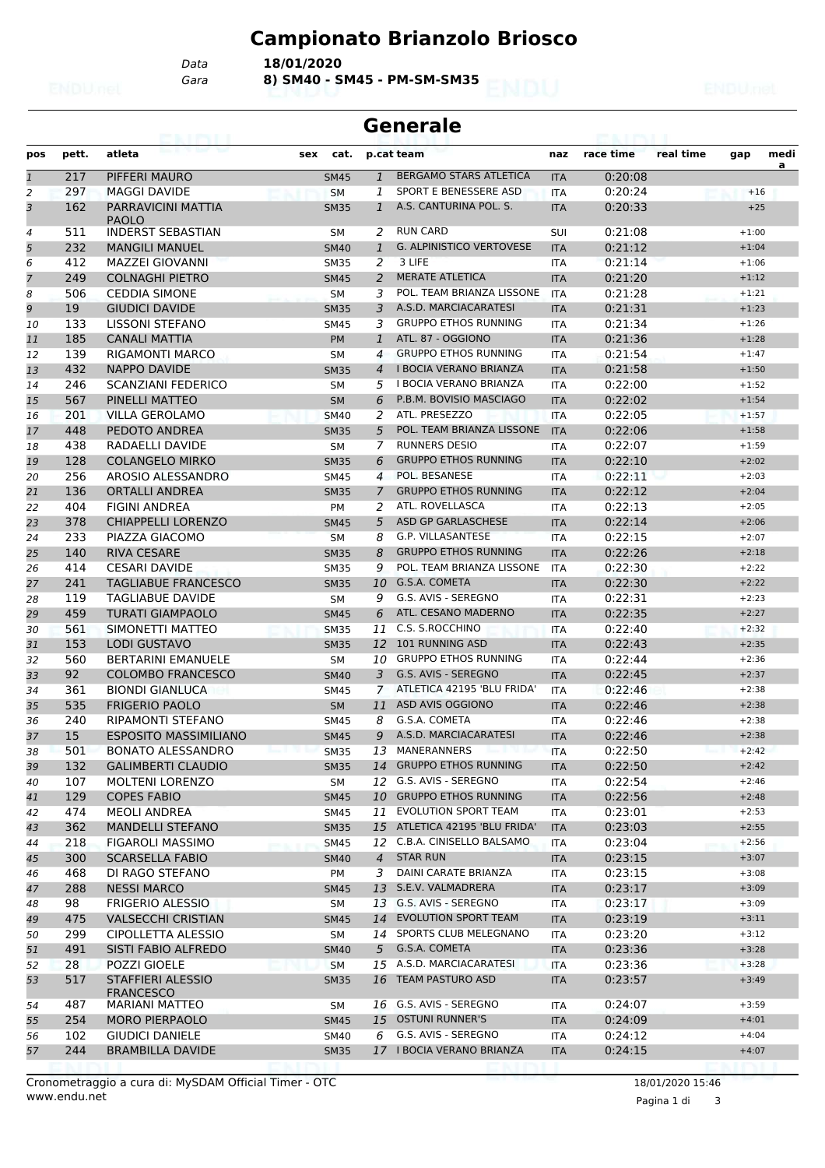*Gara* **8) SM40 - SM45 - PM-SM-SM35** *Data* **18/01/2020**

|                | <b>Generale</b> |                                              |     |             |                |                                 |            |           |           |         |           |  |
|----------------|-----------------|----------------------------------------------|-----|-------------|----------------|---------------------------------|------------|-----------|-----------|---------|-----------|--|
| pos            | pett.           | atleta                                       | sex | cat.        |                | p.cat team                      | naz        | race time | real time | gap     | medi<br>a |  |
| $\mathbf{1}$   | 217             | PIFFERI MAURO                                |     | <b>SM45</b> | $\mathbf{1}$   | <b>BERGAMO STARS ATLETICA</b>   | <b>ITA</b> | 0:20:08   |           |         |           |  |
| 2              | 297             | <b>MAGGI DAVIDE</b>                          |     | <b>SM</b>   | 1              | SPORT E BENESSERE ASD           | <b>ITA</b> | 0:20:24   |           | $+16$   |           |  |
| 3              | 162             | PARRAVICINI MATTIA<br><b>PAOLO</b>           |     | <b>SM35</b> | $\mathbf{1}$   | A.S. CANTURINA POL. S.          | <b>ITA</b> | 0:20:33   |           | $+25$   |           |  |
| 4              | 511             | <b>INDERST SEBASTIAN</b>                     |     | SΜ          | 2              | <b>RUN CARD</b>                 | SUI        | 0:21:08   |           | $+1:00$ |           |  |
| 5              | 232             | <b>MANGILI MANUEL</b>                        |     | <b>SM40</b> | $\mathbf{1}$   | <b>G. ALPINISTICO VERTOVESE</b> | <b>ITA</b> | 0:21:12   |           | $+1:04$ |           |  |
| 6              | 412             | <b>MAZZEI GIOVANNI</b>                       |     | <b>SM35</b> | 2              | 3 LIFE                          | <b>ITA</b> | 0:21:14   |           | $+1:06$ |           |  |
| $\overline{z}$ | 249             | <b>COLNAGHI PIETRO</b>                       |     | <b>SM45</b> | 2              | <b>MERATE ATLETICA</b>          | <b>ITA</b> | 0:21:20   |           | $+1:12$ |           |  |
| 8              | 506             | <b>CEDDIA SIMONE</b>                         |     | SM          | 3              | POL. TEAM BRIANZA LISSONE       | ITA        | 0:21:28   |           | $+1:21$ |           |  |
| 9              | 19              | <b>GIUDICI DAVIDE</b>                        |     | <b>SM35</b> | 3              | A.S.D. MARCIACARATESI           | <b>ITA</b> | 0:21:31   |           | $+1:23$ |           |  |
| 10             | 133             | <b>LISSONI STEFANO</b>                       |     | <b>SM45</b> | 3              | <b>GRUPPO ETHOS RUNNING</b>     | <b>ITA</b> | 0:21:34   |           | $+1:26$ |           |  |
| 11             | 185             | <b>CANALI MATTIA</b>                         |     | <b>PM</b>   | $\mathbf{1}$   | ATL, 87 - OGGIONO               | <b>ITA</b> | 0:21:36   |           | $+1:28$ |           |  |
| 12             | 139             | <b>RIGAMONTI MARCO</b>                       |     | <b>SM</b>   | $\overline{4}$ | <b>GRUPPO ETHOS RUNNING</b>     | <b>ITA</b> | 0:21:54   |           | $+1:47$ |           |  |
| 13             | 432             | NAPPO DAVIDE                                 |     | <b>SM35</b> | $\overline{4}$ | I BOCIA VERANO BRIANZA          | <b>ITA</b> | 0:21:58   |           | $+1:50$ |           |  |
| 14             | 246             | <b>SCANZIANI FEDERICO</b>                    |     | SМ          | 5              | I BOCIA VERANO BRIANZA          | <b>ITA</b> | 0:22:00   |           | $+1:52$ |           |  |
| 15             | 567             | PINELLI MATTEO                               |     | <b>SM</b>   | 6              | P.B.M. BOVISIO MASCIAGO         | <b>ITA</b> | 0:22:02   |           | $+1:54$ |           |  |
| 16             | 201             | <b>VILLA GEROLAMO</b>                        |     | <b>SM40</b> | 2              | ATL. PRESEZZO                   | <b>ITA</b> | 0:22:05   |           | $+1:57$ |           |  |
| 17             | 448             | PEDOTO ANDREA                                |     | <b>SM35</b> | 5              | POL. TEAM BRIANZA LISSONE       | <b>ITA</b> | 0:22:06   |           | $+1:58$ |           |  |
| 18             | 438             | RADAELLI DAVIDE                              |     | <b>SM</b>   | 7              | <b>RUNNERS DESIO</b>            | <b>ITA</b> | 0:22:07   |           | $+1:59$ |           |  |
| 19             | 128             | <b>COLANGELO MIRKO</b>                       |     | <b>SM35</b> | 6              | <b>GRUPPO ETHOS RUNNING</b>     | <b>ITA</b> | 0:22:10   |           | $+2:02$ |           |  |
| 20             | 256             | AROSIO ALESSANDRO                            |     | SM45        | 4              | POL. BESANESE                   | <b>ITA</b> | 0:22:11   |           | $+2:03$ |           |  |
| 21             | 136             | <b>ORTALLI ANDREA</b>                        |     | <b>SM35</b> | 7              | <b>GRUPPO ETHOS RUNNING</b>     | <b>ITA</b> | 0:22:12   |           | $+2:04$ |           |  |
| 22             | 404             | <b>FIGINI ANDREA</b>                         |     | PM          | 2              | ATL. ROVELLASCA                 | <b>ITA</b> | 0:22:13   |           | $+2:05$ |           |  |
| 23             | 378             | <b>CHIAPPELLI LORENZO</b>                    |     | <b>SM45</b> | 5              | ASD GP GARLASCHESE              | <b>ITA</b> | 0:22:14   |           | $+2:06$ |           |  |
| 24             | 233             | PIAZZA GIACOMO                               |     | <b>SM</b>   | 8              | G.P. VILLASANTESE               | <b>ITA</b> | 0:22:15   |           | $+2:07$ |           |  |
| 25             | 140             | <b>RIVA CESARE</b>                           |     | <b>SM35</b> | 8              | <b>GRUPPO ETHOS RUNNING</b>     | <b>ITA</b> | 0:22:26   |           | $+2:18$ |           |  |
| 26             | 414             | <b>CESARI DAVIDE</b>                         |     | SM35        | 9              | POL. TEAM BRIANZA LISSONE       | <b>ITA</b> | 0:22:30   |           | $+2:22$ |           |  |
| 27             | 241             | <b>TAGLIABUE FRANCESCO</b>                   |     | <b>SM35</b> | 10             | G.S.A. COMETA                   | <b>ITA</b> | 0:22:30   |           | $+2:22$ |           |  |
| 28             | 119             | <b>TAGLIABUE DAVIDE</b>                      |     | <b>SM</b>   | 9              | G.S. AVIS - SEREGNO             | <b>ITA</b> | 0:22:31   |           | $+2:23$ |           |  |
| 29             | 459             | <b>TURATI GIAMPAOLO</b>                      |     | <b>SM45</b> | 6              | ATL. CESANO MADERNO             | <b>ITA</b> | 0:22:35   |           | $+2:27$ |           |  |
| 30             | 561             | SIMONETTI MATTEO                             |     | <b>SM35</b> | 11             | C.S. S.ROCCHINO                 | <b>ITA</b> | 0:22:40   |           | $+2:32$ |           |  |
| 31             | 153             | <b>LODI GUSTAVO</b>                          |     | <b>SM35</b> |                | 12 101 RUNNING ASD              | <b>ITA</b> | 0:22:43   |           | $+2:35$ |           |  |
| 32             | 560             | <b>BERTARINI EMANUELE</b>                    |     | SM          | 10             | <b>GRUPPO ETHOS RUNNING</b>     | ITA        | 0:22:44   |           | $+2:36$ |           |  |
| 33             | 92              | <b>COLOMBO FRANCESCO</b>                     |     | <b>SM40</b> | 3              | G.S. AVIS - SEREGNO             | <b>ITA</b> | 0:22:45   |           | $+2:37$ |           |  |
| 34             | 361             | <b>BIONDI GIANLUCA</b>                       |     | <b>SM45</b> | $\mathcal{I}$  | ATLETICA 42195 'BLU FRIDA'      | <b>ITA</b> | 0:22:46   |           | $+2:38$ |           |  |
| 35             | 535             | <b>FRIGERIO PAOLO</b>                        |     | <b>SM</b>   | 11             | <b>ASD AVIS OGGIONO</b>         | <b>ITA</b> | 0:22:46   |           | $+2:38$ |           |  |
| 36             | 240             | <b>RIPAMONTI STEFANO</b>                     |     | <b>SM45</b> | 8              | G.S.A. COMETA                   | <b>ITA</b> | 0:22:46   |           | $+2:38$ |           |  |
| 37             | 15              | ESPOSITO MASSIMILIANO                        |     | <b>SM45</b> |                | 9 A.S.D. MARCIACARATESI         | <b>ITA</b> | 0:22:46   |           | $+2:38$ |           |  |
| 38             | 501             | <b>BONATO ALESSANDRO</b>                     |     | <b>SM35</b> |                | 13 MANERANNERS                  | <b>ITA</b> | 0:22:50   |           | $+2:42$ |           |  |
| 39             | 132             | <b>GALIMBERTI CLAUDIO</b>                    |     | <b>SM35</b> |                | 14 GRUPPO ETHOS RUNNING         | <b>ITA</b> | 0:22:50   |           | $+2:42$ |           |  |
| 40             | 107             | <b>MOLTENI LORENZO</b>                       |     | SM          |                | 12 G.S. AVIS - SEREGNO          | ITA        | 0:22:54   |           | $+2:46$ |           |  |
| 41             | 129             | <b>COPES FABIO</b>                           |     | <b>SM45</b> |                | 10 GRUPPO ETHOS RUNNING         | <b>ITA</b> | 0:22:56   |           | $+2:48$ |           |  |
| 42             | 474             | <b>MEOLI ANDREA</b>                          |     | <b>SM45</b> | 11             | <b>EVOLUTION SPORT TEAM</b>     | <b>ITA</b> | 0:23:01   |           | $+2:53$ |           |  |
| 43             | 362             | <b>MANDELLI STEFANO</b>                      |     | <b>SM35</b> |                | 15 ATLETICA 42195 'BLU FRIDA'   | <b>ITA</b> | 0:23:03   |           | $+2:55$ |           |  |
| 44             | 218             | FIGAROLI MASSIMO                             |     | SM45        | 12             | C.B.A. CINISELLO BALSAMO        | ITA        | 0:23:04   |           | $+2:56$ |           |  |
| 45             | 300             | <b>SCARSELLA FABIO</b>                       |     | <b>SM40</b> | $\overline{4}$ | <b>STAR RUN</b>                 | <b>ITA</b> | 0:23:15   |           | $+3:07$ |           |  |
| 46             | 468             | DI RAGO STEFANO                              |     | PM          | 3              | <b>DAINI CARATE BRIANZA</b>     | ITA        | 0:23:15   |           | $+3:08$ |           |  |
| 47             | 288             | <b>NESSI MARCO</b>                           |     | <b>SM45</b> |                | 13 S.E.V. VALMADRERA            | <b>ITA</b> | 0:23:17   |           | $+3:09$ |           |  |
| 48             | 98              | <b>FRIGERIO ALESSIO</b>                      |     | SM          |                | 13 G.S. AVIS - SEREGNO          | ITA        | 0:23:17   |           | $+3:09$ |           |  |
| 49             | 475             | <b>VALSECCHI CRISTIAN</b>                    |     | <b>SM45</b> | 14             | <b>EVOLUTION SPORT TEAM</b>     | <b>ITA</b> | 0:23:19   |           | $+3:11$ |           |  |
| 50             | 299             | CIPOLLETTA ALESSIO                           |     | SM          |                | 14 SPORTS CLUB MELEGNANO        | <b>ITA</b> | 0:23:20   |           | $+3:12$ |           |  |
| 51             | 491             | SISTI FABIO ALFREDO                          |     | <b>SM40</b> | 5              | G.S.A. COMETA                   | <b>ITA</b> | 0:23:36   |           | $+3:28$ |           |  |
| 52             | 28              | POZZI GIOELE                                 |     | SM          |                | 15 A.S.D. MARCIACARATESI        | ITA        | 0:23:36   |           | $+3:28$ |           |  |
| 53             | 517             | <b>STAFFIERI ALESSIO</b><br><b>FRANCESCO</b> |     | <b>SM35</b> |                | 16 TEAM PASTURO ASD             | <b>ITA</b> | 0:23:57   |           | $+3:49$ |           |  |
| 54             | 487             | <b>MARIANI MATTEO</b>                        |     | SM          |                | 16 G.S. AVIS - SEREGNO          | ITA        | 0:24:07   |           | $+3:59$ |           |  |
| 55             | 254             | <b>MORO PIERPAOLO</b>                        |     | <b>SM45</b> |                | 15 OSTUNI RUNNER'S              | <b>ITA</b> | 0:24:09   |           | $+4:01$ |           |  |
| 56             | 102             | <b>GIUDICI DANIELE</b>                       |     | <b>SM40</b> | 6              | G.S. AVIS - SEREGNO             | ITA        | 0:24:12   |           | $+4:04$ |           |  |
| 57             | 244             | <b>BRAMBILLA DAVIDE</b>                      |     | <b>SM35</b> |                | 17 I BOCIA VERANO BRIANZA       | <b>ITA</b> | 0:24:15   |           | $+4:07$ |           |  |

Pagina 1 di 3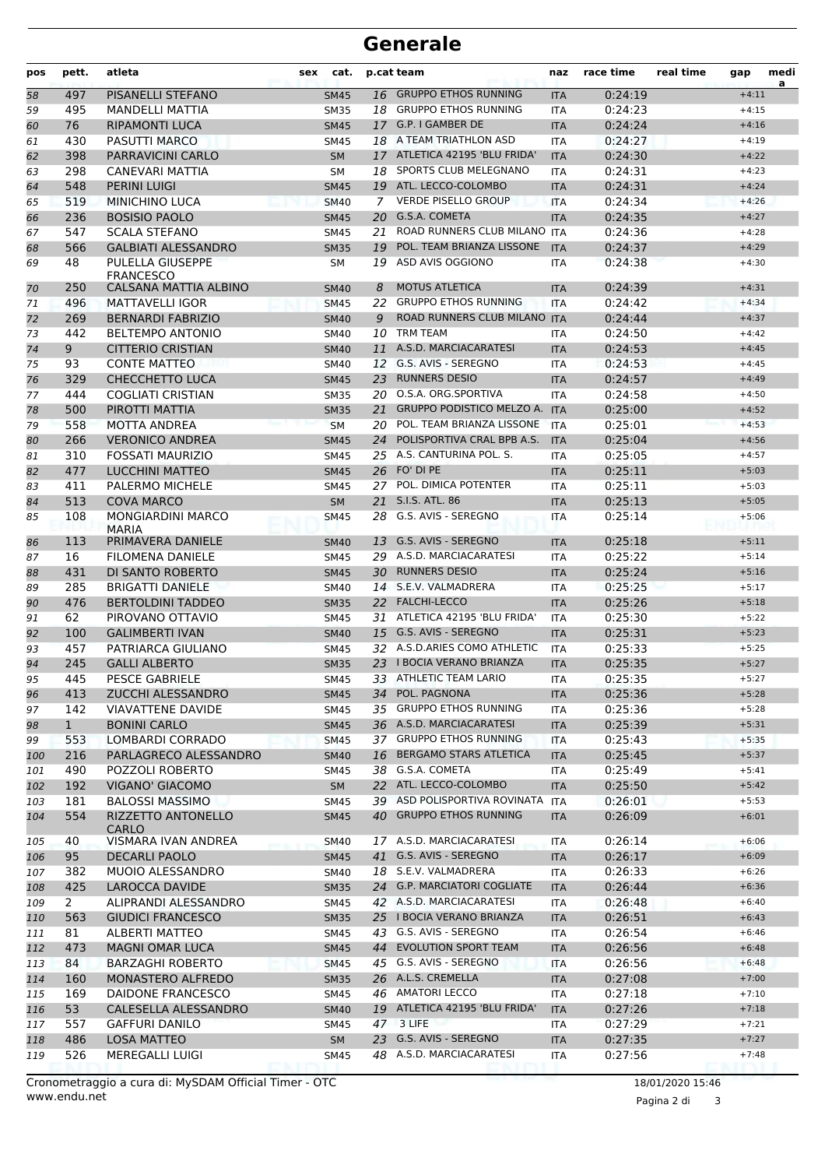| pos        | pett.          | atleta                                    | cat.<br>sex         |                | p.cat team                                                | naz        | race time          | real time | gap                | medi<br>a |
|------------|----------------|-------------------------------------------|---------------------|----------------|-----------------------------------------------------------|------------|--------------------|-----------|--------------------|-----------|
| 58         | 497            | PISANELLI STEFANO                         | <b>SM45</b>         |                | 16 GRUPPO ETHOS RUNNING                                   | <b>ITA</b> | 0:24:19            |           | $+4:11$            |           |
| 59         | 495            | <b>MANDELLI MATTIA</b>                    | <b>SM35</b>         | 18             | <b>GRUPPO ETHOS RUNNING</b>                               | ITA        | 0:24:23            |           | $+4:15$            |           |
| 60         | 76             | <b>RIPAMONTI LUCA</b>                     | <b>SM45</b>         |                | 17 G.P. I GAMBER DE                                       | <b>ITA</b> | 0:24:24            |           | $+4:16$            |           |
| 61         | 430            | PASUTTI MARCO                             | <b>SM45</b>         |                | 18 A TEAM TRIATHLON ASD                                   | <b>ITA</b> | 0:24:27            |           | $+4:19$            |           |
| 62         | 398            | PARRAVICINI CARLO                         | <b>SM</b>           |                | 17 ATLETICA 42195 'BLU FRIDA'                             | <b>ITA</b> | 0:24:30            |           | $+4:22$            |           |
| 63         | 298            | CANEVARI MATTIA                           | <b>SM</b>           |                | 18 SPORTS CLUB MELEGNANO                                  | <b>ITA</b> | 0:24:31            |           | $+4:23$            |           |
| 64         | 548            | <b>PERINI LUIGI</b>                       | <b>SM45</b>         |                | 19 ATL. LECCO-COLOMBO                                     | <b>ITA</b> | 0:24:31            |           | $+4:24$            |           |
| 65         | 519            | <b>MINICHINO LUCA</b>                     | <b>SM40</b>         | $\overline{7}$ | <b>VERDE PISELLO GROUP</b>                                | <b>ITA</b> | 0:24:34            |           | $+4:26$            |           |
| 66         | 236            | <b>BOSISIO PAOLO</b>                      | <b>SM45</b>         |                | 20 G.S.A. COMETA                                          | <b>ITA</b> | 0:24:35            |           | $+4:27$            |           |
| 67         | 547            | <b>SCALA STEFANO</b>                      | <b>SM45</b>         | 21             | ROAD RUNNERS CLUB MILANO ITA<br>POL. TEAM BRIANZA LISSONE |            | 0:24:36            |           | $+4:28$            |           |
| 68         | 566            | <b>GALBIATI ALESSANDRO</b>                | <b>SM35</b>         | 19             | ASD AVIS OGGIONO                                          | <b>ITA</b> | 0:24:37            |           | $+4:29$            |           |
| 69         | 48             | PULELLA GIUSEPPE<br><b>FRANCESCO</b>      | SM                  | 19             |                                                           | <b>ITA</b> | 0:24:38            |           | $+4:30$            |           |
| 70         | 250            | CALSANA MATTIA ALBINO                     | <b>SM40</b>         | 8              | <b>MOTUS ATLETICA</b>                                     | <b>ITA</b> | 0:24:39            |           | $+4:31$            |           |
| 71         | 496            | <b>MATTAVELLI IGOR</b>                    | <b>SM45</b>         | 22             | <b>GRUPPO ETHOS RUNNING</b>                               | <b>ITA</b> | 0:24:42            |           | $+4:34$            |           |
| 72         | 269            | <b>BERNARDI FABRIZIO</b>                  | <b>SM40</b>         | 9              | ROAD RUNNERS CLUB MILANO ITA                              |            | 0:24:44            |           | $+4:37$            |           |
| 73         | 442            | <b>BELTEMPO ANTONIO</b>                   | <b>SM40</b>         |                | 10 TRM TEAM                                               | <b>ITA</b> | 0:24:50            |           | $+4:42$            |           |
| 74         | 9              | <b>CITTERIO CRISTIAN</b>                  | <b>SM40</b>         |                | 11 A.S.D. MARCIACARATESI                                  | <b>ITA</b> | 0:24:53            |           | $+4:45$            |           |
| 75         | 93             | <b>CONTE MATTEO</b>                       | SM40                |                | 12 G.S. AVIS - SEREGNO                                    | <b>ITA</b> | 0:24:53            |           | $+4:45$            |           |
| 76         | 329            | <b>CHECCHETTO LUCA</b>                    | <b>SM45</b>         | 23             | <b>RUNNERS DESIO</b>                                      | <b>ITA</b> | 0:24:57            |           | $+4:49$            |           |
| 77         | 444            | <b>COGLIATI CRISTIAN</b>                  | <b>SM35</b>         | 20             | O.S.A. ORG.SPORTIVA                                       | <b>ITA</b> | 0:24:58            |           | $+4:50$            |           |
| 78         | 500            | PIROTTI MATTIA                            | <b>SM35</b>         | 21             | <b>GRUPPO PODISTICO MELZO A.</b>                          | <b>ITA</b> | 0:25:00            |           | $+4:52$            |           |
| 79         | 558            | <b>MOTTA ANDREA</b>                       | <b>SM</b>           |                | 20 POL. TEAM BRIANZA LISSONE                              | <b>ITA</b> | 0:25:01            |           | $+4:53$            |           |
| 80         | 266            | <b>VERONICO ANDREA</b>                    | <b>SM45</b>         | 24             | POLISPORTIVA CRAL BPB A.S.                                | <b>ITA</b> | 0:25:04            |           | $+4:56$            |           |
| 81         | 310            | <b>FOSSATI MAURIZIO</b>                   | <b>SM45</b>         |                | 25 A.S. CANTURINA POL. S.                                 | <b>ITA</b> | 0:25:05            |           | $+4:57$            |           |
| 82         | 477            | LUCCHINI MATTEO                           | <b>SM45</b>         |                | 26 FO' DI PE                                              | <b>ITA</b> | 0:25:11            |           | $+5:03$            |           |
| 83         | 411            | PALERMO MICHELE                           | <b>SM45</b>         | 27             | POL. DIMICA POTENTER                                      | <b>ITA</b> | 0:25:11            |           | $+5:03$            |           |
| 84         | 513            | <b>COVA MARCO</b>                         | <b>SM</b>           | 21             | S.I.S. ATL. 86                                            | <b>ITA</b> | 0:25:13            |           | $+5:05$            |           |
| 85         | 108            | <b>MONGIARDINI MARCO</b><br><b>MARIA</b>  | <b>SM45</b>         | 28             | G.S. AVIS - SEREGNO                                       | <b>ITA</b> | 0:25:14            |           | $+5:06$            |           |
| 86         | 113            | PRIMAVERA DANIELE                         | <b>SM40</b>         |                | 13 G.S. AVIS - SEREGNO                                    | <b>ITA</b> | 0:25:18            |           | $+5:11$            |           |
| 87         | 16             | <b>FILOMENA DANIELE</b>                   | <b>SM45</b>         |                | 29 A.S.D. MARCIACARATESI                                  | <b>ITA</b> | 0:25:22            |           | $+5:14$            |           |
| 88         | 431            | DI SANTO ROBERTO                          | <b>SM45</b>         |                | 30 RUNNERS DESIO                                          | <b>ITA</b> | 0:25:24            |           | $+5:16$            |           |
| 89         | 285            | <b>BRIGATTI DANIELE</b>                   | <b>SM40</b>         |                | 14 S.E.V. VALMADRERA                                      | <b>ITA</b> | 0:25:25            |           | $+5:17$            |           |
| 90         | 476            | <b>BERTOLDINI TADDEO</b>                  | <b>SM35</b>         |                | 22 FALCHI-LECCO                                           | <b>ITA</b> | 0:25:26            |           | $+5:18$            |           |
| 91         | 62             | PIROVANO OTTAVIO                          | SM45                |                | 31 ATLETICA 42195 'BLU FRIDA'                             | <b>ITA</b> | 0:25:30            |           | $+5:22$            |           |
| 92         | 100            | <b>GALIMBERTI IVAN</b>                    | <b>SM40</b>         |                | 15 G.S. AVIS - SEREGNO                                    | <b>ITA</b> | 0:25:31            |           | $+5:23$            |           |
| 93         | 457            | PATRIARCA GIULIANO                        | <b>SM45</b>         |                | 32 A.S.D.ARIES COMO ATHLETIC                              | <b>ITA</b> | 0:25:33            |           | $+5:25$            |           |
| 94         | 245            | <b>GALLI ALBERTO</b>                      | <b>SM35</b>         |                | 23 I BOCIA VERANO BRIANZA                                 | <b>ITA</b> | 0:25:35            |           | $+5:27$            |           |
| 95         | 445            | PESCE GABRIELE                            | SM45                |                | 33 ATHLETIC TEAM LARIO                                    | <b>ITA</b> | 0:25:35            |           | $+5:27$            |           |
| 96         | 413            | <b>ZUCCHI ALESSANDRO</b>                  | SM45                |                | 34 POL. PAGNONA                                           | <b>ITA</b> | 0:25:36            |           | $+5:28$            |           |
| 97         | 142            | VIAVATTENE DAVIDE                         | SM45                |                | 35 GRUPPO ETHOS RUNNING                                   | ITA        | 0:25:36            |           | $+5:28$            |           |
| 98         | $\mathbf{1}$   | <b>BONINI CARLO</b>                       | <b>SM45</b>         |                | 36 A.S.D. MARCIACARATESI                                  | <b>ITA</b> | 0:25:39            |           | $+5:31$            |           |
| 99         | 553            | LOMBARDI CORRADO                          | <b>SM45</b>         |                | 37 GRUPPO ETHOS RUNNING                                   | ITA        | 0:25:43            |           | $+5:35$            |           |
| 100        | 216            | PARLAGRECO ALESSANDRO                     | <b>SM40</b>         |                | 16 BERGAMO STARS ATLETICA                                 | <b>ITA</b> | 0:25:45            |           | $+5:37$            |           |
| 101        | 490            | POZZOLI ROBERTO                           | SM45                |                | 38 G.S.A. COMETA<br>22 ATL. LECCO-COLOMBO                 | ITA        | 0:25:49            |           | $+5:41$            |           |
| 102        | 192<br>181     | VIGANO' GIACOMO<br><b>BALOSSI MASSIMO</b> | SM                  |                | 39 ASD POLISPORTIVA ROVINATA ITA                          | <b>ITA</b> | 0:25:50            |           | $+5:42$            |           |
| 103<br>104 | 554            | RIZZETTO ANTONELLO                        | SM45<br><b>SM45</b> |                | 40 GRUPPO ETHOS RUNNING                                   | <b>ITA</b> | 0:26:01<br>0:26:09 |           | $+5:53$<br>$+6:01$ |           |
| 105        | 40             | <b>CARLO</b><br>VISMARA IVAN ANDREA       | SM40                |                | 17 A.S.D. MARCIACARATESI                                  | ITA        | 0:26:14            |           | $+6:06$            |           |
| 106        | 95             | <b>DECARLI PAOLO</b>                      | <b>SM45</b>         |                | 41 G.S. AVIS - SEREGNO                                    | <b>ITA</b> | 0:26:17            |           | $+6:09$            |           |
| 107        | 382            | MUOIO ALESSANDRO                          | SM40                |                | 18 S.E.V. VALMADRERA                                      | ITA        | 0:26:33            |           | $+6:26$            |           |
| 108        | 425            | LAROCCA DAVIDE                            | <b>SM35</b>         |                | 24 G.P. MARCIATORI COGLIATE                               | <b>ITA</b> | 0:26:44            |           | $+6:36$            |           |
| 109        | $\overline{2}$ | ALIPRANDI ALESSANDRO                      | SM45                |                | 42 A.S.D. MARCIACARATESI                                  | ITA        | 0:26:48            |           | $+6:40$            |           |
| 110        | 563            | <b>GIUDICI FRANCESCO</b>                  | <b>SM35</b>         |                | 25 I BOCIA VERANO BRIANZA                                 | <b>ITA</b> | 0:26:51            |           | $+6:43$            |           |
| 111        | 81             | ALBERTI MATTEO                            | SM45                |                | 43 G.S. AVIS - SEREGNO                                    | ITA        | 0:26:54            |           | $+6:46$            |           |
| 112        | 473            | <b>MAGNI OMAR LUCA</b>                    | <b>SM45</b>         |                | 44 EVOLUTION SPORT TEAM                                   | <b>ITA</b> | 0:26:56            |           | $+6:48$            |           |
| 113        | 84             | <b>BARZAGHI ROBERTO</b>                   | <b>SM45</b>         |                | 45 G.S. AVIS - SEREGNO                                    | <b>ITA</b> | 0:26:56            |           | $+6:48$            |           |
| 114        | 160            | MONASTERO ALFREDO                         | <b>SM35</b>         |                | 26 A.L.S. CREMELLA                                        | <b>ITA</b> | 0:27:08            |           | $+7:00$            |           |
| 115        | 169            | DAIDONE FRANCESCO                         | SM45                |                | 46 AMATORI LECCO                                          | ITA        | 0:27:18            |           | $+7:10$            |           |
| 116        | 53             | CALESELLA ALESSANDRO                      | <b>SM40</b>         |                | 19 ATLETICA 42195 'BLU FRIDA'                             | <b>ITA</b> | 0:27:26            |           | $+7:18$            |           |
| 117        | 557            | <b>GAFFURI DANILO</b>                     | SM45                |                | 47 3 LIFE                                                 | ITA        | 0:27:29            |           | $+7:21$            |           |
| 118        | 486            | <b>LOSA MATTEO</b>                        | SM                  |                | 23 G.S. AVIS - SEREGNO                                    | <b>ITA</b> | 0:27:35            |           | $+7:27$            |           |
| 119        | 526            | MEREGALLI LUIGI                           | SM45                |                | 48 A.S.D. MARCIACARATESI                                  | ITA        | 0:27:56            |           | $+7:48$            |           |

Pagina 2 di 3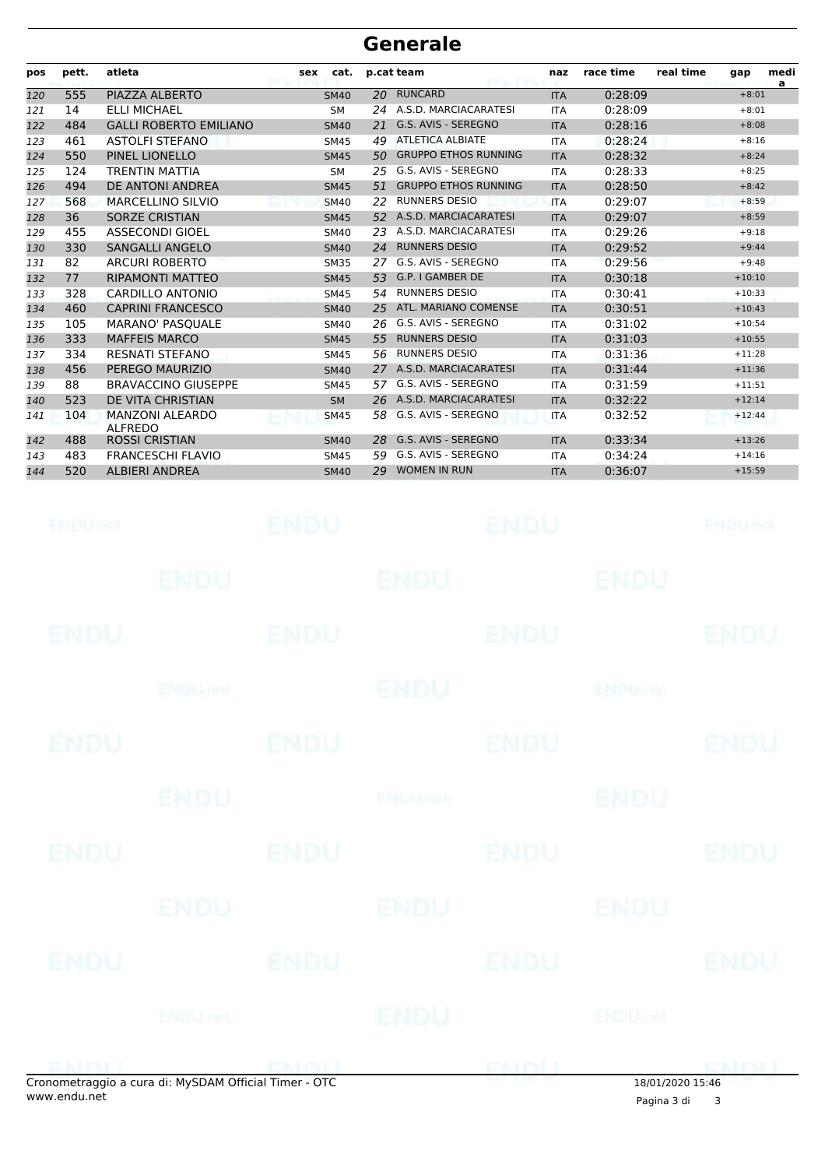| pos | pett. | atleta                                   | sex | cat.        |    | p.cat team                  | naz        | race time | real time<br>gap | medi<br>a |
|-----|-------|------------------------------------------|-----|-------------|----|-----------------------------|------------|-----------|------------------|-----------|
| 120 | 555   | PIAZZA ALBERTO                           |     | <b>SM40</b> | 20 | <b>RUNCARD</b>              | <b>ITA</b> | 0:28:09   | $+8:01$          |           |
| 121 | 14    | <b>ELLI MICHAEL</b>                      |     | <b>SM</b>   | 24 | A.S.D. MARCIACARATESI       | <b>ITA</b> | 0:28:09   | $+8:01$          |           |
| 122 | 484   | <b>GALLI ROBERTO EMILIANO</b>            |     | <b>SM40</b> | 21 | G.S. AVIS - SEREGNO         | <b>ITA</b> | 0:28:16   | $+8:08$          |           |
| 123 | 461   | <b>ASTOLFI STEFANO</b>                   |     | <b>SM45</b> | 49 | <b>ATLETICA ALBIATE</b>     | <b>ITA</b> | 0:28:24   | $+8:16$          |           |
| 124 | 550   | PINEL LIONELLO                           |     | <b>SM45</b> | 50 | <b>GRUPPO ETHOS RUNNING</b> | <b>ITA</b> | 0:28:32   | $+8:24$          |           |
| 125 | 124   | <b>TRENTIN MATTIA</b>                    |     | <b>SM</b>   | 25 | G.S. AVIS - SEREGNO         | <b>ITA</b> | 0:28:33   | $+8:25$          |           |
| 126 | 494   | DE ANTONI ANDREA                         |     | <b>SM45</b> | 51 | <b>GRUPPO ETHOS RUNNING</b> | <b>ITA</b> | 0:28:50   | $+8:42$          |           |
| 127 | 568   | <b>MARCELLINO SILVIO</b>                 |     | <b>SM40</b> | 22 | <b>RUNNERS DESIO</b>        | <b>ITA</b> | 0:29:07   | $+8:59$          |           |
| 128 | 36    | <b>SORZE CRISTIAN</b>                    |     | <b>SM45</b> | 52 | A.S.D. MARCIACARATESI       | <b>ITA</b> | 0:29:07   | $+8:59$          |           |
| 129 | 455   | ASSECONDI GIOEL                          |     | <b>SM40</b> | 23 | A.S.D. MARCIACARATESI       | <b>ITA</b> | 0:29:26   | $+9:18$          |           |
| 130 | 330   | <b>SANGALLI ANGELO</b>                   |     | <b>SM40</b> | 24 | <b>RUNNERS DESIO</b>        | <b>ITA</b> | 0:29:52   | $+9:44$          |           |
| 131 | 82    | <b>ARCURI ROBERTO</b>                    |     | <b>SM35</b> | 27 | G.S. AVIS - SEREGNO         | <b>ITA</b> | 0:29:56   | $+9:48$          |           |
| 132 | 77    | <b>RIPAMONTI MATTEO</b>                  |     | <b>SM45</b> | 53 | G.P. I GAMBER DE            | <b>ITA</b> | 0:30:18   | $+10:10$         |           |
| 133 | 328   | CARDILLO ANTONIO                         |     | <b>SM45</b> | 54 | <b>RUNNERS DESIO</b>        | <b>ITA</b> | 0:30:41   | $+10:33$         |           |
| 134 | 460   | <b>CAPRINI FRANCESCO</b>                 |     | <b>SM40</b> | 25 | ATL. MARIANO COMENSE        | <b>ITA</b> | 0:30:51   | $+10:43$         |           |
| 135 | 105   | <b>MARANO' PASOUALE</b>                  |     | <b>SM40</b> | 26 | G.S. AVIS - SEREGNO         | <b>ITA</b> | 0:31:02   | $+10:54$         |           |
| 136 | 333   | <b>MAFFEIS MARCO</b>                     |     | <b>SM45</b> | 55 | <b>RUNNERS DESIO</b>        | <b>ITA</b> | 0:31:03   | $+10:55$         |           |
| 137 | 334   | <b>RESNATI STEFANO</b>                   |     | <b>SM45</b> | 56 | <b>RUNNERS DESIO</b>        | <b>ITA</b> | 0:31:36   | $+11:28$         |           |
| 138 | 456   | PEREGO MAURIZIO                          |     | <b>SM40</b> | 27 | A.S.D. MARCIACARATESI       | <b>ITA</b> | 0:31:44   | $+11:36$         |           |
| 139 | 88    | <b>BRAVACCINO GIUSEPPE</b>               |     | <b>SM45</b> | 57 | G.S. AVIS - SEREGNO         | <b>ITA</b> | 0:31:59   | $+11:51$         |           |
| 140 | 523   | DE VITA CHRISTIAN                        |     | <b>SM</b>   |    | 26 A.S.D. MARCIACARATESI    | <b>ITA</b> | 0:32:22   | $+12:14$         |           |
| 141 | 104   | <b>MANZONI ALEARDO</b><br><b>ALFREDO</b> |     | <b>SM45</b> | 58 | G.S. AVIS - SEREGNO         | <b>ITA</b> | 0:32:52   | $+12:44$         |           |
| 142 | 488   | <b>ROSSI CRISTIAN</b>                    |     | <b>SM40</b> | 28 | G.S. AVIS - SEREGNO         | <b>ITA</b> | 0:33:34   | $+13:26$         |           |
| 143 | 483   | <b>FRANCESCHI FLAVIO</b>                 |     | <b>SM45</b> | 59 | G.S. AVIS - SEREGNO         | <b>ITA</b> | 0:34:24   | $+14:16$         |           |
| 144 | 520   | <b>ALBIERI ANDREA</b>                    |     | <b>SM40</b> | 29 | <b>WOMEN IN RUN</b>         | <b>ITA</b> | 0:36:07   | $+15:59$         |           |

| <b>ENDUMet</b>             |                                                                    | <b>ENDU</b> |             | <b>ENDU</b> |                           | <b>ENDUnet</b> |
|----------------------------|--------------------------------------------------------------------|-------------|-------------|-------------|---------------------------|----------------|
|                            | <b>ENDU</b>                                                        |             | <b>ENDU</b> |             | <b>ENDU</b>               |                |
| <b>ENDU</b>                |                                                                    | <b>ENDU</b> |             | <b>ENDU</b> |                           | <b>ENDU</b>    |
|                            | <b>ENDU<sub>met</sub></b>                                          |             | <b>ENDU</b> |             | <b>ENDU<sub>CIO</sub></b> |                |
| <b>ENDU</b>                |                                                                    | <b>ENDU</b> |             | <b>ENDU</b> |                           | <b>ENDU</b>    |
|                            | <b>ENDU</b>                                                        |             | ENDUnet     |             | <b>ENDU</b>               |                |
| ENDU                       |                                                                    | <b>ENDU</b> |             | <b>ENDU</b> |                           | <b>ENDU</b>    |
|                            | ENDU                                                               |             | ENDU        |             | ENDU                      |                |
| <b>ENDU</b>                |                                                                    | <b>ENDU</b> |             | <b>ENDU</b> |                           | <b>ENDU</b>    |
|                            | <b>ENDUnet</b>                                                     |             | ENDU        |             | ENDUmet                   |                |
| and the state of the state | $P_{\text{M}}$ CRAM OF $P_{\text{M}}$ $\rightarrow$ $P_{\text{M}}$ |             |             | <b>ENDI</b> | $\frac{1}{2}$             | DMINIT         |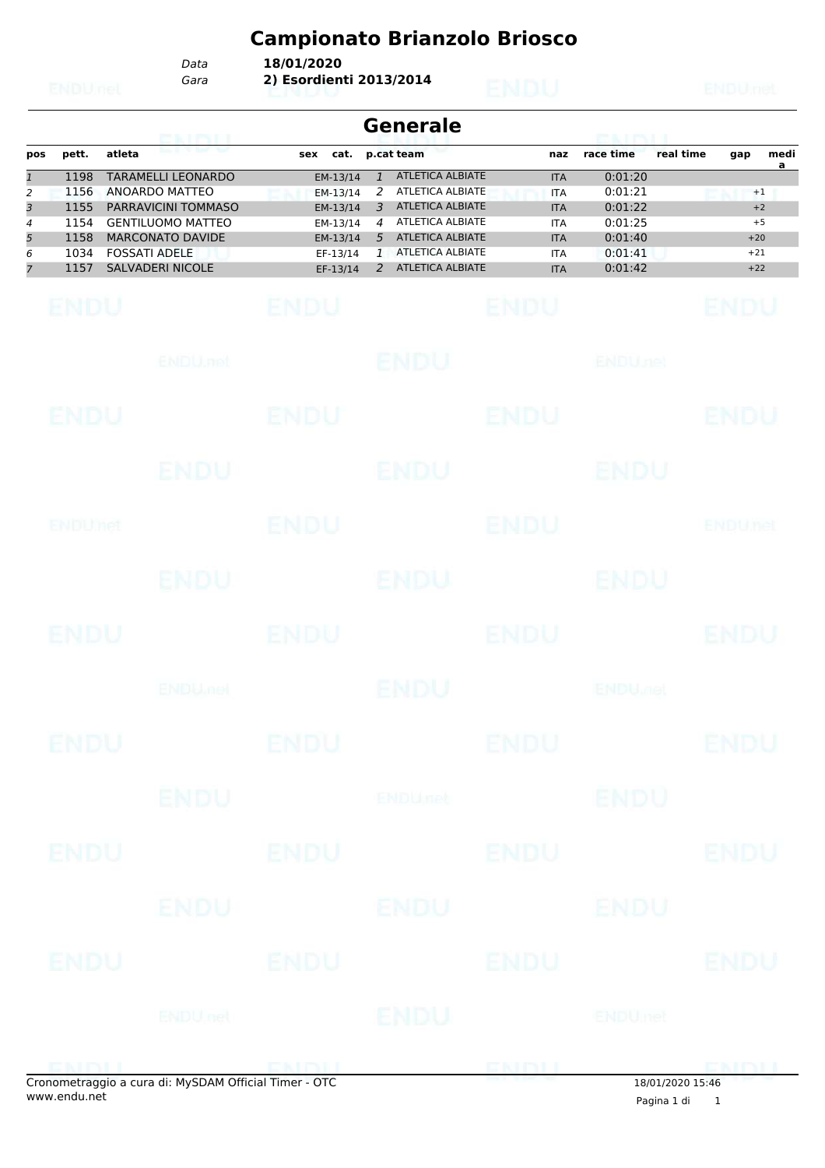*Gara* **2) Esordienti 2013/2014** *Data* **18/01/2020**

|                                                                        |                                                      |                                                                                                                                                                       |                                                                                  | Generale                                                                                                                                                                                                                                                                                                                                                          |                                                                           |                                                 |
|------------------------------------------------------------------------|------------------------------------------------------|-----------------------------------------------------------------------------------------------------------------------------------------------------------------------|----------------------------------------------------------------------------------|-------------------------------------------------------------------------------------------------------------------------------------------------------------------------------------------------------------------------------------------------------------------------------------------------------------------------------------------------------------------|---------------------------------------------------------------------------|-------------------------------------------------|
| pos                                                                    | pett.                                                | atleta                                                                                                                                                                | cat.<br>sex                                                                      | p.cat team<br>naz                                                                                                                                                                                                                                                                                                                                                 | race time                                                                 | real time<br>medi<br>gap<br>a                   |
| $\mathbf{1}$<br>$\boldsymbol{2}$<br>3<br>4<br>5<br>6<br>$\overline{7}$ | 1198<br>1156<br>1155<br>1154<br>1158<br>1034<br>1157 | <b>TARAMELLI LEONARDO</b><br>ANOARDO MATTEO<br>PARRAVICINI TOMMASO<br><b>GENTILUOMO MATTEO</b><br><b>MARCONATO DAVIDE</b><br><b>FOSSATI ADELE</b><br>SALVADERI NICOLE | EM-13/14<br>EM-13/14<br>EM-13/14<br>EM-13/14<br>EM-13/14<br>EF-13/14<br>EF-13/14 | <b>ATLETICA ALBIATE</b><br>$\mathbf{1}$<br><b>ITA</b><br><b>ATLETICA ALBIATE</b><br>2<br><b>ITA</b><br><b>ATLETICA ALBIATE</b><br>3<br><b>ITA</b><br><b>ATLETICA ALBIATE</b><br>4<br><b>ITA</b><br><b>ATLETICA ALBIATE</b><br>5<br><b>ITA</b><br><b>ATLETICA ALBIATE</b><br>$\mathbf{1}$<br><b>ITA</b><br><b>ATLETICA ALBIATE</b><br>$\overline{2}$<br><b>ITA</b> | 0:01:20<br>0:01:21<br>0:01:22<br>0:01:25<br>0:01:40<br>0:01:41<br>0:01:42 | $+1$<br>$+2$<br>$+5$<br>$+20$<br>$+21$<br>$+22$ |
|                                                                        | ENDU                                                 |                                                                                                                                                                       | <b>ENDU</b>                                                                      | <b>ENDU</b>                                                                                                                                                                                                                                                                                                                                                       |                                                                           | <b>ENDU</b>                                     |
|                                                                        |                                                      | <b>ENDU</b> net                                                                                                                                                       |                                                                                  | ENDU                                                                                                                                                                                                                                                                                                                                                              | <b>ENDUnet</b>                                                            |                                                 |
|                                                                        | ENDU                                                 |                                                                                                                                                                       | ENDU                                                                             | ENDU                                                                                                                                                                                                                                                                                                                                                              |                                                                           | ENDU                                            |
|                                                                        |                                                      | ENDU                                                                                                                                                                  |                                                                                  | <b>ENDU</b>                                                                                                                                                                                                                                                                                                                                                       | ENDU                                                                      |                                                 |
|                                                                        | ENDUMet                                              |                                                                                                                                                                       | <b>ENDU</b>                                                                      | <b>ENDU</b>                                                                                                                                                                                                                                                                                                                                                       |                                                                           | <b>ENDUTEL</b>                                  |
|                                                                        |                                                      | ENDU.                                                                                                                                                                 |                                                                                  | ENDU                                                                                                                                                                                                                                                                                                                                                              | ENDU                                                                      |                                                 |
|                                                                        | ENDU                                                 |                                                                                                                                                                       | ENDU                                                                             | <b>ENDU</b>                                                                                                                                                                                                                                                                                                                                                       |                                                                           | <b>ENDU</b>                                     |
|                                                                        |                                                      | <b>ENDU<sub>nel</sub></b>                                                                                                                                             |                                                                                  | ENDU                                                                                                                                                                                                                                                                                                                                                              | <b>ENDU<sub>met</sub></b>                                                 |                                                 |
|                                                                        | ENDU                                                 |                                                                                                                                                                       | <b>ENDU</b>                                                                      | ENDU                                                                                                                                                                                                                                                                                                                                                              |                                                                           | <b>ENDU</b>                                     |
|                                                                        |                                                      | <b>ENDU</b>                                                                                                                                                           |                                                                                  | ENDUmet                                                                                                                                                                                                                                                                                                                                                           | <b>ENDU</b>                                                               |                                                 |
|                                                                        | <b>ENDU</b>                                          |                                                                                                                                                                       | <b>ENDU</b>                                                                      | <b>ENDU</b>                                                                                                                                                                                                                                                                                                                                                       |                                                                           | <b>ENDU</b>                                     |
|                                                                        |                                                      | ENDU                                                                                                                                                                  |                                                                                  | ENDU                                                                                                                                                                                                                                                                                                                                                              | ENDU                                                                      |                                                 |
|                                                                        | ENDU                                                 |                                                                                                                                                                       | <b>ENDU</b>                                                                      | <b>ENDU</b>                                                                                                                                                                                                                                                                                                                                                       |                                                                           | <b>ENDU</b>                                     |
|                                                                        |                                                      | <b>ENDUnet</b>                                                                                                                                                        |                                                                                  | ENDU                                                                                                                                                                                                                                                                                                                                                              | <b>ENDUmet</b>                                                            |                                                 |
|                                                                        |                                                      |                                                                                                                                                                       |                                                                                  |                                                                                                                                                                                                                                                                                                                                                                   |                                                                           |                                                 |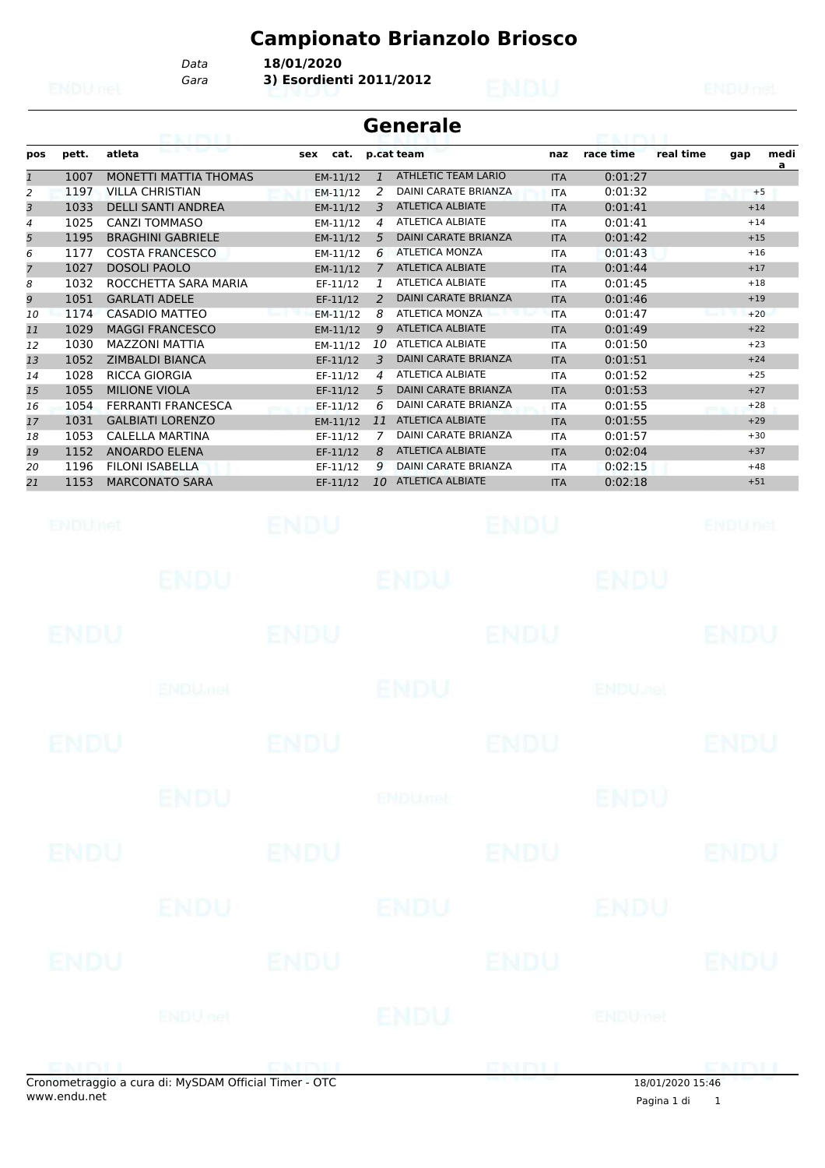*Gara* **3) Esordienti 2011/2012** *Data* **18/01/2020**

|                | <b>Generale</b><br><b>PEACH PALL II</b><br>59. I PYLI |                                        |                      |                  |                                          |             |                          |                           |           |             |                |  |
|----------------|-------------------------------------------------------|----------------------------------------|----------------------|------------------|------------------------------------------|-------------|--------------------------|---------------------------|-----------|-------------|----------------|--|
| pos            | pett.                                                 | atleta                                 | cat.<br>sex          |                  | p.cat team                               |             | naz                      | race time                 | real time | gap         | medi<br>a      |  |
| $\overline{1}$ | 1007                                                  | MONETTI MATTIA THOMAS                  | EM-11/12             | $\mathbf{1}$     | ATHLETIC TEAM LARIO                      |             | <b>ITA</b>               | 0:01:27                   |           |             |                |  |
| 2              | 1197                                                  | <b>VILLA CHRISTIAN</b>                 | $EM-11/12$           | 2                | DAINI CARATE BRIANZA                     |             | <b>ITA</b>               | 0:01:32                   |           |             | $+5$           |  |
| 3              | 1033                                                  | <b>DELLI SANTI ANDREA</b>              | EM-11/12             | 3                | <b>ATLETICA ALBIATE</b>                  |             | <b>ITA</b>               | 0:01:41                   |           |             | $+14$          |  |
| 4              | 1025                                                  | <b>CANZI TOMMASO</b>                   | EM-11/12             | 4                | <b>ATLETICA ALBIATE</b>                  |             | <b>ITA</b>               | 0:01:41                   |           |             | $+14$          |  |
| 5              | 1195                                                  | <b>BRAGHINI GABRIELE</b>               | EM-11/12             | 5                | DAINI CARATE BRIANZA<br>6 ATLETICA MONZA |             | <b>ITA</b>               | 0:01:42                   |           |             | $+15$          |  |
| 6              | 1177<br>1027                                          | COSTA FRANCESCO<br><b>DOSOLI PAOLO</b> | EM-11/12<br>EM-11/12 |                  | <b>ATLETICA ALBIATE</b>                  |             | <b>ITA</b>               | 0:01:43<br>0:01:44        |           |             | $+16$          |  |
| 7<br>8         | 1032                                                  | ROCCHETTA SARA MARIA                   | EF-11/12             | $7^{\circ}$<br>1 | <b>ATLETICA ALBIATE</b>                  |             | <b>ITA</b><br><b>ITA</b> | 0:01:45                   |           |             | $+17$<br>$+18$ |  |
| 9              | 1051                                                  | <b>GARLATI ADELE</b>                   | EF-11/12             | 2                | DAINI CARATE BRIANZA                     |             | <b>ITA</b>               | 0:01:46                   |           |             | $+19$          |  |
| 10             | 1174                                                  | <b>CASADIO MATTEO</b>                  | EM-11/12             | 8                | <b>ATLETICA MONZA</b>                    |             | <b>ITA</b>               | 0:01:47                   |           |             | $+20$          |  |
| 11             | 1029                                                  | <b>MAGGI FRANCESCO</b>                 | EM-11/12             | 9                | <b>ATLETICA ALBIATE</b>                  |             | <b>ITA</b>               | 0:01:49                   |           |             | $+22$          |  |
| 12             | 1030                                                  | <b>MAZZONI MATTIA</b>                  | EM-11/12             |                  | 10 ATLETICA ALBIATE                      |             | <b>ITA</b>               | 0:01:50                   |           |             | $+23$          |  |
| 13             | 1052                                                  | <b>ZIMBALDI BIANCA</b>                 | EF-11/12             | 3                | <b>DAINI CARATE BRIANZA</b>              |             | <b>ITA</b>               | 0:01:51                   |           |             | $+24$          |  |
| 14             | 1028                                                  | <b>RICCA GIORGIA</b>                   | EF-11/12             | 4                | <b>ATLETICA ALBIATE</b>                  |             | <b>ITA</b>               | 0:01:52                   |           |             | $+25$          |  |
| 15             | 1055                                                  | <b>MILIONE VIOLA</b>                   | EF-11/12             | 5                | DAINI CARATE BRIANZA                     |             | <b>ITA</b>               | 0:01:53                   |           |             | $+27$          |  |
| 16             | 1054                                                  | <b>FERRANTI FRANCESCA</b>              | EF-11/12             | 6                | <b>DAINI CARATE BRIANZA</b>              |             | <b>ITA</b>               | 0:01:55                   |           |             | $+28$          |  |
| 17             | 1031                                                  | <b>GALBIATI LORENZO</b>                | EM-11/12             | 11               | <b>ATLETICA ALBIATE</b>                  |             | <b>ITA</b>               | 0:01:55                   |           |             | $+29$          |  |
| 18             | 1053                                                  | <b>CALELLA MARTINA</b>                 | EF-11/12             | $\overline{7}$   | DAINI CARATE BRIANZA                     |             | <b>ITA</b>               | 0:01:57                   |           |             | $+30$          |  |
| 19             | 1152                                                  | <b>ANOARDO ELENA</b>                   | EF-11/12             | 8                | <b>ATLETICA ALBIATE</b>                  |             | <b>ITA</b>               | 0:02:04                   |           |             | $+37$          |  |
| 20             | 1196                                                  | <b>FILONI ISABELLA</b>                 | EF-11/12             | 9                | <b>DAINI CARATE BRIANZA</b>              |             | <b>ITA</b>               | 0:02:15                   |           |             | $+48$          |  |
| 21             | 1153                                                  | <b>MARCONATO SARA</b>                  | EF-11/12             |                  | 10 ATLETICA ALBIATE                      |             | <b>ITA</b>               | 0:02:18                   |           |             | $+51$          |  |
|                |                                                       |                                        |                      |                  |                                          |             |                          |                           |           |             |                |  |
|                | ENDUMet                                               |                                        | <b>ENDU</b>          |                  |                                          | ENDU        |                          |                           |           | ENDUnet     |                |  |
|                |                                                       |                                        |                      |                  |                                          |             |                          |                           |           |             |                |  |
|                |                                                       | ENDU                                   |                      |                  | ENDU                                     |             |                          | <b>ENDU</b>               |           |             |                |  |
|                |                                                       |                                        |                      |                  |                                          |             |                          |                           |           |             |                |  |
|                | ENDU                                                  |                                        | ENDU                 |                  |                                          | ENDU        |                          |                           |           | ENDU        |                |  |
|                |                                                       |                                        |                      |                  |                                          |             |                          |                           |           |             |                |  |
|                |                                                       | <b>ENDU<sub>met</sub></b>              |                      |                  | ENDU                                     |             |                          | <b>ENDU<sub>met</sub></b> |           |             |                |  |
|                |                                                       |                                        |                      |                  |                                          |             |                          |                           |           |             |                |  |
|                | ENDU                                                  |                                        | ENDU                 |                  |                                          | ENDU        |                          |                           |           | ENDU        |                |  |
|                |                                                       |                                        |                      |                  |                                          |             |                          |                           |           |             |                |  |
|                |                                                       | <b>ENDU</b>                            |                      |                  | <b>ENDUnet</b>                           |             |                          | <b>ENDU</b>               |           |             |                |  |
|                |                                                       |                                        |                      |                  |                                          |             |                          |                           |           |             |                |  |
|                | <b>ENDU</b>                                           |                                        | <b>ENDU</b>          |                  |                                          | <b>ENDU</b> |                          |                           |           | ENDU        |                |  |
|                |                                                       |                                        |                      |                  |                                          |             |                          |                           |           |             |                |  |
|                |                                                       | ENDU                                   |                      |                  | ENDU                                     |             |                          | ENDU                      |           |             |                |  |
|                |                                                       |                                        |                      |                  |                                          |             |                          |                           |           |             |                |  |
|                | ENDU                                                  |                                        | <b>ENDU</b>          |                  |                                          | <b>ENDU</b> |                          |                           |           | <b>ENDU</b> |                |  |
|                |                                                       |                                        |                      |                  |                                          |             |                          |                           |           |             |                |  |
|                |                                                       | <b>ENDUnet</b>                         |                      |                  | ENDU                                     |             |                          | <b>ENDUmet</b>            |           |             |                |  |
|                |                                                       |                                        |                      |                  |                                          |             |                          |                           |           |             |                |  |
|                |                                                       |                                        |                      |                  |                                          |             |                          |                           |           |             |                |  |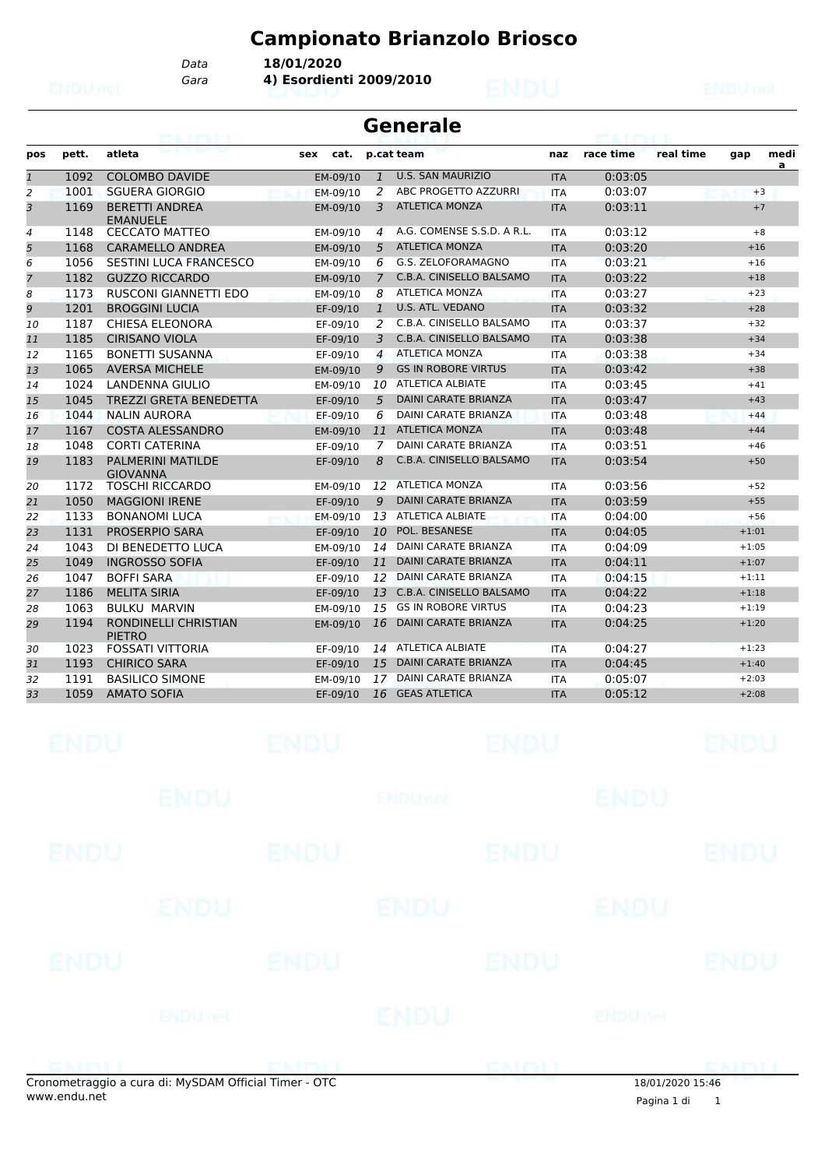*Gara* **4) Esordienti 2009/2010** *Data* **18/01/2020**

| <b>Generale</b> |       |                                              |             |                |                             |            |           |           |         |           |  |  |
|-----------------|-------|----------------------------------------------|-------------|----------------|-----------------------------|------------|-----------|-----------|---------|-----------|--|--|
| pos             | pett. | atleta                                       | cat.<br>sex |                | p.cat team                  | naz        | race time | real time | qap     | medi<br>a |  |  |
| $\overline{1}$  | 1092  | <b>COLOMBO DAVIDE</b>                        | EM-09/10    | $\mathbf{1}$   | <b>U.S. SAN MAURIZIO</b>    | <b>ITA</b> | 0:03:05   |           |         |           |  |  |
| $\overline{c}$  | 1001  | SGUERA GIORGIO                               | EM-09/10    | 2              | ABC PROGETTO AZZURRI        | <b>ITA</b> | 0:03:07   |           | $+3$    |           |  |  |
| 3               | 1169  | <b>BERETTI ANDREA</b><br><b>EMANUELE</b>     | EM-09/10    | 3              | <b>ATLETICA MONZA</b>       | <b>ITA</b> | 0:03:11   |           | $+7$    |           |  |  |
| $\overline{4}$  | 1148  | <b>CECCATO MATTEO</b>                        | EM-09/10    | 4              | A.G. COMENSE S.S.D. A R.L.  | <b>ITA</b> | 0:03:12   |           | $+8$    |           |  |  |
| 5               | 1168  | <b>CARAMELLO ANDREA</b>                      | EM-09/10    | 5              | <b>ATLETICA MONZA</b>       | <b>ITA</b> | 0:03:20   |           | $+16$   |           |  |  |
| 6               | 1056  | <b>SESTINI LUCA FRANCESCO</b>                | EM-09/10    | 6              | G.S. ZELOFORAMAGNO          | <b>ITA</b> | 0:03:21   |           | $+16$   |           |  |  |
| $\overline{7}$  | 1182  | <b>GUZZO RICCARDO</b>                        | EM-09/10    | $\overline{7}$ | C.B.A. CINISELLO BALSAMO    | <b>ITA</b> | 0:03:22   |           | $+18$   |           |  |  |
| 8               | 1173  | <b>RUSCONI GIANNETTI EDO</b>                 | EM-09/10    | 8              | <b>ATLETICA MONZA</b>       | <b>ITA</b> | 0:03:27   |           | $+23$   |           |  |  |
| 9               | 1201  | <b>BROGGINI LUCIA</b>                        | EF-09/10    | $\mathbf{1}$   | U.S. ATL. VEDANO            | <b>ITA</b> | 0:03:32   |           | $+28$   |           |  |  |
| 10              | 1187  | CHIESA ELEONORA                              | EF-09/10    | 2              | C.B.A. CINISELLO BALSAMO    | <b>ITA</b> | 0:03:37   |           | $+32$   |           |  |  |
| 11              | 1185  | <b>CIRISANO VIOLA</b>                        | EF-09/10    | 3              | C.B.A. CINISELLO BALSAMO    | <b>ITA</b> | 0:03:38   |           | $+34$   |           |  |  |
| 12              | 1165  | <b>BONETTI SUSANNA</b>                       | EF-09/10    | 4              | <b>ATLETICA MONZA</b>       | <b>ITA</b> | 0:03:38   |           | $+34$   |           |  |  |
| 13              | 1065  | <b>AVERSA MICHELE</b>                        | EM-09/10    | 9              | <b>GS IN ROBORE VIRTUS</b>  | <b>ITA</b> | 0:03:42   |           | $+38$   |           |  |  |
| 14              | 1024  | <b>LANDENNA GIULIO</b>                       | EM-09/10    | 10             | <b>ATLETICA ALBIATE</b>     | <b>ITA</b> | 0:03:45   |           | $+41$   |           |  |  |
| 15              | 1045  | TREZZI GRETA BENEDETTA                       | EF-09/10    | 5              | DAINI CARATE BRIANZA        | <b>ITA</b> | 0:03:47   |           | $+43$   |           |  |  |
| 16              | 1044  | <b>NALIN AURORA</b>                          | EF-09/10    | 6              | <b>DAINI CARATE BRIANZA</b> | <b>ITA</b> | 0:03:48   |           | $+44$   |           |  |  |
| 17              | 1167  | <b>COSTA ALESSANDRO</b>                      | EM-09/10    |                | 11 ATLETICA MONZA           | <b>ITA</b> | 0:03:48   |           | $+44$   |           |  |  |
| 18              | 1048  | <b>CORTI CATERINA</b>                        | EF-09/10    | 7              | <b>DAINI CARATE BRIANZA</b> | <b>ITA</b> | 0:03:51   |           | $+46$   |           |  |  |
| 19              | 1183  | <b>PALMERINI MATILDE</b><br><b>GIOVANNA</b>  | EF-09/10    | 8              | C.B.A. CINISELLO BALSAMO    | <b>ITA</b> | 0:03:54   |           | $+50$   |           |  |  |
| 20              | 1172  | <b>TOSCHI RICCARDO</b>                       | EM-09/10    | 12             | <b>ATLETICA MONZA</b>       | <b>ITA</b> | 0:03:56   |           | $+52$   |           |  |  |
| 21              | 1050  | <b>MAGGIONI IRENE</b>                        | EF-09/10    | 9              | <b>DAINI CARATE BRIANZA</b> | <b>ITA</b> | 0:03:59   |           | $+55$   |           |  |  |
| 22              | 1133  | <b>BONANOMI LUCA</b>                         | EM-09/10    | 13             | <b>ATLETICA ALBIATE</b>     | <b>ITA</b> | 0:04:00   |           | $+56$   |           |  |  |
| 23              | 1131  | <b>PROSERPIO SARA</b>                        | EF-09/10    | 10             | POL. BESANESE               | <b>ITA</b> | 0:04:05   |           | $+1:01$ |           |  |  |
| 24              | 1043  | DI BENEDETTO LUCA                            | EM-09/10    | 14             | DAINI CARATE BRIANZA        | <b>ITA</b> | 0:04:09   |           | $+1:05$ |           |  |  |
| 25              | 1049  | <b>INGROSSO SOFIA</b>                        | EF-09/10    | 11             | <b>DAINI CARATE BRIANZA</b> | <b>ITA</b> | 0:04:11   |           | $+1:07$ |           |  |  |
| 26              | 1047  | <b>BOFFI SARA</b>                            | EF-09/10    | 12             | DAINI CARATE BRIANZA        | <b>ITA</b> | 0:04:15   |           | $+1:11$ |           |  |  |
| 27              | 1186  | <b>MELITA SIRIA</b>                          | EF-09/10    | 13             | C.B.A. CINISELLO BALSAMO    | <b>ITA</b> | 0:04:22   |           | $+1:18$ |           |  |  |
| 28              | 1063  | <b>BULKU MARVIN</b>                          | EM-09/10    | 15             | <b>GS IN ROBORE VIRTUS</b>  | <b>ITA</b> | 0:04:23   |           | $+1:19$ |           |  |  |
| 29              | 1194  | <b>RONDINELLI CHRISTIAN</b><br><b>PIETRO</b> | EM-09/10    | 16             | <b>DAINI CARATE BRIANZA</b> | <b>ITA</b> | 0:04:25   |           | $+1:20$ |           |  |  |
| 30              | 1023  | <b>FOSSATI VITTORIA</b>                      | EF-09/10    | 14             | <b>ATLETICA ALBIATE</b>     | <b>ITA</b> | 0:04:27   |           | $+1:23$ |           |  |  |
| 31              | 1193  | <b>CHIRICO SARA</b>                          | EF-09/10    | 15             | <b>DAINI CARATE BRIANZA</b> | <b>ITA</b> | 0:04:45   |           | $+1:40$ |           |  |  |
| 32              | 1191  | <b>BASILICO SIMONE</b>                       | EM-09/10    | 17             | DAINI CARATE BRIANZA        | <b>ITA</b> | 0:05:07   |           | $+2:03$ |           |  |  |
| 33              | 1059  | <b>AMATO SOFIA</b>                           | EF-09/10    | 16             | <b>GEAS ATLETICA</b>        | <b>ITA</b> | 0:05:12   |           | $+2:08$ |           |  |  |

| the property of the control of the con- | $\mathbf{r}$ $\mathbf{r}$ $\mathbf{r}$ $\mathbf{r}$ $\mathbf{r}$ $\mathbf{r}$ $\mathbf{r}$ $\mathbf{r}$ $\mathbf{r}$ $\mathbf{r}$ $\mathbf{r}$ $\mathbf{r}$ $\mathbf{r}$ $\mathbf{r}$ $\mathbf{r}$ $\mathbf{r}$ $\mathbf{r}$ $\mathbf{r}$ $\mathbf{r}$ $\mathbf{r}$ $\mathbf{r}$ $\mathbf{r}$ $\mathbf{r}$ $\mathbf{r}$ $\mathbf{$ | $\sim$ $\sim$ |                | CNDI        |                |             |
|-----------------------------------------|------------------------------------------------------------------------------------------------------------------------------------------------------------------------------------------------------------------------------------------------------------------------------------------------------------------------------------|---------------|----------------|-------------|----------------|-------------|
|                                         | <b>ENDU</b> nel                                                                                                                                                                                                                                                                                                                    |               | ENDU           |             | <b>ENDUmet</b> |             |
| <b>ENDU</b>                             |                                                                                                                                                                                                                                                                                                                                    | <b>ENDU</b>   |                | <b>ENDU</b> |                | <b>ENDU</b> |
|                                         | ENDU                                                                                                                                                                                                                                                                                                                               |               | <b>ENDU</b>    |             | ENDU           |             |
| <b>ENDU</b>                             |                                                                                                                                                                                                                                                                                                                                    | <b>ENDU</b>   |                | <b>ENDU</b> |                | <b>ENDU</b> |
|                                         | <b>ENDU</b>                                                                                                                                                                                                                                                                                                                        |               | <b>ENDUnet</b> |             | <b>ENDU</b>    |             |
| <b>ENDU</b>                             |                                                                                                                                                                                                                                                                                                                                    | ENDU          |                | <b>ENDU</b> |                | <b>ENDU</b> |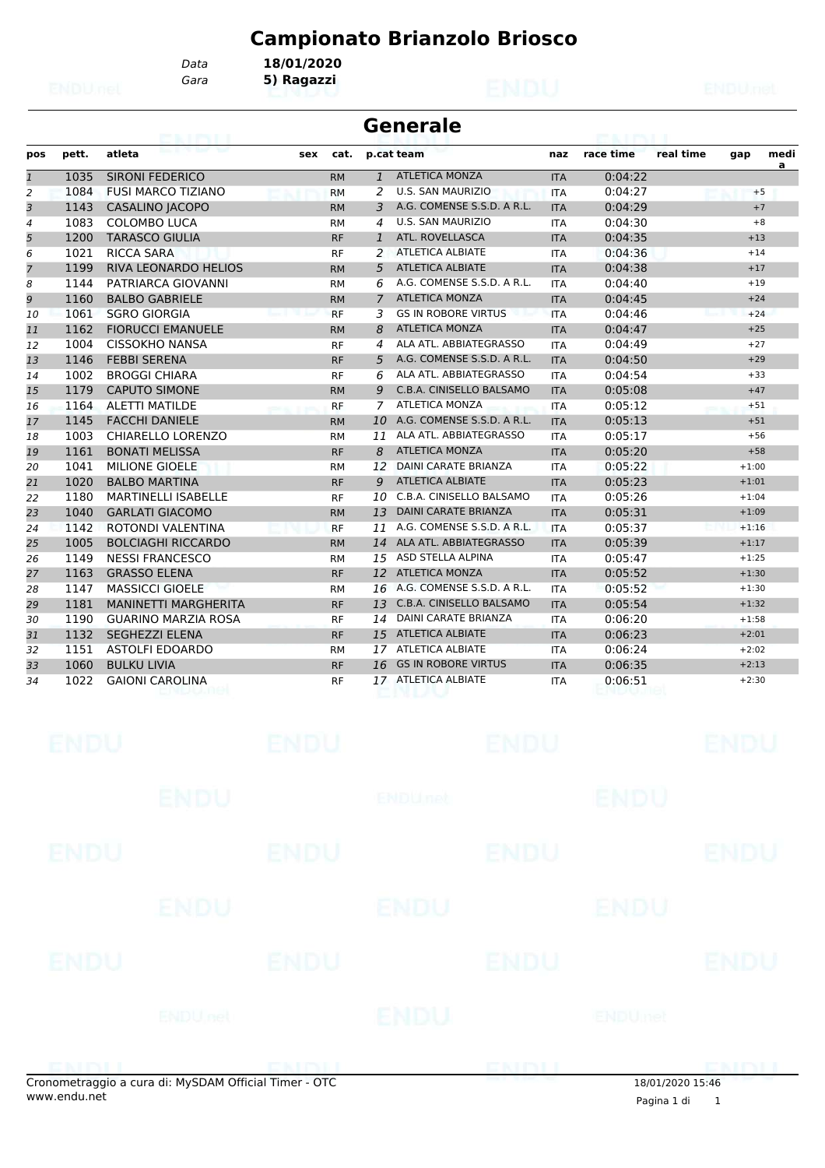*Data* **18/01/2020**

*Gara* **5) Ragazzi**

|                |       |                             |           |                | <b>Generale</b>             |            |           |           |         |           |
|----------------|-------|-----------------------------|-----------|----------------|-----------------------------|------------|-----------|-----------|---------|-----------|
| pos            | pett. | atleta<br>sex               | cat.      |                | p.cat team                  | naz        | race time | real time | qap     | medi<br>a |
| $\overline{1}$ | 1035  | <b>SIRONI FEDERICO</b>      | <b>RM</b> | $\mathbf{1}$   | <b>ATLETICA MONZA</b>       | <b>ITA</b> | 0:04:22   |           |         |           |
| $\overline{a}$ | 1084  | <b>FUSI MARCO TIZIANO</b>   | <b>RM</b> | 2              | <b>U.S. SAN MAURIZIO</b>    | <b>ITA</b> | 0:04:27   |           | $+5$    |           |
| 3              | 1143  | CASALINO JACOPO             | <b>RM</b> | 3              | A.G. COMENSE S.S.D. A R.L.  | <b>ITA</b> | 0:04:29   |           | $+7$    |           |
| $\overline{4}$ | 1083  | <b>COLOMBO LUCA</b>         | <b>RM</b> | 4              | <b>U.S. SAN MAURIZIO</b>    | <b>ITA</b> | 0:04:30   |           | $+8$    |           |
| 5              | 1200  | <b>TARASCO GIULIA</b>       | <b>RF</b> | $\mathbf{1}$   | ATL. ROVELLASCA             | <b>ITA</b> | 0:04:35   |           | $+13$   |           |
| 6              | 1021  | <b>RICCA SARA</b>           | <b>RF</b> | 2              | <b>ATLETICA ALBIATE</b>     | <b>ITA</b> | 0:04:36   |           | $+14$   |           |
| $\overline{7}$ | 1199  | RIVA LEONARDO HELIOS        | <b>RM</b> | 5              | <b>ATLETICA ALBIATE</b>     | <b>ITA</b> | 0:04:38   |           | $+17$   |           |
| 8              | 1144  | PATRIARCA GIOVANNI          | <b>RM</b> | 6              | A.G. COMENSE S.S.D. A R.L.  | <b>ITA</b> | 0:04:40   |           | $+19$   |           |
| 9              | 1160  | <b>BALBO GABRIELE</b>       | <b>RM</b> | $\overline{7}$ | <b>ATLETICA MONZA</b>       | <b>ITA</b> | 0:04:45   |           | $+24$   |           |
| 10             | 1061  | <b>SGRO GIORGIA</b>         | <b>RF</b> | 3              | <b>GS IN ROBORE VIRTUS</b>  | <b>ITA</b> | 0:04:46   |           | $+24$   |           |
| 11             | 1162  | <b>FIORUCCI EMANUELE</b>    | <b>RM</b> | 8              | <b>ATLETICA MONZA</b>       | <b>ITA</b> | 0:04:47   |           | $+25$   |           |
| 12             | 1004  | <b>CISSOKHO NANSA</b>       | <b>RF</b> | 4              | ALA ATL. ABBIATEGRASSO      | <b>ITA</b> | 0:04:49   |           | $+27$   |           |
| 13             | 1146  | <b>FEBBI SERENA</b>         | <b>RF</b> | 5              | A.G. COMENSE S.S.D. A R.L.  | <b>ITA</b> | 0:04:50   |           | $+29$   |           |
| 14             | 1002  | <b>BROGGI CHIARA</b>        | <b>RF</b> | 6              | ALA ATL. ABBIATEGRASSO      | <b>ITA</b> | 0:04:54   |           | $+33$   |           |
| 15             | 1179  | <b>CAPUTO SIMONE</b>        | <b>RM</b> | 9              | C.B.A. CINISELLO BALSAMO    | <b>ITA</b> | 0:05:08   |           | $+47$   |           |
| 16             | 1164  | <b>ALETTI MATILDE</b>       | <b>RF</b> | 7              | <b>ATLETICA MONZA</b>       | <b>ITA</b> | 0:05:12   |           | $+51$   |           |
| 17             | 1145  | <b>FACCHI DANIELE</b>       | <b>RM</b> | 10             | A.G. COMENSE S.S.D. A R.L.  | <b>ITA</b> | 0:05:13   |           | $+51$   |           |
| 18             | 1003  | CHIARELLO LORENZO           | <b>RM</b> | 11             | ALA ATL. ABBIATEGRASSO      | <b>ITA</b> | 0:05:17   |           | $+56$   |           |
| 19             | 1161  | <b>BONATI MELISSA</b>       | <b>RF</b> | 8              | <b>ATLETICA MONZA</b>       | <b>ITA</b> | 0:05:20   |           | $+58$   |           |
| 20             | 1041  | <b>MILIONE GIOELE</b>       | <b>RM</b> | 12             | <b>DAINI CARATE BRIANZA</b> | <b>ITA</b> | 0:05:22   |           | $+1:00$ |           |
| 21             | 1020  | <b>BALBO MARTINA</b>        | <b>RF</b> | 9              | <b>ATLETICA ALBIATE</b>     | <b>ITA</b> | 0:05:23   |           | $+1:01$ |           |
| 22             | 1180  | <b>MARTINELLI ISABELLE</b>  | <b>RF</b> | 10             | C.B.A. CINISELLO BALSAMO    | <b>ITA</b> | 0:05:26   |           | $+1:04$ |           |
| 23             | 1040  | <b>GARLATI GIACOMO</b>      | <b>RM</b> | 13             | <b>DAINI CARATE BRIANZA</b> | <b>ITA</b> | 0:05:31   |           | $+1:09$ |           |
| 24             | 1142  | ROTONDI VALENTINA           | <b>RF</b> | 11             | A.G. COMENSE S.S.D. A R.L.  | <b>ITA</b> | 0:05:37   |           | $+1:16$ |           |
| 25             | 1005  | <b>BOLCIAGHI RICCARDO</b>   | <b>RM</b> | 14             | ALA ATL. ABBIATEGRASSO      | <b>ITA</b> | 0:05:39   |           | $+1:17$ |           |
| 26             | 1149  | <b>NESSI FRANCESCO</b>      | <b>RM</b> | 15             | ASD STELLA ALPINA           | <b>ITA</b> | 0:05:47   |           | $+1:25$ |           |
| 27             | 1163  | <b>GRASSO ELENA</b>         | <b>RF</b> |                | 12 ATLETICA MONZA           | <b>ITA</b> | 0:05:52   |           | $+1:30$ |           |
| 28             | 1147  | <b>MASSICCI GIOELE</b>      | <b>RM</b> | 16             | A.G. COMENSE S.S.D. A R.L.  | <b>ITA</b> | 0:05:52   |           | $+1:30$ |           |
| 29             | 1181  | <b>MANINETTI MARGHERITA</b> | <b>RF</b> | 13             | C.B.A. CINISELLO BALSAMO    | <b>ITA</b> | 0:05:54   |           | $+1:32$ |           |
| 30             | 1190  | <b>GUARINO MARZIA ROSA</b>  | <b>RF</b> | 14             | DAINI CARATE BRIANZA        | <b>ITA</b> | 0:06:20   |           | $+1:58$ |           |
| 31             | 1132  | <b>SEGHEZZI ELENA</b>       | <b>RF</b> |                | 15 ATLETICA ALBIATE         | <b>ITA</b> | 0:06:23   |           | $+2:01$ |           |
| 32             | 1151  | <b>ASTOLFI EDOARDO</b>      | <b>RM</b> | 17             | <b>ATLETICA ALBIATE</b>     | <b>ITA</b> | 0:06:24   |           | $+2:02$ |           |
| 33             | 1060  | <b>BULKU LIVIA</b>          | <b>RF</b> | 16             | <b>GS IN ROBORE VIRTUS</b>  | <b>ITA</b> | 0:06:35   |           | $+2:13$ |           |
| 34             | 1022  | <b>GAIONI CAROLINA</b>      | <b>RF</b> |                | 17 ATLETICA ALBIATE         | <b>ITA</b> | 0:06:51   |           | $+2:30$ |           |

| <b>ENDU</b> |                     | <b>ENDU</b> |                | <b>ENDU</b> |                | <b>ENDU</b>  |
|-------------|---------------------|-------------|----------------|-------------|----------------|--------------|
|             | <b>ENDU</b>         |             | <b>ENDUnet</b> |             | <b>ENDU</b>    |              |
| <b>ENDU</b> |                     | <b>ENDU</b> |                | <b>ENDU</b> |                | <b>ENDU</b>  |
|             | <b>ENDU</b>         |             | <b>ENDU</b>    |             | ENDU           |              |
| <b>ENDU</b> |                     | <b>ENDU</b> |                | <b>ENDU</b> |                | <b>ENDU</b>  |
|             | ENDU <sub>net</sub> |             | ENDU           |             | <b>ENDUmet</b> |              |
| ENINH       |                     | enimili     |                | ENDI        |                | <b>EMBIT</b> |